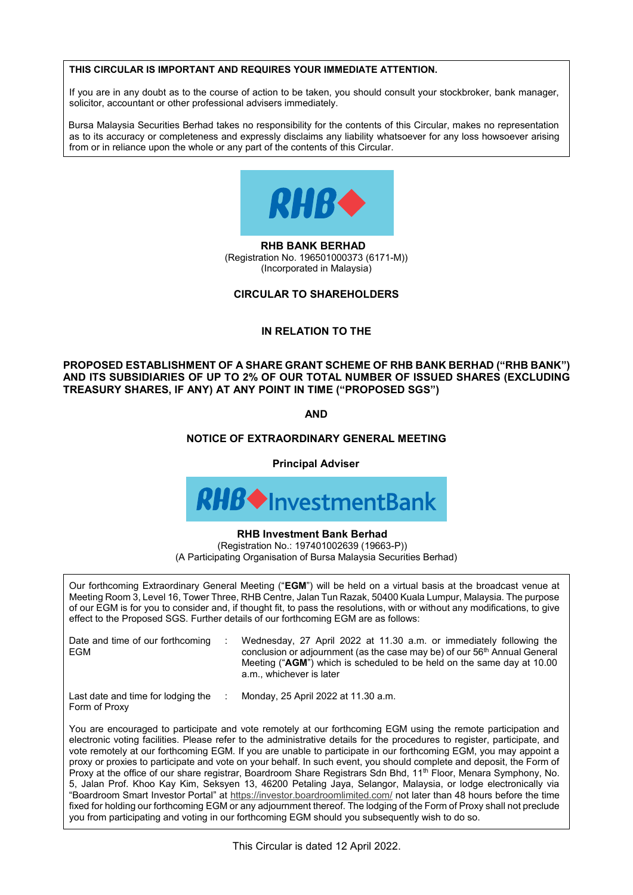#### THIS CIRCULAR IS IMPORTANT AND REQUIRES YOUR IMMEDIATE ATTENTION. If you are in any doubt as to the course of action to be taken, you should consult you should consult you should consult you should consult you should consult you should consult you should consult your stockbroker, bank m solicitor, accountant or other professional advisers immediately. **THIS CIRCULAR IS IMPORTANT AND REQUIRES YOUR IMMEDIATE ATTENTION. THIS CIRCULAR IS IMPORTANT AND REQUIRES YOUR IMMEDIATE ATTENTION.**

**THIS CIRCULAR IS IMPORTANT AND REQUIRES YOUR IMMEDIATE ATTENTION.**

If you are in any doubt as to the course of action to be taken, you should consult your stockbroker, bank manager, solicitor, accountant or other professional advisers immediately. as to its accuracy or completeness and expressly disclaims any liability whatsoever for any loss howsoever arising  $B$ ursa Malaysia Securities Berhad takes no responsibility for the contents of this Circular, makes no representation  $\mathcal{L}$ If you are in any doubt as to the course of action to be taken, you should consult you should consult you should consult you should consult you should consult you should consult you should consult your stockbroker, bank m  $B_{\rm eff}$  Securities Berhad takes no responsibility for this Circular, makes no representation, makes no representation of this Circular, makes no representation of the contents of this Circular, makes no representation of

Bursa Malaysia Securities Berhad takes no responsibility for the contents of this Circular, makes no representation as to its accuracy or completeness and expressly disclaims any liability whatsoever for any loss howsoever arising from or in reliance upon the whole or any part of the contents of this Circular. from or in reliance upon the whole or any part of the contents of this Circular. Bursa Malaysia Securities Berhad takes no responsibility for the contents of this Circular, makes no representation



**RHB BANK BERHAD**<br>Exterior No. 496594999223 (Registration No. 190301000373 (6171-M) (Incorporated in Malaysia) (Incorporated in Malaysia) (Incorporated in Malaysia)  $\overline{\phantom{a}}$  (Registration No. 1965) (Incorporation of Malaysia) **RHB BANK BERHAD** (Registration No. 196501000373 (6171-M) (Incorporated in Malaysia) **RHB BANK BERHAD RHB BANK BERHAD**  KHB BANK BERHAD

#### **CIRCULAR TO SHAREHOLDERS CIRCULAR TO SHAREHOLDERS CIRCULAR TO SHAREHOLDERS CIRCULAR TO SHAREHOLDERS CIRCULAR TO SHAREHOLDERS**

#### **IN RELATION TO THE IN RELATION TO THE IN RELATION TO THE IN RELATION TO THE IN RELATION TO THE**

AND ITS SUBSIDIARIES OF UP TO 2% OF OUR TOTAL NUMBER OF ISSUED SHARES (EXCLUDING TREASURY SHARES, IF ANY) AT ANY POINT IN TIME ("PROPOSED SGS") **PROPOSED ESTABLISHMENT OF A SHARE GRANT SCHEME OF RHB BANK BERHAD ("RHB BANK") AND ITS SUBSIDIARIES OF UP TO 2% OF OUR TOTAL NUMBER OF ISSUED SHARES (EXCLUDING PROPOSED ESTABLISHMENT OF A SHARE GRANT SCHEME OF RHB BANK BERHAD ("RHB BANK") AND ITS SUBSIDIARIES OF UP TO 2% OF OUR TOTAL NUMBER OF ISSUED SHARES (EXCLUDING PROPOSED ESTABLISHMENT OF A SHARE GRANT SCHEME OF RHB BANK BERHAD ("RHB BANK") AND ITS SUBSIDIARIES OF UP TO 2% OF OUR TOTAL NUMBER OF ISSUED SHARES (EXCLUDING PROPOSED ESTABLISHMENT OF A SHARE GRANT SCHEME OF RHB BANK BERHAD ("RHB BANK") PROPOSED ESTABLISHMENT OF A SHARE GRANT SCHEME OF RHB BANK BERHAD ("RHB BANK")** 

**TREASURY SHARES, IF ANY) AT ANY POINT IN TIME ("PROPOSED SGS") AND AND AND AND AND**

#### **AND NOTICE OF EXTRAORDINARY GENERAL MEETING NOTICE OF EXTRAORDINARY GENERAL MEETING NOTICE OF EXTRAORDINARY GENERAL MEETING NOTICE OF EXTRAORDINARY GENERAL MEETING NOTICE OF EXTRAORDINARY GENERAL MEETING**

**Principal Adviser Principal Adviser Principal Adviser**



# **RHB Investment Bank Berhad**

Registration No.: 197401002639 (19663-P)) (A Participating Organisation of Bursa Malaysia Securities Berhad) (A Participating Organisation of Bursa Malaysia Securities Berhad) (A Participating Organisation of Bursa Malaysia Securities Berhad) (A Participating Organisation of Bursa Malaysia Securities Berhad)

of our EGM is for you to consider and, if thought fit, to pass the resolutions, with or without any modifications, to give effect to the Proposed SGS. Further details of our forthcoming EGM are as follows: Our forthcoming Extraordinary General Meeting ("EGM") will be held on a virtual basis at the broadcast venue at  $\|$ Meeting Room 3, Level 16, Tower Three, RHB Centre, Jalan Tun Razak, 50400 Kuala Lumpur, Malaysia. The purpose<br>of our EGM is for you to consider and. if thought fit. to pass the resolutions. with or without any modification effect to the Proposed SGS. Further details of our forthcoming EGM are as follows: of our EGM is four to consider and, if thought fit, to pass the resolutions, with or with or with or with or with or without any modifications, with or without any modifications, to give any modifications, to give any mod effect to the Proposed SGS. Further details of our forthcoming EGM are as follows:

| Date and time of our forthcoming<br>EGM | Wednesday, 27 April 2022 at 11.30 a.m. or immediately following the<br>conclusion or adjournment (as the case may be) of our 56 <sup>th</sup> Annual General<br>Meeting ("AGM") which is scheduled to be held on the same day at 10.00<br>a.m., whichever is later |  |
|-----------------------------------------|--------------------------------------------------------------------------------------------------------------------------------------------------------------------------------------------------------------------------------------------------------------------|--|
|                                         |                                                                                                                                                                                                                                                                    |  |

Last date and time for lodging the : Monday, 25 April 2022 at 11.30 a.m. Form of Proxy and time for lodging the form of  $\overline{P}$ : Monday, 25 April 2022 at 11.30 a.m. st date and time for lodging the star Monday, 25 April 2022 at 11.30 a.m. Last date and time for lodging the : Monday, 25 April 2022 at 11.30 a.m.

Form of Proxy

Form of Proxy

You are enco vote remotely at our forthcoming EGM. If you are unable to participate in our forthcoming EGM, you may appoint a<br>proxy or proxies to participate and vote on your behalf. In such event, you should complete and deposit, the proxy or proxies to participate and vote on your behalf. In such event, you should complete and deposit, the Form of Proxy at the office of our share registrar, Boardroom Share Registrars Sdn Bhd, 11<sup>th</sup> Floor, Menara Symphony, No. 5, Jalan Prof. Khoo Kay Kim, Seksyen 13, 46200 Petaling Jaya, Selangor, Malaysia, or lodge electronically via<br>"Boardroom Smart Investor Portal" at https://investor.boardroomlimited.com/ not later than 48 hours before the t "Boardroom Smart Investor Portal" at https://investor.boardroomlimited.com/ not later than 48 hours before the time<br>fixed for holding our forthcoming EGM or any adjournment thereof. The lodging of the Form of Proxy shall n fixed for holding our forthcoming EGM or any adjournment thereof. The lodging of the Form of Proxy shall not preclude you from participating and voting in our forthcoming EGM should you subsequently wish to do so. You are encouraged to participate and vote remotely at our forthcoming EGM using the remote participation and electronic voting facilities. Please refer to the administrative details for the procedures to register, participate, and you from participating and voting in our forthcoming EGM should you subsequently wish to do so. fixed for  $\frac{1}{\sqrt{2}}$  and  $\frac{1}{\sqrt{2}}$  and  $\frac{1}{\sqrt{2}}$  and  $\frac{1}{\sqrt{2}}$  of the Form of Proxy shall not precisely shall not precisely shall not precisely shall not precisely shall not precisely shall not precisely shall proxy or proxies to participate and vote on your behalf. In such event, you should complete and deposit, the Form of<br>Proxy at the office of our share registrar, Boardroom Share Registrars Sdn Bhd, 11<sup>th</sup> Floor, Menara Symp  $\mathcal{P}_{\mathcal{A}}$  and voting in our forthcoming EGM should you subsequently wish to do so.

 $\mathcal{P}_{\mathcal{A}}$  and voting in our forthcoming in our forthcoming EGM should you subsequently wish to do so.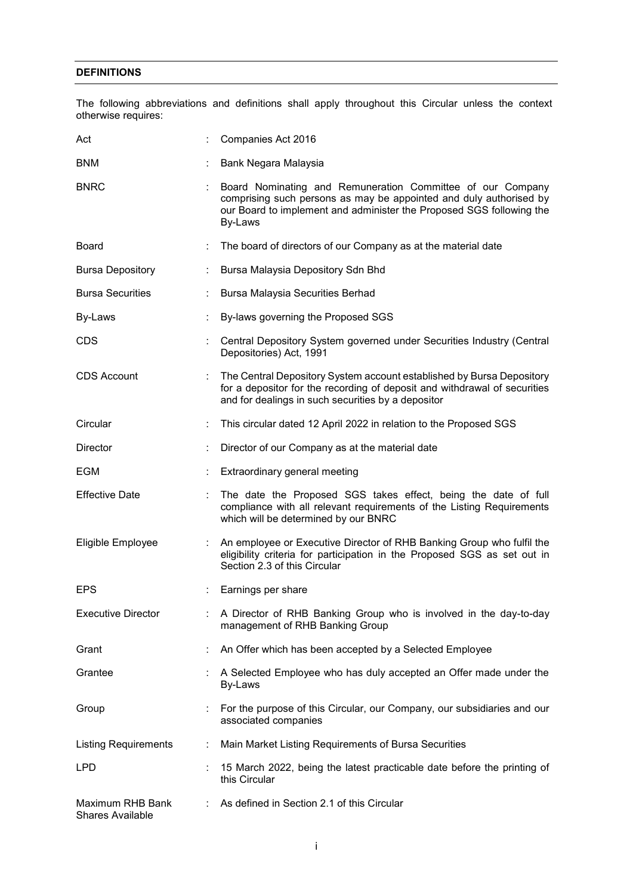# **DEFINITIONS**

The following abbreviations and definitions shall apply throughout this Circular unless the context otherwise requires:

| Act                                         | Companies Act 2016                                                                                                                                                                                                  |
|---------------------------------------------|---------------------------------------------------------------------------------------------------------------------------------------------------------------------------------------------------------------------|
| <b>BNM</b>                                  | Bank Negara Malaysia                                                                                                                                                                                                |
| <b>BNRC</b>                                 | Board Nominating and Remuneration Committee of our Company<br>comprising such persons as may be appointed and duly authorised by<br>our Board to implement and administer the Proposed SGS following the<br>By-Laws |
| Board                                       | The board of directors of our Company as at the material date                                                                                                                                                       |
| <b>Bursa Depository</b>                     | Bursa Malaysia Depository Sdn Bhd                                                                                                                                                                                   |
| <b>Bursa Securities</b>                     | Bursa Malaysia Securities Berhad                                                                                                                                                                                    |
| By-Laws                                     | By-laws governing the Proposed SGS                                                                                                                                                                                  |
| <b>CDS</b>                                  | Central Depository System governed under Securities Industry (Central<br>Depositories) Act, 1991                                                                                                                    |
| <b>CDS Account</b>                          | The Central Depository System account established by Bursa Depository<br>for a depositor for the recording of deposit and withdrawal of securities<br>and for dealings in such securities by a depositor            |
| Circular                                    | This circular dated 12 April 2022 in relation to the Proposed SGS                                                                                                                                                   |
| Director                                    | Director of our Company as at the material date                                                                                                                                                                     |
| EGM                                         | Extraordinary general meeting                                                                                                                                                                                       |
| <b>Effective Date</b>                       | The date the Proposed SGS takes effect, being the date of full<br>compliance with all relevant requirements of the Listing Requirements<br>which will be determined by our BNRC                                     |
| Eligible Employee                           | An employee or Executive Director of RHB Banking Group who fulfil the<br>eligibility criteria for participation in the Proposed SGS as set out in<br>Section 2.3 of this Circular                                   |
| <b>EPS</b>                                  | Earnings per share                                                                                                                                                                                                  |
| <b>Executive Director</b>                   | A Director of RHB Banking Group who is involved in the day-to-day<br>management of RHB Banking Group                                                                                                                |
| Grant                                       | An Offer which has been accepted by a Selected Employee                                                                                                                                                             |
| Grantee                                     | A Selected Employee who has duly accepted an Offer made under the<br>By-Laws                                                                                                                                        |
| Group                                       | For the purpose of this Circular, our Company, our subsidiaries and our<br>associated companies                                                                                                                     |
| <b>Listing Requirements</b>                 | Main Market Listing Requirements of Bursa Securities                                                                                                                                                                |
| <b>LPD</b>                                  | 15 March 2022, being the latest practicable date before the printing of<br>this Circular                                                                                                                            |
| Maximum RHB Bank<br><b>Shares Available</b> | As defined in Section 2.1 of this Circular                                                                                                                                                                          |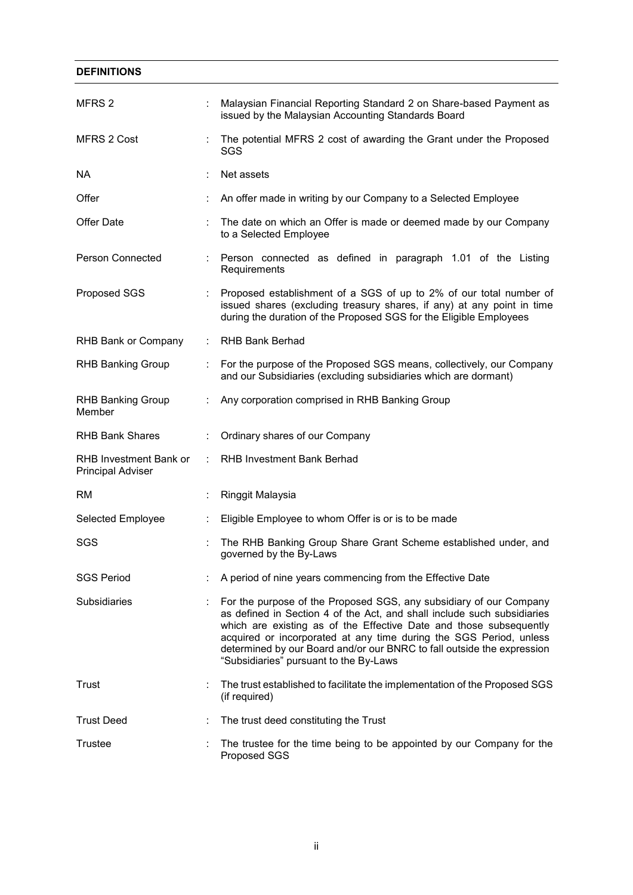| <b>DEFINITIONS</b>                                 |                      |                                                                                                                                                                                                                                                                                                                                                                                                               |
|----------------------------------------------------|----------------------|---------------------------------------------------------------------------------------------------------------------------------------------------------------------------------------------------------------------------------------------------------------------------------------------------------------------------------------------------------------------------------------------------------------|
| MFRS 2                                             |                      | Malaysian Financial Reporting Standard 2 on Share-based Payment as<br>issued by the Malaysian Accounting Standards Board                                                                                                                                                                                                                                                                                      |
| MFRS 2 Cost                                        |                      | The potential MFRS 2 cost of awarding the Grant under the Proposed<br>SGS                                                                                                                                                                                                                                                                                                                                     |
| NA                                                 |                      | Net assets                                                                                                                                                                                                                                                                                                                                                                                                    |
| Offer                                              |                      | An offer made in writing by our Company to a Selected Employee                                                                                                                                                                                                                                                                                                                                                |
| Offer Date                                         |                      | The date on which an Offer is made or deemed made by our Company<br>to a Selected Employee                                                                                                                                                                                                                                                                                                                    |
| Person Connected                                   | ÷                    | Person connected as defined in paragraph 1.01 of the Listing<br>Requirements                                                                                                                                                                                                                                                                                                                                  |
| Proposed SGS                                       |                      | Proposed establishment of a SGS of up to 2% of our total number of<br>issued shares (excluding treasury shares, if any) at any point in time<br>during the duration of the Proposed SGS for the Eligible Employees                                                                                                                                                                                            |
| RHB Bank or Company                                | ÷                    | <b>RHB Bank Berhad</b>                                                                                                                                                                                                                                                                                                                                                                                        |
| <b>RHB Banking Group</b>                           |                      | For the purpose of the Proposed SGS means, collectively, our Company<br>and our Subsidiaries (excluding subsidiaries which are dormant)                                                                                                                                                                                                                                                                       |
| <b>RHB Banking Group</b><br>Member                 |                      | Any corporation comprised in RHB Banking Group                                                                                                                                                                                                                                                                                                                                                                |
| <b>RHB Bank Shares</b>                             | ÷                    | Ordinary shares of our Company                                                                                                                                                                                                                                                                                                                                                                                |
| RHB Investment Bank or<br><b>Principal Adviser</b> |                      | RHB Investment Bank Berhad                                                                                                                                                                                                                                                                                                                                                                                    |
| RM                                                 |                      | Ringgit Malaysia                                                                                                                                                                                                                                                                                                                                                                                              |
| Selected Employee                                  |                      | Eligible Employee to whom Offer is or is to be made                                                                                                                                                                                                                                                                                                                                                           |
| SGS                                                |                      | The RHB Banking Group Share Grant Scheme established under, and<br>governed by the By-Laws                                                                                                                                                                                                                                                                                                                    |
| <b>SGS Period</b>                                  |                      | A period of nine years commencing from the Effective Date                                                                                                                                                                                                                                                                                                                                                     |
| <b>Subsidiaries</b>                                |                      | For the purpose of the Proposed SGS, any subsidiary of our Company<br>as defined in Section 4 of the Act, and shall include such subsidiaries<br>which are existing as of the Effective Date and those subsequently<br>acquired or incorporated at any time during the SGS Period, unless<br>determined by our Board and/or our BNRC to fall outside the expression<br>"Subsidiaries" pursuant to the By-Laws |
| Trust                                              | $\ddot{\phantom{a}}$ | The trust established to facilitate the implementation of the Proposed SGS<br>(if required)                                                                                                                                                                                                                                                                                                                   |
| <b>Trust Deed</b>                                  |                      | The trust deed constituting the Trust                                                                                                                                                                                                                                                                                                                                                                         |
| Trustee                                            |                      | The trustee for the time being to be appointed by our Company for the<br>Proposed SGS                                                                                                                                                                                                                                                                                                                         |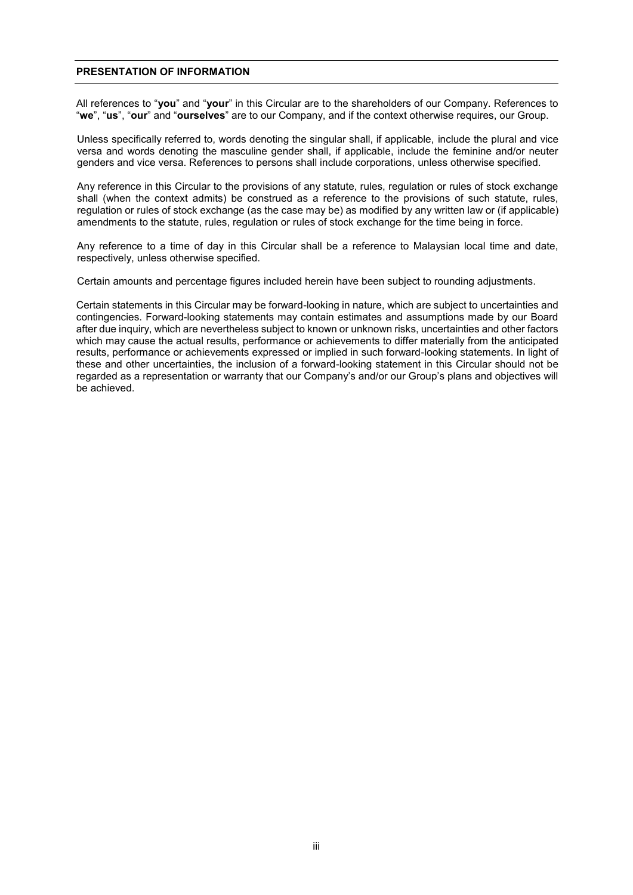#### **PRESENTATION OF INFORMATION**

All references to "**you**" and "**your**" in this Circular are to the shareholders of our Company. References to "**we**", "**us**", "**our**" and "**ourselves**" are to our Company, and if the context otherwise requires, our Group.

Unless specifically referred to, words denoting the singular shall, if applicable, include the plural and vice versa and words denoting the masculine gender shall, if applicable, include the feminine and/or neuter genders and vice versa. References to persons shall include corporations, unless otherwise specified.

Any reference in this Circular to the provisions of any statute, rules, regulation or rules of stock exchange shall (when the context admits) be construed as a reference to the provisions of such statute, rules, regulation or rules of stock exchange (as the case may be) as modified by any written law or (if applicable) amendments to the statute, rules, regulation or rules of stock exchange for the time being in force.

Any reference to a time of day in this Circular shall be a reference to Malaysian local time and date, respectively, unless otherwise specified.

Certain amounts and percentage figures included herein have been subject to rounding adjustments.

Certain statements in this Circular may be forward-looking in nature, which are subject to uncertainties and contingencies. Forward-looking statements may contain estimates and assumptions made by our Board after due inquiry, which are nevertheless subject to known or unknown risks, uncertainties and other factors which may cause the actual results, performance or achievements to differ materially from the anticipated results, performance or achievements expressed or implied in such forward-looking statements. In light of these and other uncertainties, the inclusion of a forward-looking statement in this Circular should not be regarded as a representation or warranty that our Company's and/or our Group's plans and objectives will be achieved.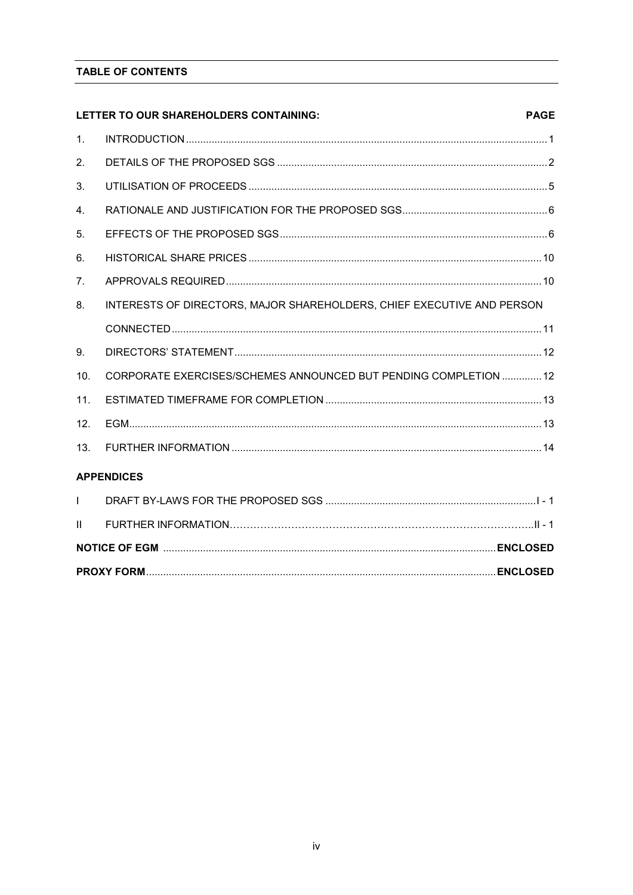# TABLE OF CONTENTS

|                | LETTER TO OUR SHAREHOLDERS CONTAINING:                                 | <b>PAGE</b> |
|----------------|------------------------------------------------------------------------|-------------|
| 1.             |                                                                        |             |
| 2.             |                                                                        |             |
| 3.             |                                                                        |             |
| 4.             |                                                                        |             |
| 5.             |                                                                        |             |
| 6.             |                                                                        |             |
| 7 <sub>1</sub> |                                                                        |             |
| 8.             | INTERESTS OF DIRECTORS, MAJOR SHAREHOLDERS, CHIEF EXECUTIVE AND PERSON |             |
|                |                                                                        |             |
| 9.             |                                                                        |             |
| 10.            | CORPORATE EXERCISES/SCHEMES ANNOUNCED BUT PENDING COMPLETION  12       |             |
| 11.            |                                                                        |             |
| 12.            |                                                                        |             |
| 13.            |                                                                        |             |
|                | <b>APPENDICES</b>                                                      |             |
| $\mathbf{L}$   |                                                                        |             |
| $\mathbf{H}$   |                                                                        |             |
|                |                                                                        |             |
|                |                                                                        |             |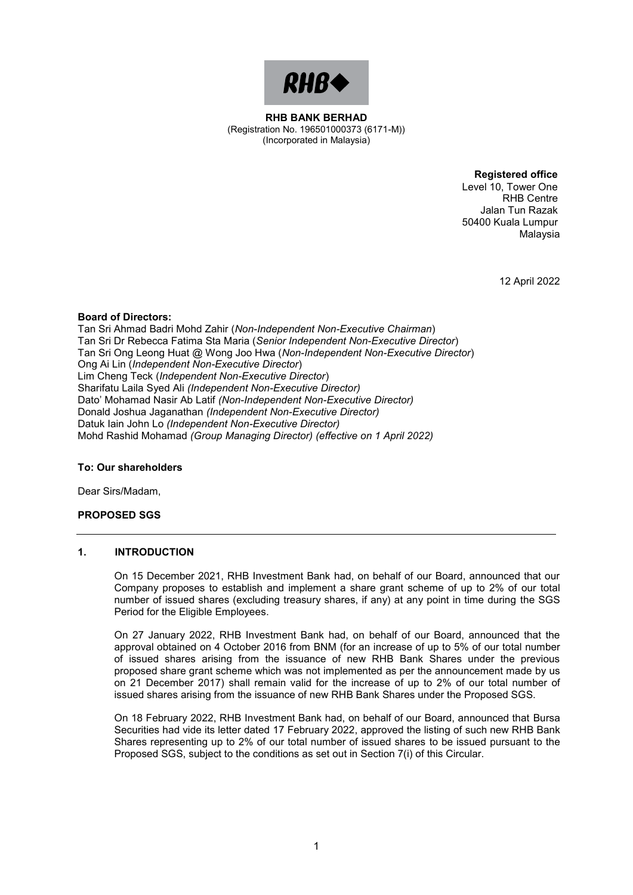

**RHB BANK BERHAD RHB BANK BERHAD**  (Registration No. 196501000373 (6171-M)) (Registration No. 196501000373 (6171-M)) (Incorporated in Malaysia) (Incorporated in Malaysia)

> **Registered office Registered office**  Level 10, Tower One Level 10, Tower One RHB Centre RHB Centre Jalan Tun Razak Jalan Tun Razak 50400 Kuala Lumpur 50400 Kuala Lumpur

> > 12 April 2022 12 April 2022

Malaysia Malaysia

# **Board of Directors: Board of Directors:**

Tan Sri Ahmad Badri Mohd Zahir (*Non-Independent Non-Executive Chairman*) Tan Sri Ahmad Badri Mohd Zahir (*Non-Independent Non-Executive Chairman*) Tan Sri Dr Rebecca Fatima Sta Maria (*Senior Independent Non-Executive Director*) Tan Sri Dr Rebecca Fatima Sta Maria (*Senior Independent Non-Executive Director*) Tan Sri Ong Leong Huat @ Wong Joo Hwa (*Non-Independent Non-Executive Director*) Tan Sri Ong Leong Huat @ Wong Joo Hwa (*Non-Independent Non-Executive Director*) Ong Ai Lin (*Independent Non-Executive Director*) Ong Ai Lin (*Independent Non-Executive Director*) Lim Cheng Teck (*Independent Non-Executive Director*) Lim Cheng Teck (*Independent Non-Executive Director*) Sharifatu Laila Syed Ali *(Independent Non-Executive Director)* Sharifatu Laila Syed Ali *(Independent Non-Executive Director)* Dato' Mohamad Nasir Ab Latif *(Non-Independent Non-Executive Director)* Dato' Mohamad Nasir Ab Latif *(Non-Independent Non-Executive Director)* Donald Joshua Jaganathan *(Independent Non-Executive Director)* Donald Joshua Jaganathan *(Independent Non-Executive Director)* Datuk Iain John Lo *(Independent Non-Executive Director)*  Datuk Iain John Lo *(Independent Non-Executive Director)*  Mohd Rashid Mohamad *(Group Managing Director) (effective on 1 April 2022)* Mohd Rashid Mohamad *(Group Managing Director) (effective on 1 April 2022)*

# **To: Our shareholders To: Our shareholders**

Dear Sirs/Madam, Dear Sirs/Madam,

# **PROPOSED SGS PROPOSED SGS**

# **1. INTRODUCTION 1. INTRODUCTION**

On 15 December 2021, RHB Investment Bank had, on behalf of our Board, announced that our On 15 December 2021, RHB Investment Bank had, on behalf of our Board, announced that our Company proposes to establish and implement a share grant scheme of up to 2% of our total Company proposes to establish and implement a share grant scheme of up to 2% of our total number of issued shares (excluding treasury shares, if any) at any point in time during the SGS number of issued shares (excluding treasury shares, if any) at any point in time during the SGS Period for the Eligible Employees. Period for the Eligible Employees.

On 27 January 2022, RHB Investment Bank had, on behalf of our Board, announced that the On 27 January 2022, RHB Investment Bank had, on behalf of our Board, announced that the approval obtained on 4 October 2016 from BNM (for an increase of up to 5% of our total number approval obtained on 4 October 2016 from BNM (for an increase of up to 5% of our total number of issued shares arising from the issuance of new RHB Bank Shares under the previous of issued shares arising from the issuance of new RHB Bank Shares under the previous proposed share grant scheme which was not implemented as per the announcement made by us proposed share grant scheme which was not implemented as per the announcement made by us on 21 December 2017) shall remain valid for the increase of up to 2% of our total number of on 21 December 2017) shall remain valid for the increase of up to 2% of our total number of issued shares arising from the issuance of new RHB Bank Shares under the Proposed SGS. issued shares arising from the issuance of new RHB Bank Shares under the Proposed SGS.

On 18 February 2022, RHB Investment Bank had, on behalf of our Board, announced that Bursa On 18 February 2022, RHB Investment Bank had, on behalf of our Board, announced that Bursa Securities had vide its letter dated 17 February 2022, approved the listing of such new RHB Bank Securities had vide its letter dated 17 February 2022, approved the listing of such new RHB Bank Shares representing up to 2% of our total number of issued shares to be issued pursuant to the Shares representing up to 2% of our total number of issued shares to be issued pursuant to the Proposed SGS, subject to the conditions as set out in Section 7(i) of this Circular. Proposed SGS, subject to the conditions as set out in Section 7(i) of this Circular.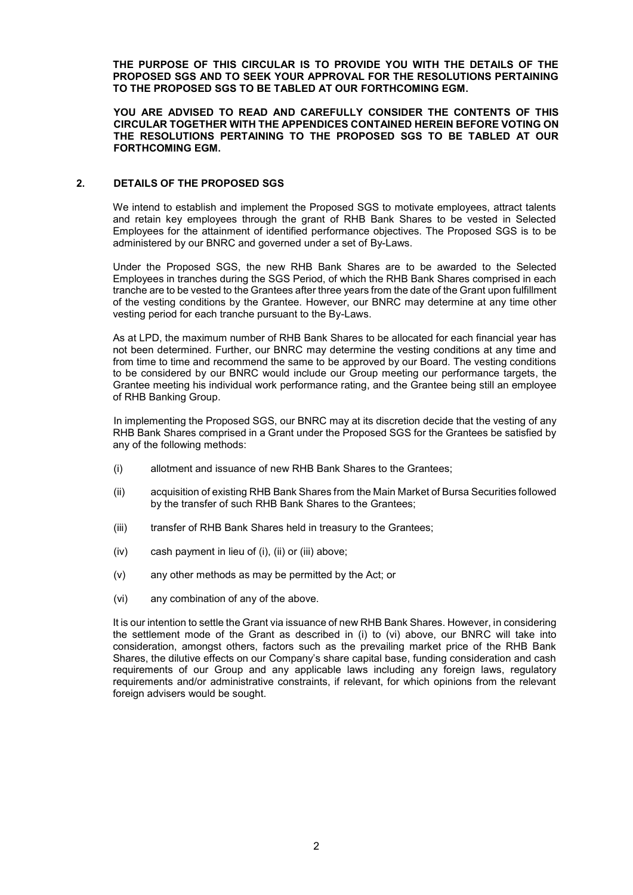**THE PURPOSE OF THIS CIRCULAR IS TO PROVIDE YOU WITH THE DETAILS OF THE PROPOSED SGS AND TO SEEK YOUR APPROVAL FOR THE RESOLUTIONS PERTAINING TO THE PROPOSED SGS TO BE TABLED AT OUR FORTHCOMING EGM.**

**YOU ARE ADVISED TO READ AND CAREFULLY CONSIDER THE CONTENTS OF THIS CIRCULAR TOGETHER WITH THE APPENDICES CONTAINED HEREIN BEFORE VOTING ON THE RESOLUTIONS PERTAINING TO THE PROPOSED SGS TO BE TABLED AT OUR FORTHCOMING EGM.**

# **2. DETAILS OF THE PROPOSED SGS**

We intend to establish and implement the Proposed SGS to motivate employees, attract talents and retain key employees through the grant of RHB Bank Shares to be vested in Selected Employees for the attainment of identified performance objectives. The Proposed SGS is to be administered by our BNRC and governed under a set of By-Laws.

Under the Proposed SGS, the new RHB Bank Shares are to be awarded to the Selected Employees in tranches during the SGS Period, of which the RHB Bank Shares comprised in each tranche are to be vested to the Grantees after three years from the date of the Grant upon fulfillment of the vesting conditions by the Grantee. However, our BNRC may determine at any time other vesting period for each tranche pursuant to the By-Laws.

As at LPD, the maximum number of RHB Bank Shares to be allocated for each financial year has not been determined. Further, our BNRC may determine the vesting conditions at any time and from time to time and recommend the same to be approved by our Board. The vesting conditions to be considered by our BNRC would include our Group meeting our performance targets, the Grantee meeting his individual work performance rating, and the Grantee being still an employee of RHB Banking Group.

In implementing the Proposed SGS, our BNRC may at its discretion decide that the vesting of any RHB Bank Shares comprised in a Grant under the Proposed SGS for the Grantees be satisfied by any of the following methods:

- (i) allotment and issuance of new RHB Bank Shares to the Grantees;
- (ii) acquisition of existing RHB Bank Shares from the Main Market of Bursa Securities followed by the transfer of such RHB Bank Shares to the Grantees;
- (iii) transfer of RHB Bank Shares held in treasury to the Grantees;
- (iv) cash payment in lieu of (i), (ii) or (iii) above;
- (v) any other methods as may be permitted by the Act; or
- (vi) any combination of any of the above.

It is our intention to settle the Grant via issuance of new RHB Bank Shares. However, in considering the settlement mode of the Grant as described in (i) to (vi) above, our BNRC will take into consideration, amongst others, factors such as the prevailing market price of the RHB Bank Shares, the dilutive effects on our Company's share capital base, funding consideration and cash requirements of our Group and any applicable laws including any foreign laws, regulatory requirements and/or administrative constraints, if relevant, for which opinions from the relevant foreign advisers would be sought.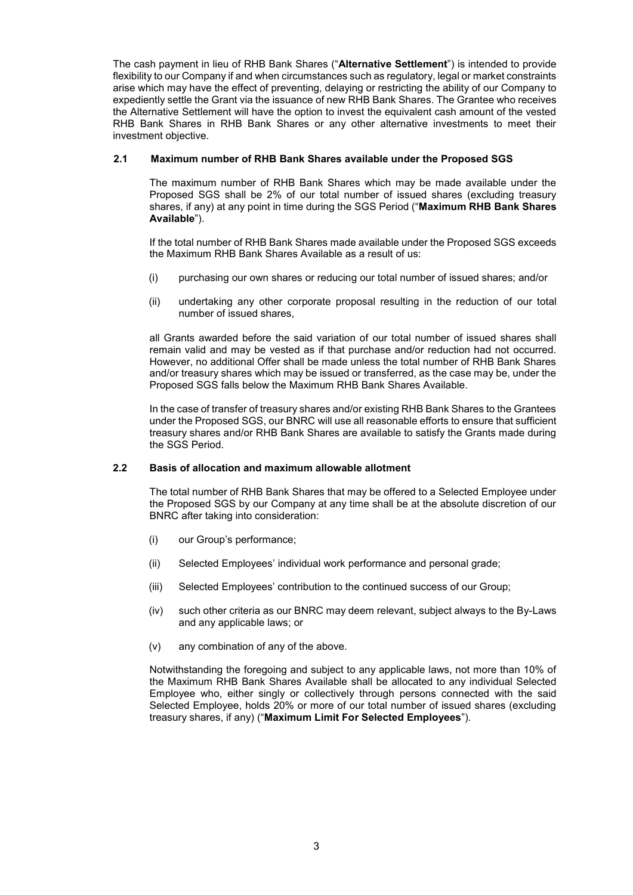The cash payment in lieu of RHB Bank Shares ("**Alternative Settlement**") is intended to provide flexibility to our Company if and when circumstances such as regulatory, legal or market constraints arise which may have the effect of preventing, delaying or restricting the ability of our Company to expediently settle the Grant via the issuance of new RHB Bank Shares. The Grantee who receives the Alternative Settlement will have the option to invest the equivalent cash amount of the vested RHB Bank Shares in RHB Bank Shares or any other alternative investments to meet their investment objective.

# **2.1 Maximum number of RHB Bank Shares available under the Proposed SGS**

The maximum number of RHB Bank Shares which may be made available under the Proposed SGS shall be 2% of our total number of issued shares (excluding treasury shares, if any) at any point in time during the SGS Period ("**Maximum RHB Bank Shares Available**").

If the total number of RHB Bank Shares made available under the Proposed SGS exceeds the Maximum RHB Bank Shares Available as a result of us:

- (i) purchasing our own shares or reducing our total number of issued shares; and/or
- (ii) undertaking any other corporate proposal resulting in the reduction of our total number of issued shares,

all Grants awarded before the said variation of our total number of issued shares shall remain valid and may be vested as if that purchase and/or reduction had not occurred. However, no additional Offer shall be made unless the total number of RHB Bank Shares and/or treasury shares which may be issued or transferred, as the case may be, under the Proposed SGS falls below the Maximum RHB Bank Shares Available.

In the case of transfer of treasury shares and/or existing RHB Bank Shares to the Grantees under the Proposed SGS, our BNRC will use all reasonable efforts to ensure that sufficient treasury shares and/or RHB Bank Shares are available to satisfy the Grants made during the SGS Period.

#### **2.2 Basis of allocation and maximum allowable allotment**

The total number of RHB Bank Shares that may be offered to a Selected Employee under the Proposed SGS by our Company at any time shall be at the absolute discretion of our BNRC after taking into consideration:

- (i) our Group's performance;
- (ii) Selected Employees' individual work performance and personal grade;
- (iii) Selected Employees' contribution to the continued success of our Group;
- (iv) such other criteria as our BNRC may deem relevant, subject always to the By-Laws and any applicable laws; or
- (v) any combination of any of the above.

Notwithstanding the foregoing and subject to any applicable laws, not more than 10% of the Maximum RHB Bank Shares Available shall be allocated to any individual Selected Employee who, either singly or collectively through persons connected with the said Selected Employee, holds 20% or more of our total number of issued shares (excluding treasury shares, if any) ("**Maximum Limit For Selected Employees**").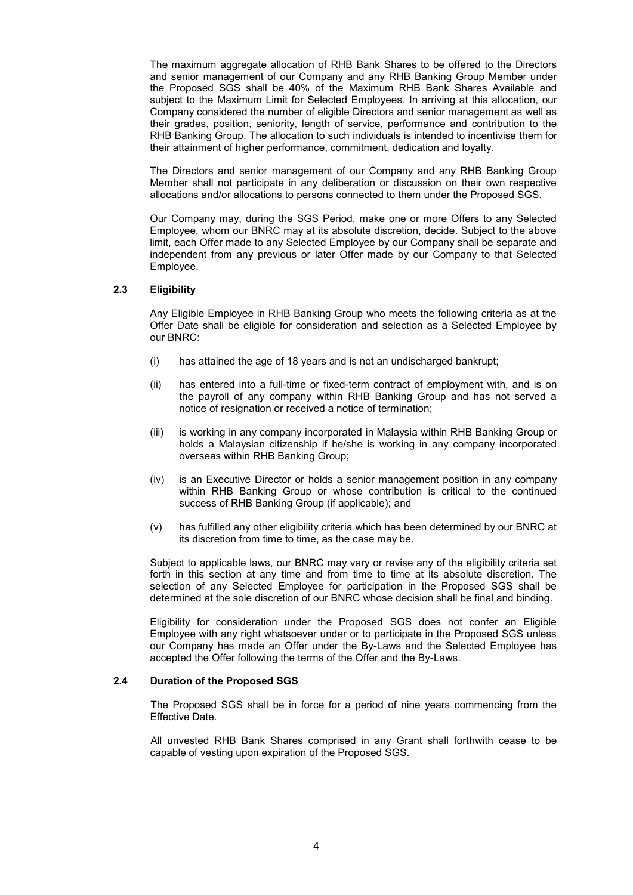The maximum aggregate allocation of RHB Bank Shares to be offered to the Directors and senior management of our Company and any RHB Banking Group Member under the Proposed SGS shall be 40% of the Maximum RHB Bank Shares Available and subject to the Maximum Limit for Selected Employees. In arriving at this allocation, our Company considered the number of eligible Directors and senior management as well as their grades, position, seniority, length of service, performance and contribution to the RHB Banking Group. The allocation to such individuals is intended to incentivise them for their attainment of higher performance, commitment, dedication and loyalty.

The Directors and senior management of our Company and any RHB Banking Group Member shall not participate in any deliberation or discussion on their own respective allocations and/or allocations to persons connected to them under the Proposed SGS.

Our Company may, during the SGS Period, make one or more Offers to any Selected Employee, whom our BNRC may at its absolute discretion, decide. Subject to the above limit, each Offer made to any Selected Employee by our Company shall be separate and independent from any previous or later Offer made by our Company to that Selected Employee.

#### **2.3 Eligibility**

Any Eligible Employee in RHB Banking Group who meets the following criteria as at the Offer Date shall be eligible for consideration and selection as a Selected Employee by our BNRC:

- (i) has attained the age of 18 years and is not an undischarged bankrupt;
- (ii) has entered into a full-time or fixed-term contract of employment with, and is on the payroll of any company within RHB Banking Group and has not served a notice of resignation or received a notice of termination;
- (iii) is working in any company incorporated in Malaysia within RHB Banking Group or holds a Malaysian citizenship if he/she is working in any company incorporated overseas within RHB Banking Group;
- (iv) is an Executive Director or holds a senior management position in any company within RHB Banking Group or whose contribution is critical to the continued success of RHB Banking Group (if applicable); and
- (v) has fulfilled any other eligibility criteria which has been determined by our BNRC at its discretion from time to time, as the case may be.

Subject to applicable laws, our BNRC may vary or revise any of the eligibility criteria set forth in this section at any time and from time to time at its absolute discretion. The selection of any Selected Employee for participation in the Proposed SGS shall be determined at the sole discretion of our BNRC whose decision shall be final and binding.

Eligibility for consideration under the Proposed SGS does not confer an Eligible Employee with any right whatsoever under or to participate in the Proposed SGS unless our Company has made an Offer under the By-Laws and the Selected Employee has accepted the Offer following the terms of the Offer and the By-Laws.

#### **2.4 Duration of the Proposed SGS**

The Proposed SGS shall be in force for a period of nine years commencing from the Effective Date.

All unvested RHB Bank Shares comprised in any Grant shall forthwith cease to be capable of vesting upon expiration of the Proposed SGS.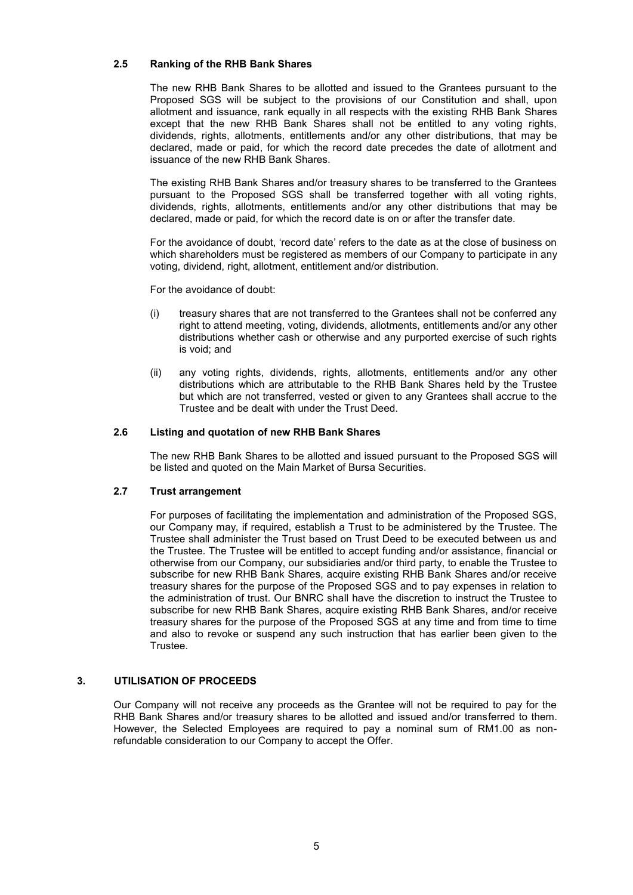# **2.5 Ranking of the RHB Bank Shares**

The new RHB Bank Shares to be allotted and issued to the Grantees pursuant to the Proposed SGS will be subject to the provisions of our Constitution and shall, upon allotment and issuance, rank equally in all respects with the existing RHB Bank Shares except that the new RHB Bank Shares shall not be entitled to any voting rights, dividends, rights, allotments, entitlements and/or any other distributions, that may be declared, made or paid, for which the record date precedes the date of allotment and issuance of the new RHB Bank Shares.

The existing RHB Bank Shares and/or treasury shares to be transferred to the Grantees pursuant to the Proposed SGS shall be transferred together with all voting rights, dividends, rights, allotments, entitlements and/or any other distributions that may be declared, made or paid, for which the record date is on or after the transfer date.

For the avoidance of doubt, 'record date' refers to the date as at the close of business on which shareholders must be registered as members of our Company to participate in any voting, dividend, right, allotment, entitlement and/or distribution.

For the avoidance of doubt:

- (i) treasury shares that are not transferred to the Grantees shall not be conferred any right to attend meeting, voting, dividends, allotments, entitlements and/or any other distributions whether cash or otherwise and any purported exercise of such rights is void; and
- (ii) any voting rights, dividends, rights, allotments, entitlements and/or any other distributions which are attributable to the RHB Bank Shares held by the Trustee but which are not transferred, vested or given to any Grantees shall accrue to the Trustee and be dealt with under the Trust Deed.

# **2.6 Listing and quotation of new RHB Bank Shares**

The new RHB Bank Shares to be allotted and issued pursuant to the Proposed SGS will be listed and quoted on the Main Market of Bursa Securities.

#### **2.7 Trust arrangement**

For purposes of facilitating the implementation and administration of the Proposed SGS, our Company may, if required, establish a Trust to be administered by the Trustee. The Trustee shall administer the Trust based on Trust Deed to be executed between us and the Trustee. The Trustee will be entitled to accept funding and/or assistance, financial or otherwise from our Company, our subsidiaries and/or third party, to enable the Trustee to subscribe for new RHB Bank Shares, acquire existing RHB Bank Shares and/or receive treasury shares for the purpose of the Proposed SGS and to pay expenses in relation to the administration of trust. Our BNRC shall have the discretion to instruct the Trustee to subscribe for new RHB Bank Shares, acquire existing RHB Bank Shares, and/or receive treasury shares for the purpose of the Proposed SGS at any time and from time to time and also to revoke or suspend any such instruction that has earlier been given to the Trustee.

# **3. UTILISATION OF PROCEEDS**

Our Company will not receive any proceeds as the Grantee will not be required to pay for the RHB Bank Shares and/or treasury shares to be allotted and issued and/or transferred to them. However, the Selected Employees are required to pay a nominal sum of RM1.00 as nonrefundable consideration to our Company to accept the Offer.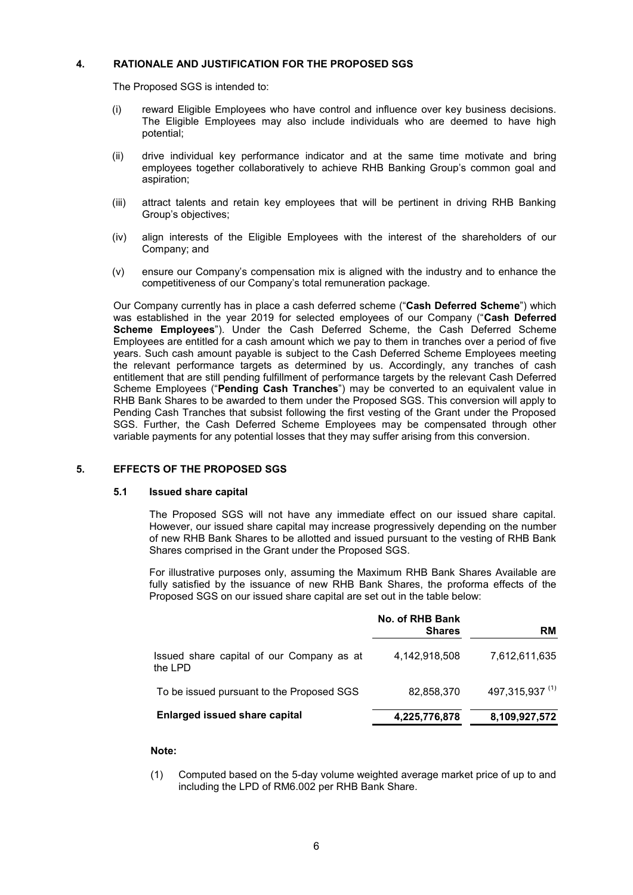# **4. RATIONALE AND JUSTIFICATION FOR THE PROPOSED SGS**

The Proposed SGS is intended to:

- (i) reward Eligible Employees who have control and influence over key business decisions. The Eligible Employees may also include individuals who are deemed to have high potential;
- (ii) drive individual key performance indicator and at the same time motivate and bring employees together collaboratively to achieve RHB Banking Group's common goal and aspiration;
- (iii) attract talents and retain key employees that will be pertinent in driving RHB Banking Group's objectives;
- (iv) align interests of the Eligible Employees with the interest of the shareholders of our Company; and
- (v) ensure our Company's compensation mix is aligned with the industry and to enhance the competitiveness of our Company's total remuneration package.

Our Company currently has in place a cash deferred scheme ("**Cash Deferred Scheme**") which was established in the year 2019 for selected employees of our Company ("**Cash Deferred Scheme Employees**"). Under the Cash Deferred Scheme, the Cash Deferred Scheme Employees are entitled for a cash amount which we pay to them in tranches over a period of five years. Such cash amount payable is subject to the Cash Deferred Scheme Employees meeting the relevant performance targets as determined by us. Accordingly, any tranches of cash entitlement that are still pending fulfillment of performance targets by the relevant Cash Deferred Scheme Employees ("**Pending Cash Tranches**") may be converted to an equivalent value in RHB Bank Shares to be awarded to them under the Proposed SGS. This conversion will apply to Pending Cash Tranches that subsist following the first vesting of the Grant under the Proposed SGS. Further, the Cash Deferred Scheme Employees may be compensated through other variable payments for any potential losses that they may suffer arising from this conversion.

# **5. EFFECTS OF THE PROPOSED SGS**

#### **5.1 Issued share capital**

The Proposed SGS will not have any immediate effect on our issued share capital. However, our issued share capital may increase progressively depending on the number of new RHB Bank Shares to be allotted and issued pursuant to the vesting of RHB Bank Shares comprised in the Grant under the Proposed SGS.

For illustrative purposes only, assuming the Maximum RHB Bank Shares Available are fully satisfied by the issuance of new RHB Bank Shares, the proforma effects of the Proposed SGS on our issued share capital are set out in the table below:

|                                                        | No. of RHB Bank<br><b>Shares</b> | <b>RM</b>                  |
|--------------------------------------------------------|----------------------------------|----------------------------|
| Issued share capital of our Company as at<br>the $1PD$ | 4,142,918,508                    | 7,612,611,635              |
| To be issued pursuant to the Proposed SGS              | 82,858,370                       | 497,315,937 <sup>(1)</sup> |
| <b>Enlarged issued share capital</b>                   | 4,225,776,878                    | 8,109,927,572              |

# **Note:**

(1) Computed based on the 5-day volume weighted average market price of up to and including the LPD of RM6.002 per RHB Bank Share.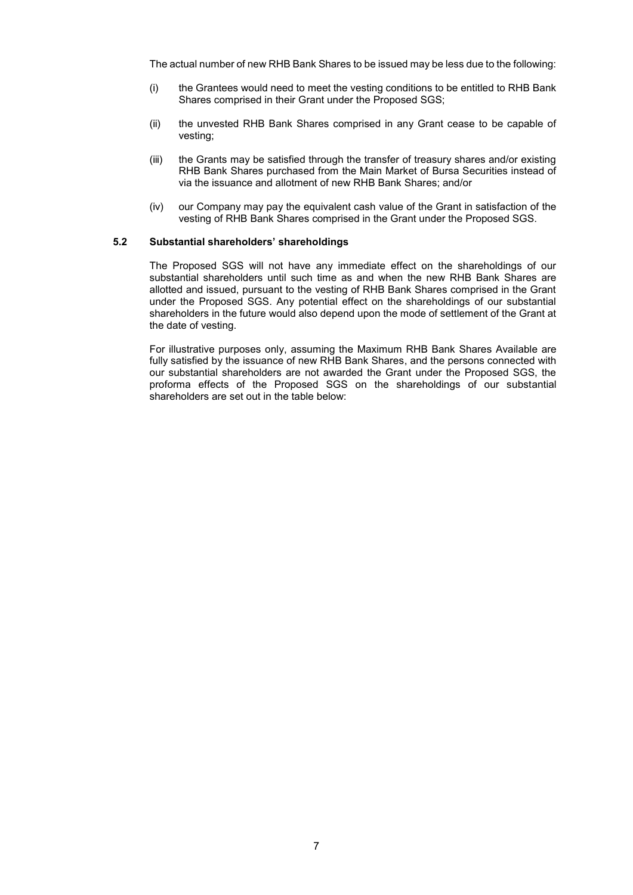The actual number of new RHB Bank Shares to be issued may be less due to the following:

- (i) the Grantees would need to meet the vesting conditions to be entitled to RHB Bank Shares comprised in their Grant under the Proposed SGS;
- (ii) the unvested RHB Bank Shares comprised in any Grant cease to be capable of vesting;
- (iii) the Grants may be satisfied through the transfer of treasury shares and/or existing RHB Bank Shares purchased from the Main Market of Bursa Securities instead of via the issuance and allotment of new RHB Bank Shares; and/or
- (iv) our Company may pay the equivalent cash value of the Grant in satisfaction of the vesting of RHB Bank Shares comprised in the Grant under the Proposed SGS.

#### **5.2 Substantial shareholders' shareholdings**

The Proposed SGS will not have any immediate effect on the shareholdings of our substantial shareholders until such time as and when the new RHB Bank Shares are allotted and issued, pursuant to the vesting of RHB Bank Shares comprised in the Grant under the Proposed SGS. Any potential effect on the shareholdings of our substantial shareholders in the future would also depend upon the mode of settlement of the Grant at the date of vesting.

For illustrative purposes only, assuming the Maximum RHB Bank Shares Available are fully satisfied by the issuance of new RHB Bank Shares, and the persons connected with our substantial shareholders are not awarded the Grant under the Proposed SGS, the proforma effects of the Proposed SGS on the shareholdings of our substantial shareholders are set out in the table below: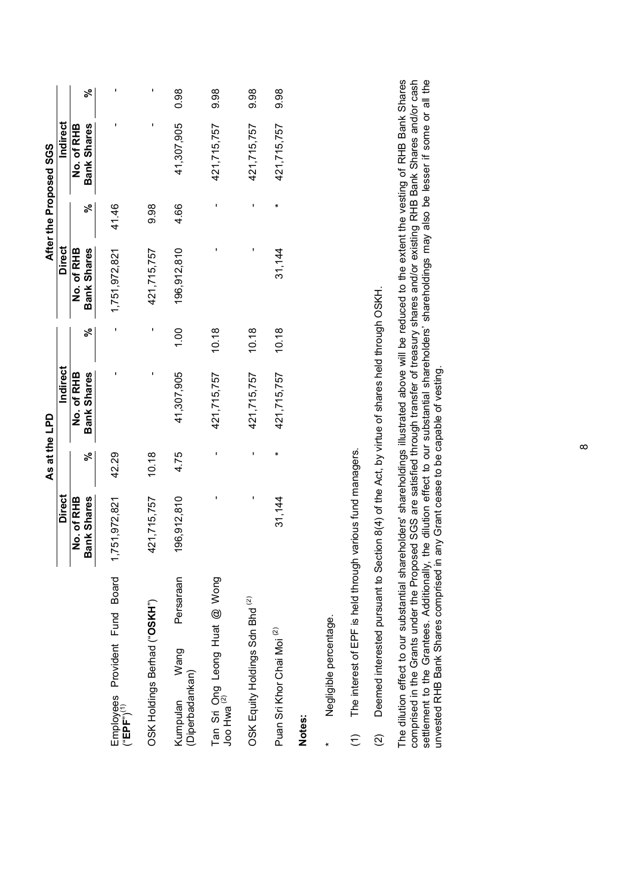|                                                          |                    | As at the LPD |                 |       |                    |       | After the Proposed SGS |      |
|----------------------------------------------------------|--------------------|---------------|-----------------|-------|--------------------|-------|------------------------|------|
|                                                          | <b>Direct</b>      |               | <b>Indirect</b> |       | <b>Direct</b>      |       | Indirect               |      |
|                                                          | No. of RHB         |               | No. of RHB      |       | No. of RHB         |       | No. of RHB             |      |
|                                                          | <b>Bank Shares</b> | వ్            | Bank Shares     | ಸಿ    | <b>Bank Shares</b> | ಸಿ    | <b>Bank Shares</b>     | వ్   |
| Employees Provident Fund Board<br>("EPF") <sup>(1)</sup> | 1,751,972,821      | 42.29         |                 |       | 1,751,972,821      | 41.46 |                        |      |
| OSK Holdings Berhad ("OSKH")                             | 421,715,757        | 10.18         |                 |       | 421,715,757        | 9.98  | ı                      |      |
| Persaraan<br>Wang<br>(Diperbadankan)<br>Kumpulan         | 196,912,810        | 4.75          | 41,307,905      | 1.00  | 196,912,810        | 4.66  | 41,307,905             | 0.98 |
| Tan Sri Ong Leong Huat @ Wong<br>Joo Hwa <sup>(2)</sup>  |                    |               | 421,715,757     | 10.18 |                    |       | 421,715,757            | 9.98 |
| OSK Equity Holdings Sdn Bhd <sup>(2)</sup>               |                    |               | 421,715,757     | 10.18 |                    |       | 421,715,757            | 9.98 |
| Puan Sri Khor Chai Moi <sup>(2)</sup>                    | 31,144             | ×             | 421,715,757     | 10.18 | 31,144             | ×     | 421,715,757            | 9.98 |
| Notes:                                                   |                    |               |                 |       |                    |       |                        |      |
| Negligible percentage.                                   |                    |               |                 |       |                    |       |                        |      |

The interest of EPF is held through various fund managers. (1) The interest of EPF is held through various fund managers.  $\widehat{z}$  Deemed interested pursuant to Section 8(4) of the Act, by virtue of shares held through OSKH. (2) Deemed interested pursuant to Section 8(4) of the Act, by virtue of shares held through OSKH.  $\widehat{z}$  The dilution effect to our substantial shareholders' shareholdings illustrated above will be reduced to the extent the vesting of RHB Bank Shares<br>comprised in the Grants under the Proposed SGS are satisfied through transfe The dilution effect to our substantial shareholders' shareholdings illustrated above will be reduced to the extent the vesting of RHB Bank Shares comprised in the Grants under the Proposed SGS are satisfied through transfer of treasury shares and/or existing RHB Bank Shares and/or cash settlement to the Grantees. Additionally, the dilution effect to our substantial shareholders' shareholdings may also be lesser if some or all the settlement to the Grantees. Additionally, the dilution effect to our substantial shareholders' shareholdings may also be lesser if some or all the unvested RHB Bank Shares comprised in any Grant cease to be capable of vesting. unvested RHB Bank Shares comprised in any Grant cease to be capable of vesting.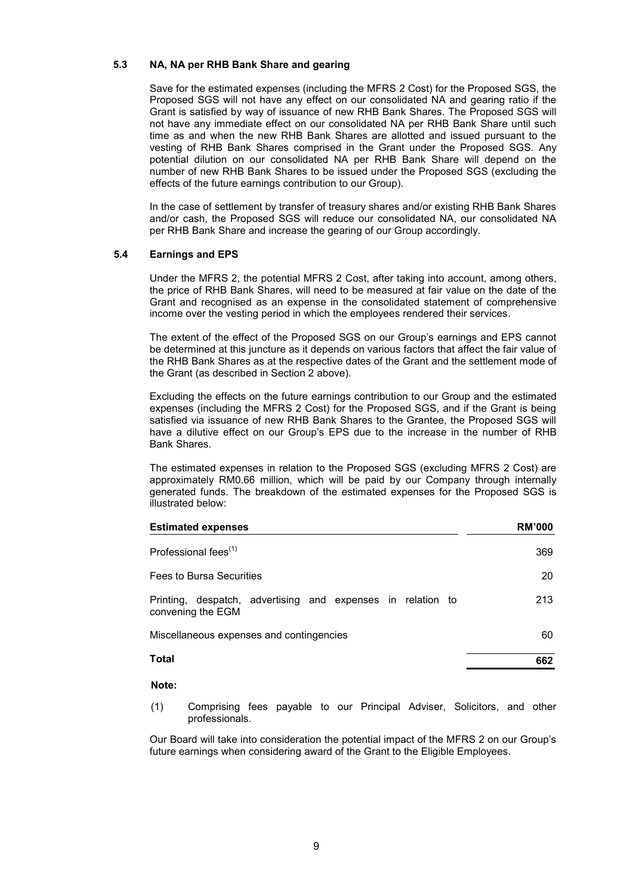# **5.3 NA, NA per RHB Bank Share and gearing**

Save for the estimated expenses (including the MFRS 2 Cost) for the Proposed SGS, the Proposed SGS will not have any effect on our consolidated NA and gearing ratio if the Grant is satisfied by way of issuance of new RHB Bank Shares. The Proposed SGS will not have any immediate effect on our consolidated NA per RHB Bank Share until such time as and when the new RHB Bank Shares are allotted and issued pursuant to the vesting of RHB Bank Shares comprised in the Grant under the Proposed SGS. Any potential dilution on our consolidated NA per RHB Bank Share will depend on the number of new RHB Bank Shares to be issued under the Proposed SGS (excluding the effects of the future earnings contribution to our Group).

In the case of settlement by transfer of treasury shares and/or existing RHB Bank Shares and/or cash, the Proposed SGS will reduce our consolidated NA, our consolidated NA per RHB Bank Share and increase the gearing of our Group accordingly.

# **5.4 Earnings and EPS**

Under the MFRS 2, the potential MFRS 2 Cost, after taking into account, among others, the price of RHB Bank Shares, will need to be measured at fair value on the date of the Grant and recognised as an expense in the consolidated statement of comprehensive income over the vesting period in which the employees rendered their services.

The extent of the effect of the Proposed SGS on our Group's earnings and EPS cannot be determined at this juncture as it depends on various factors that affect the fair value of the RHB Bank Shares as at the respective dates of the Grant and the settlement mode of the Grant (as described in Section 2 above).

Excluding the effects on the future earnings contribution to our Group and the estimated expenses (including the MFRS 2 Cost) for the Proposed SGS, and if the Grant is being satisfied via issuance of new RHB Bank Shares to the Grantee, the Proposed SGS will have a dilutive effect on our Group's EPS due to the increase in the number of RHB Bank Shares.

The estimated expenses in relation to the Proposed SGS (excluding MFRS 2 Cost) are approximately RM0.66 million, which will be paid by our Company through internally generated funds. The breakdown of the estimated expenses for the Proposed SGS is illustrated below:

| <b>Estimated expenses</b>                                                           | <b>RM'000</b> |
|-------------------------------------------------------------------------------------|---------------|
| Professional fees <sup>(1)</sup>                                                    | 369           |
| Fees to Bursa Securities                                                            | 20            |
| despatch, advertising and expenses in relation to<br>Printing,<br>convening the EGM | 213           |
| Miscellaneous expenses and contingencies                                            | 60            |
| <b>Total</b>                                                                        | 662           |

#### **Note:**

(1) Comprising fees payable to our Principal Adviser, Solicitors, and other professionals.

Our Board will take into consideration the potential impact of the MFRS 2 on our Group's future earnings when considering award of the Grant to the Eligible Employees.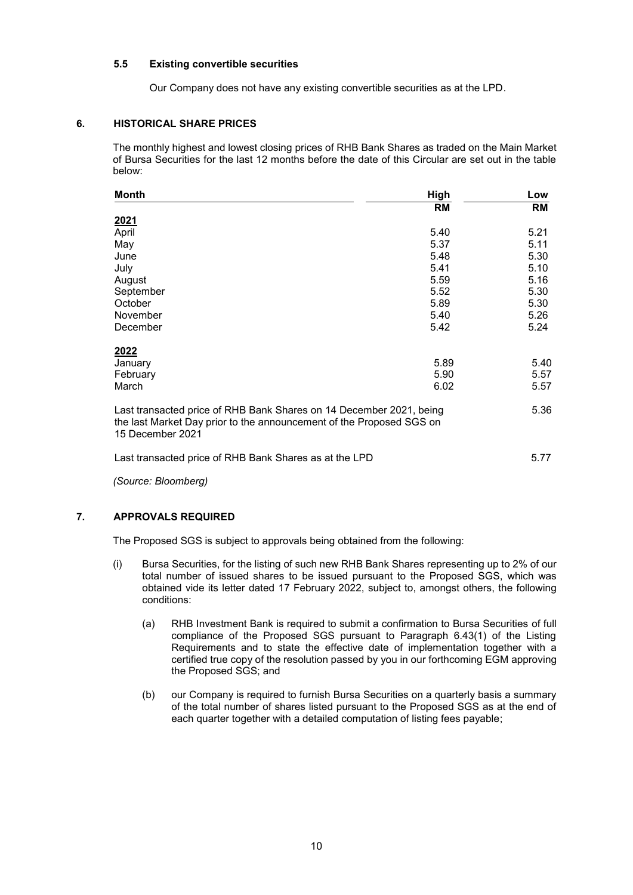# **5.5 Existing convertible securities**

Our Company does not have any existing convertible securities as at the LPD.

# **6. HISTORICAL SHARE PRICES**

The monthly highest and lowest closing prices of RHB Bank Shares as traded on the Main Market of Bursa Securities for the last 12 months before the date of this Circular are set out in the table below:

| Month                                                                                                                                                           | High | Low       |
|-----------------------------------------------------------------------------------------------------------------------------------------------------------------|------|-----------|
|                                                                                                                                                                 | RM   | <b>RM</b> |
| <u>2021</u>                                                                                                                                                     |      |           |
| April                                                                                                                                                           | 5.40 | 5.21      |
| May                                                                                                                                                             | 5.37 | 5.11      |
| June                                                                                                                                                            | 5.48 | 5.30      |
| July                                                                                                                                                            | 5.41 | 5.10      |
| August                                                                                                                                                          | 5.59 | 5.16      |
| September                                                                                                                                                       | 5.52 | 5.30      |
| October                                                                                                                                                         | 5.89 | 5.30      |
| November                                                                                                                                                        | 5.40 | 5.26      |
| December                                                                                                                                                        | 5.42 | 5.24      |
| 2022                                                                                                                                                            |      |           |
| January                                                                                                                                                         | 5.89 | 5.40      |
| February                                                                                                                                                        | 5.90 | 5.57      |
| March                                                                                                                                                           | 6.02 | 5.57      |
| Last transacted price of RHB Bank Shares on 14 December 2021, being<br>the last Market Day prior to the announcement of the Proposed SGS on<br>15 December 2021 |      | 5.36      |
| Last transacted price of RHB Bank Shares as at the LPD                                                                                                          |      | 5.77      |

*(Source: Bloomberg)*

# **7. APPROVALS REQUIRED**

The Proposed SGS is subject to approvals being obtained from the following:

- (i) Bursa Securities, for the listing of such new RHB Bank Shares representing up to 2% of our total number of issued shares to be issued pursuant to the Proposed SGS, which was obtained vide its letter dated 17 February 2022, subject to, amongst others, the following conditions:
	- (a) RHB Investment Bank is required to submit a confirmation to Bursa Securities of full compliance of the Proposed SGS pursuant to Paragraph 6.43(1) of the Listing Requirements and to state the effective date of implementation together with a certified true copy of the resolution passed by you in our forthcoming EGM approving the Proposed SGS; and
	- (b) our Company is required to furnish Bursa Securities on a quarterly basis a summary of the total number of shares listed pursuant to the Proposed SGS as at the end of each quarter together with a detailed computation of listing fees payable;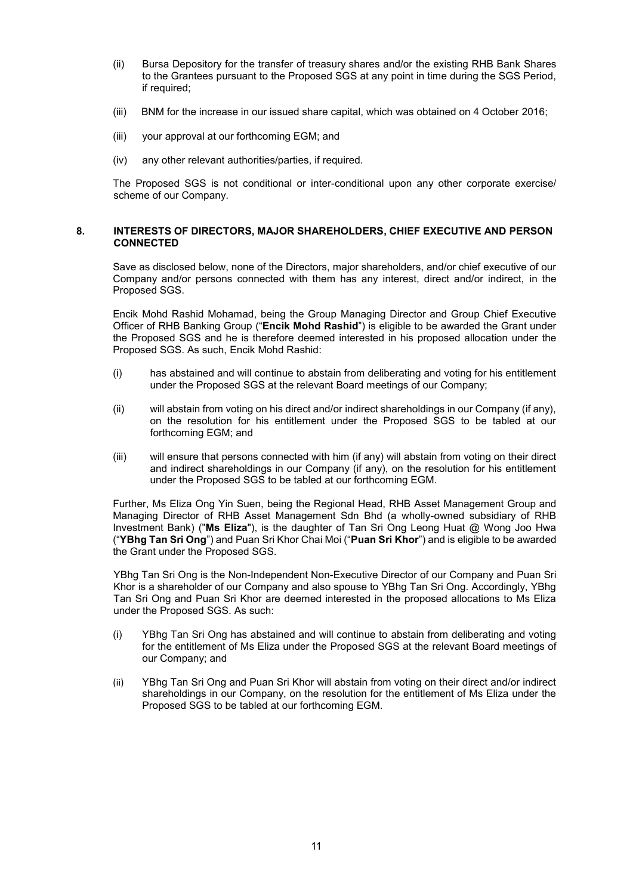- (ii) Bursa Depository for the transfer of treasury shares and/or the existing RHB Bank Shares to the Grantees pursuant to the Proposed SGS at any point in time during the SGS Period, if required;
- (iii) BNM for the increase in our issued share capital, which was obtained on 4 October 2016;
- (iii) your approval at our forthcoming EGM; and
- (iv) any other relevant authorities/parties, if required.

The Proposed SGS is not conditional or inter-conditional upon any other corporate exercise/ scheme of our Company.

#### **8. INTERESTS OF DIRECTORS, MAJOR SHAREHOLDERS, CHIEF EXECUTIVE AND PERSON CONNECTED**

Save as disclosed below, none of the Directors, major shareholders, and/or chief executive of our Company and/or persons connected with them has any interest, direct and/or indirect, in the Proposed SGS.

Encik Mohd Rashid Mohamad, being the Group Managing Director and Group Chief Executive Officer of RHB Banking Group ("**Encik Mohd Rashid**") is eligible to be awarded the Grant under the Proposed SGS and he is therefore deemed interested in his proposed allocation under the Proposed SGS. As such, Encik Mohd Rashid:

- (i) has abstained and will continue to abstain from deliberating and voting for his entitlement under the Proposed SGS at the relevant Board meetings of our Company;
- (ii) will abstain from voting on his direct and/or indirect shareholdings in our Company (if any), on the resolution for his entitlement under the Proposed SGS to be tabled at our forthcoming EGM; and
- (iii) will ensure that persons connected with him (if any) will abstain from voting on their direct and indirect shareholdings in our Company (if any), on the resolution for his entitlement under the Proposed SGS to be tabled at our forthcoming EGM.

Further, Ms Eliza Ong Yin Suen, being the Regional Head, RHB Asset Management Group and Managing Director of RHB Asset Management Sdn Bhd (a wholly-owned subsidiary of RHB Investment Bank) ("**Ms Eliza**"), is the daughter of Tan Sri Ong Leong Huat @ Wong Joo Hwa ("**YBhg Tan Sri Ong**") and Puan Sri Khor Chai Moi ("**Puan Sri Khor**") and is eligible to be awarded the Grant under the Proposed SGS.

YBhg Tan Sri Ong is the Non-Independent Non-Executive Director of our Company and Puan Sri Khor is a shareholder of our Company and also spouse to YBhg Tan Sri Ong. Accordingly, YBhg Tan Sri Ong and Puan Sri Khor are deemed interested in the proposed allocations to Ms Eliza under the Proposed SGS. As such:

- (i) YBhg Tan Sri Ong has abstained and will continue to abstain from deliberating and voting for the entitlement of Ms Eliza under the Proposed SGS at the relevant Board meetings of our Company; and
- (ii) YBhg Tan Sri Ong and Puan Sri Khor will abstain from voting on their direct and/or indirect shareholdings in our Company, on the resolution for the entitlement of Ms Eliza under the Proposed SGS to be tabled at our forthcoming EGM.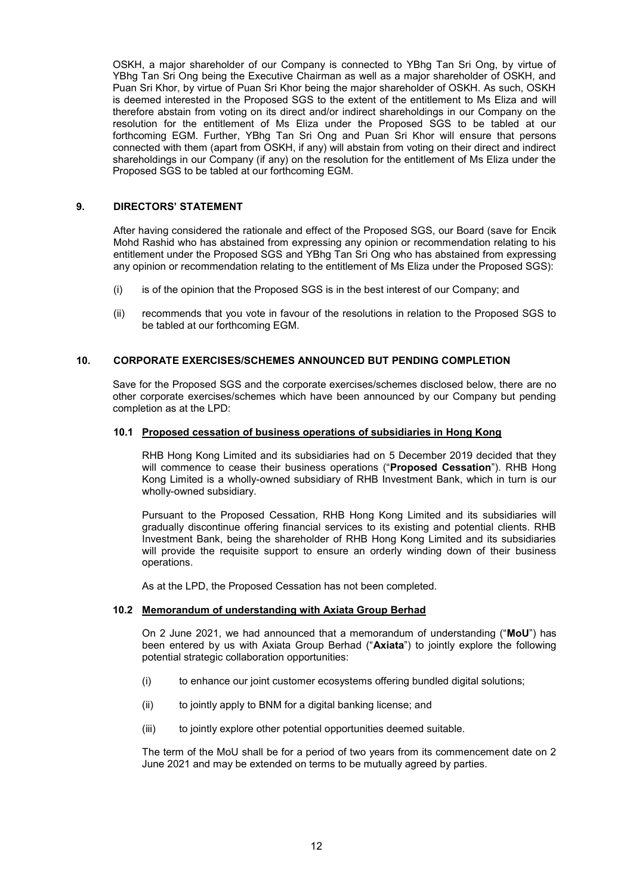OSKH, a major shareholder of our Company is connected to YBhg Tan Sri Ong, by virtue of YBhg Tan Sri Ong being the Executive Chairman as well as a major shareholder of OSKH, and Puan Sri Khor, by virtue of Puan Sri Khor being the major shareholder of OSKH. As such, OSKH is deemed interested in the Proposed SGS to the extent of the entitlement to Ms Eliza and will therefore abstain from voting on its direct and/or indirect shareholdings in our Company on the resolution for the entitlement of Ms Eliza under the Proposed SGS to be tabled at our forthcoming EGM. Further, YBhg Tan Sri Ong and Puan Sri Khor will ensure that persons connected with them (apart from OSKH, if any) will abstain from voting on their direct and indirect shareholdings in our Company (if any) on the resolution for the entitlement of Ms Eliza under the Proposed SGS to be tabled at our forthcoming EGM.

# **9. DIRECTORS' STATEMENT**

After having considered the rationale and effect of the Proposed SGS, our Board (save for Encik Mohd Rashid who has abstained from expressing any opinion or recommendation relating to his entitlement under the Proposed SGS and YBhg Tan Sri Ong who has abstained from expressing any opinion or recommendation relating to the entitlement of Ms Eliza under the Proposed SGS):

- (i) is of the opinion that the Proposed SGS is in the best interest of our Company; and
- (ii) recommends that you vote in favour of the resolutions in relation to the Proposed SGS to be tabled at our forthcoming EGM.

# **10. CORPORATE EXERCISES/SCHEMES ANNOUNCED BUT PENDING COMPLETION**

Save for the Proposed SGS and the corporate exercises/schemes disclosed below, there are no other corporate exercises/schemes which have been announced by our Company but pending completion as at the LPD:

#### **10.1 Proposed cessation of business operations of subsidiaries in Hong Kong**

RHB Hong Kong Limited and its subsidiaries had on 5 December 2019 decided that they will commence to cease their business operations ("**Proposed Cessation**"). RHB Hong Kong Limited is a wholly-owned subsidiary of RHB Investment Bank, which in turn is our wholly-owned subsidiary.

Pursuant to the Proposed Cessation, RHB Hong Kong Limited and its subsidiaries will gradually discontinue offering financial services to its existing and potential clients. RHB Investment Bank, being the shareholder of RHB Hong Kong Limited and its subsidiaries will provide the requisite support to ensure an orderly winding down of their business operations.

As at the LPD, the Proposed Cessation has not been completed.

# **10.2 Memorandum of understanding with Axiata Group Berhad**

On 2 June 2021, we had announced that a memorandum of understanding ("**MoU**") has been entered by us with Axiata Group Berhad ("**Axiata**") to jointly explore the following potential strategic collaboration opportunities:

- (i) to enhance our joint customer ecosystems offering bundled digital solutions;
- (ii) to jointly apply to BNM for a digital banking license; and
- (iii) to jointly explore other potential opportunities deemed suitable.

The term of the MoU shall be for a period of two years from its commencement date on 2 June 2021 and may be extended on terms to be mutually agreed by parties.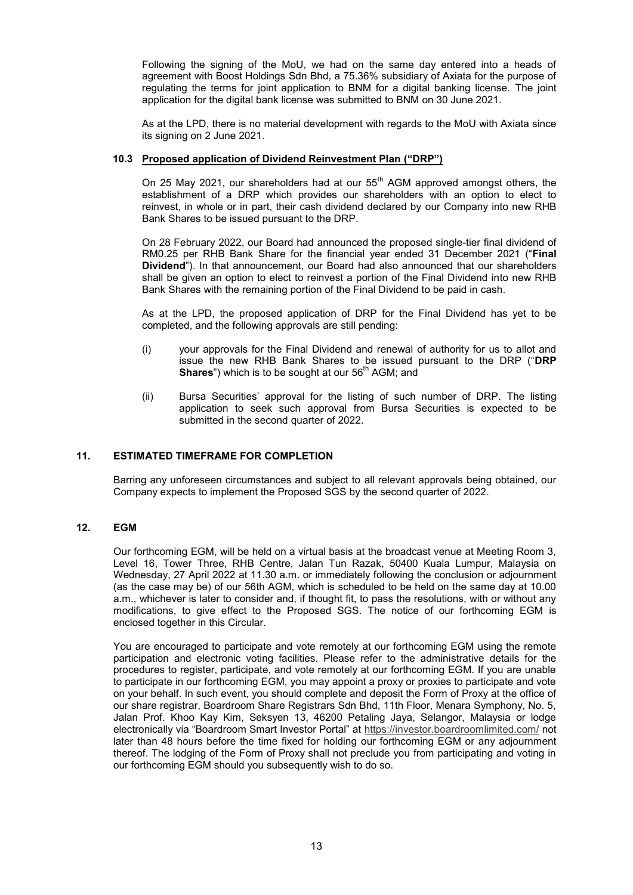Following the signing of the MoU, we had on the same day entered into a heads of agreement with Boost Holdings Sdn Bhd, a 75.36% subsidiary of Axiata for the purpose of regulating the terms for joint application to BNM for a digital banking license. The joint application for the digital bank license was submitted to BNM on 30 June 2021.

As at the LPD, there is no material development with regards to the MoU with Axiata since its signing on 2 June 2021.

# **10.3 Proposed application of Dividend Reinvestment Plan ("DRP")**

On 25 May 2021, our shareholders had at our 55<sup>th</sup> AGM approved amongst others, the establishment of a DRP which provides our shareholders with an option to elect to reinvest, in whole or in part, their cash dividend declared by our Company into new RHB Bank Shares to be issued pursuant to the DRP.

On 28 February 2022, our Board had announced the proposed single-tier final dividend of RM0.25 per RHB Bank Share for the financial year ended 31 December 2021 ("**Final Dividend**"). In that announcement, our Board had also announced that our shareholders shall be given an option to elect to reinvest a portion of the Final Dividend into new RHB Bank Shares with the remaining portion of the Final Dividend to be paid in cash.

As at the LPD, the proposed application of DRP for the Final Dividend has yet to be completed, and the following approvals are still pending:

- (i) your approvals for the Final Dividend and renewal of authority for us to allot and issue the new RHB Bank Shares to be issued pursuant to the DRP ("**DRP Shares**") which is to be sought at our 56<sup>th</sup> AGM; and
- (ii) Bursa Securities' approval for the listing of such number of DRP. The listing application to seek such approval from Bursa Securities is expected to be submitted in the second quarter of 2022.

# **11. ESTIMATED TIMEFRAME FOR COMPLETION**

Barring any unforeseen circumstances and subject to all relevant approvals being obtained, our Company expects to implement the Proposed SGS by the second quarter of 2022.

#### **12. EGM**

Our forthcoming EGM, will be held on a virtual basis at the broadcast venue at Meeting Room 3, Level 16, Tower Three, RHB Centre, Jalan Tun Razak, 50400 Kuala Lumpur, Malaysia on Wednesday, 27 April 2022 at 11.30 a.m. or immediately following the conclusion or adjournment (as the case may be) of our 56th AGM, which is scheduled to be held on the same day at 10.00 a.m., whichever is later to consider and, if thought fit, to pass the resolutions, with or without any modifications, to give effect to the Proposed SGS. The notice of our forthcoming EGM is enclosed together in this Circular.

You are encouraged to participate and vote remotely at our forthcoming EGM using the remote participation and electronic voting facilities. Please refer to the administrative details for the procedures to register, participate, and vote remotely at our forthcoming EGM. If you are unable to participate in our forthcoming EGM, you may appoint a proxy or proxies to participate and vote on your behalf. In such event, you should complete and deposit the Form of Proxy at the office of our share registrar, Boardroom Share Registrars Sdn Bhd, 11th Floor, Menara Symphony, No. 5, Jalan Prof. Khoo Kay Kim, Seksyen 13, 46200 Petaling Jaya, Selangor, Malaysia or lodge electronically via "Boardroom Smart Investor Portal" at https://investor.boardroomlimited.com/ not later than 48 hours before the time fixed for holding our forthcoming EGM or any adjournment thereof. The lodging of the Form of Proxy shall not preclude you from participating and voting in our forthcoming EGM should you subsequently wish to do so.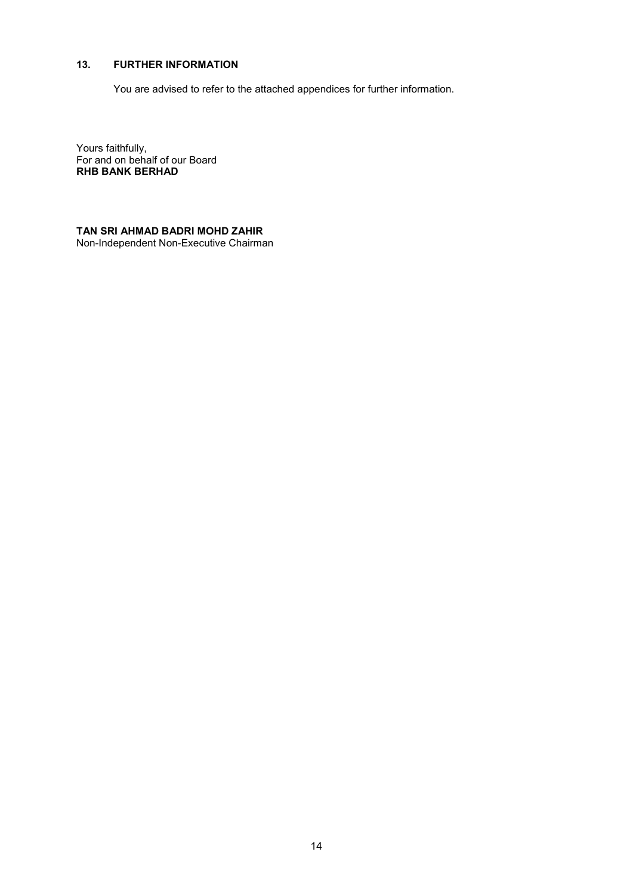# **13. FURTHER INFORMATION**

You are advised to refer to the attached appendices for further information.

Yours faithfully, For and on behalf of our Board **RHB BANK BERHAD** 

**TAN SRI AHMAD BADRI MOHD ZAHIR** Non-Independent Non-Executive Chairman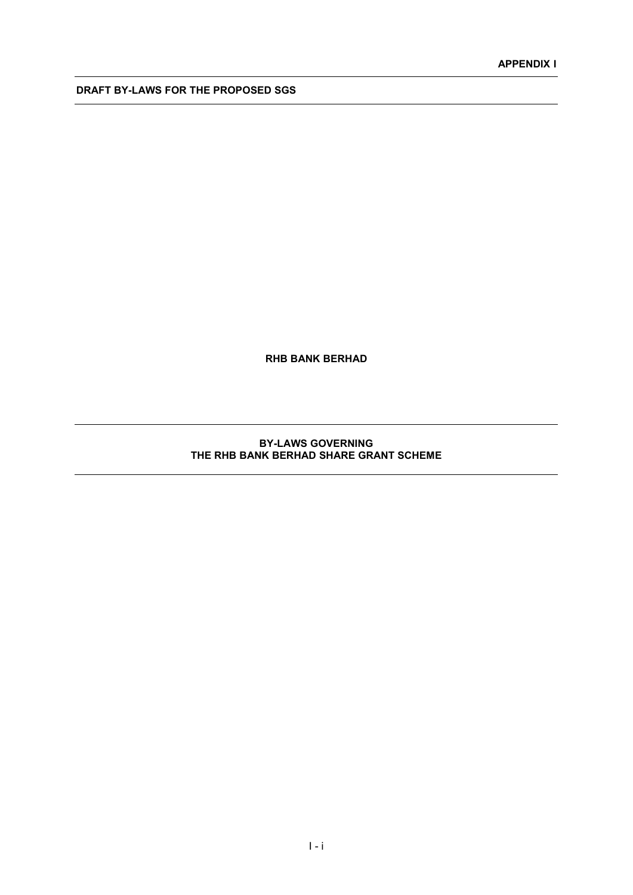**RHB BANK BERHAD**

# **BY-LAWS GOVERNING THE RHB BANK BERHAD SHARE GRANT SCHEME**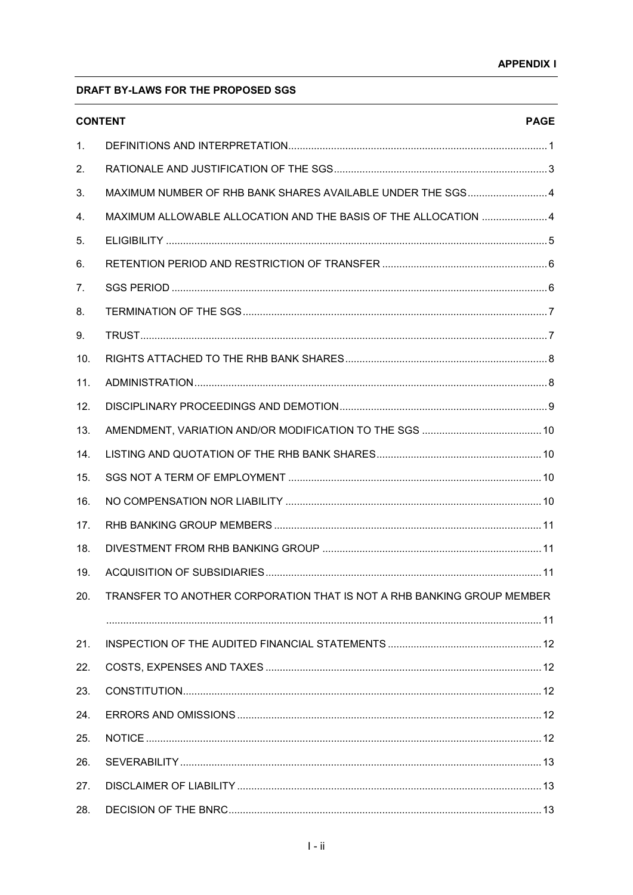|     | <b>CONTENT</b>                                                         | <b>PAGE</b> |
|-----|------------------------------------------------------------------------|-------------|
| 1.  |                                                                        |             |
| 2.  |                                                                        |             |
| 3.  | MAXIMUM NUMBER OF RHB BANK SHARES AVAILABLE UNDER THE SGS 4            |             |
| 4.  | MAXIMUM ALLOWABLE ALLOCATION AND THE BASIS OF THE ALLOCATION  4        |             |
| 5.  |                                                                        |             |
| 6.  |                                                                        |             |
| 7.  |                                                                        |             |
| 8.  |                                                                        |             |
| 9.  |                                                                        |             |
| 10. |                                                                        |             |
| 11. |                                                                        |             |
| 12. |                                                                        |             |
| 13. |                                                                        |             |
| 14. |                                                                        |             |
| 15. |                                                                        |             |
| 16. |                                                                        |             |
| 17. |                                                                        |             |
| 18. |                                                                        |             |
| 19. |                                                                        |             |
| 20. | TRANSFER TO ANOTHER CORPORATION THAT IS NOT A RHB BANKING GROUP MEMBER |             |
|     |                                                                        |             |
| 21. |                                                                        |             |
| 22. |                                                                        |             |
| 23. |                                                                        |             |
| 24. |                                                                        |             |
| 25. |                                                                        |             |
| 26. |                                                                        |             |
| 27. |                                                                        |             |
| 28. |                                                                        |             |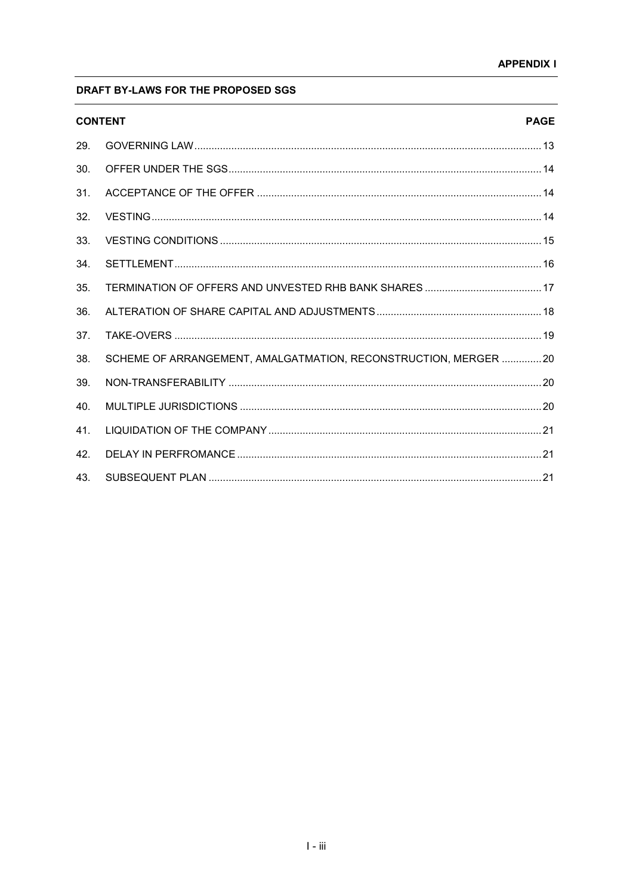| <b>CONTENT</b>  |                                                                 | <b>PAGE</b> |
|-----------------|-----------------------------------------------------------------|-------------|
| 29.             |                                                                 |             |
| 30.             |                                                                 |             |
| 31.             |                                                                 |             |
| 32.             |                                                                 |             |
| 33.             |                                                                 |             |
| 34.             |                                                                 |             |
| 35.             |                                                                 |             |
| 36.             |                                                                 |             |
| 37 <sub>1</sub> |                                                                 |             |
| 38.             | SCHEME OF ARRANGEMENT, AMALGATMATION, RECONSTRUCTION, MERGER 20 |             |
| 39.             |                                                                 |             |
| 40.             |                                                                 |             |
| 41.             |                                                                 |             |
| 42.             |                                                                 |             |
| 43.             |                                                                 |             |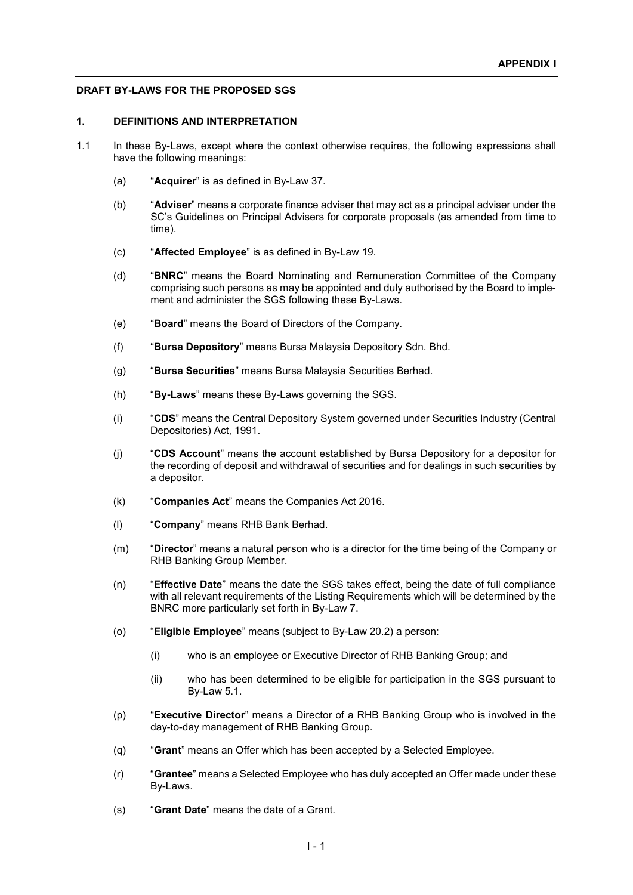#### **1. DEFINITIONS AND INTERPRETATION**

- 1.1 In these By-Laws, except where the context otherwise requires, the following expressions shall have the following meanings:
	- (a) "**Acquirer**" is as defined in By-Law 37.
	- (b) "**Adviser**" means a corporate finance adviser that may act as a principal adviser under the SC's Guidelines on Principal Advisers for corporate proposals (as amended from time to time).
	- (c) "**Affected Employee**" is as defined in By-Law 19.
	- (d) "**BNRC**" means the Board Nominating and Remuneration Committee of the Company comprising such persons as may be appointed and duly authorised by the Board to implement and administer the SGS following these By-Laws.
	- (e) "**Board**" means the Board of Directors of the Company.
	- (f) "**Bursa Depository**" means Bursa Malaysia Depository Sdn. Bhd.
	- (g) "**Bursa Securities**" means Bursa Malaysia Securities Berhad.
	- (h) "**By-Laws**" means these By-Laws governing the SGS.
	- (i) "**CDS**" means the Central Depository System governed under Securities Industry (Central Depositories) Act, 1991.
	- (j) "**CDS Account**" means the account established by Bursa Depository for a depositor for the recording of deposit and withdrawal of securities and for dealings in such securities by a depositor.
	- (k) "**Companies Act**" means the Companies Act 2016.
	- (l) "**Company**" means RHB Bank Berhad.
	- (m) "**Director**" means a natural person who is a director for the time being of the Company or RHB Banking Group Member.
	- (n) "**Effective Date**" means the date the SGS takes effect, being the date of full compliance with all relevant requirements of the Listing Requirements which will be determined by the BNRC more particularly set forth in By-Law 7.
	- (o) "**Eligible Employee**" means (subject to By-Law 20.2) a person:
		- (i) who is an employee or Executive Director of RHB Banking Group; and
		- (ii) who has been determined to be eligible for participation in the SGS pursuant to By-Law 5.1.
	- (p) "**Executive Director**" means a Director of a RHB Banking Group who is involved in the day-to-day management of RHB Banking Group.
	- (q) "**Grant**" means an Offer which has been accepted by a Selected Employee.
	- (r) "**Grantee**" means a Selected Employee who has duly accepted an Offer made under these By-Laws.
	- (s) "**Grant Date**" means the date of a Grant.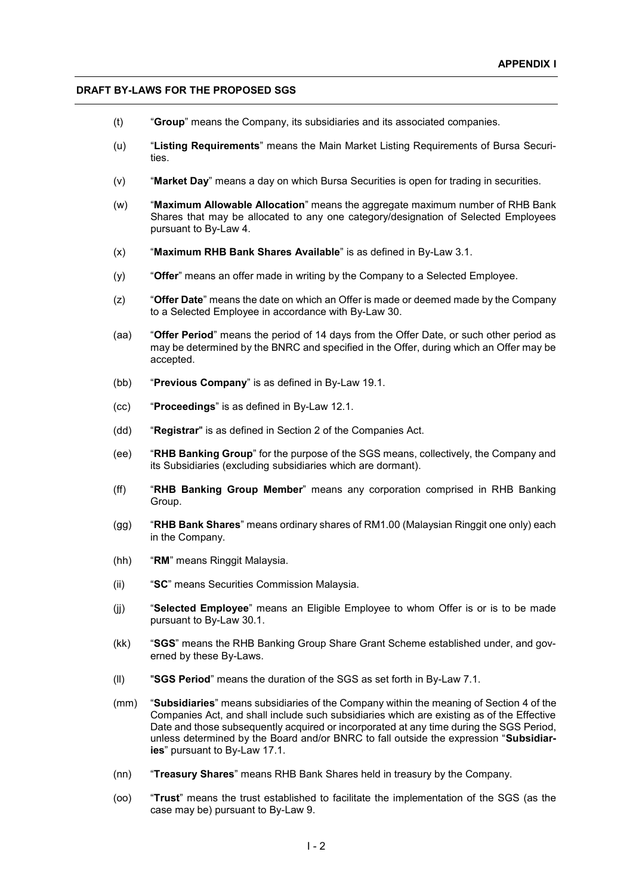- (t) "**Group**" means the Company, its subsidiaries and its associated companies.
- (u) "**Listing Requirements**" means the Main Market Listing Requirements of Bursa Securities.
- (v) "**Market Day**" means a day on which Bursa Securities is open for trading in securities.
- (w) "**Maximum Allowable Allocation**" means the aggregate maximum number of RHB Bank Shares that may be allocated to any one category/designation of Selected Employees pursuant to By-Law 4.
- (x) "**Maximum RHB Bank Shares Available**" is as defined in By-Law 3.1.
- (y) "**Offer**" means an offer made in writing by the Company to a Selected Employee.
- (z) "**Offer Date**" means the date on which an Offer is made or deemed made by the Company to a Selected Employee in accordance with By-Law 30.
- (aa) "**Offer Period**" means the period of 14 days from the Offer Date, or such other period as may be determined by the BNRC and specified in the Offer, during which an Offer may be accepted.
- (bb) "**Previous Company**" is as defined in By-Law 19.1.
- (cc) "**Proceedings**" is as defined in By-Law 12.1.
- (dd) "**Registrar**" is as defined in Section 2 of the Companies Act.
- (ee) "**RHB Banking Group**" for the purpose of the SGS means, collectively, the Company and its Subsidiaries (excluding subsidiaries which are dormant).
- (ff) "**RHB Banking Group Member**" means any corporation comprised in RHB Banking Group.
- (gg) "**RHB Bank Shares**" means ordinary shares of RM1.00 (Malaysian Ringgit one only) each in the Company.
- (hh) "**RM**" means Ringgit Malaysia.
- (ii) "**SC**" means Securities Commission Malaysia.
- (jj) "**Selected Employee**" means an Eligible Employee to whom Offer is or is to be made pursuant to By-Law 30.1.
- (kk) "**SGS**" means the RHB Banking Group Share Grant Scheme established under, and governed by these By-Laws.
- (ll) "**SGS Period**" means the duration of the SGS as set forth in By-Law 7.1.
- (mm) "**Subsidiaries**" means subsidiaries of the Company within the meaning of Section 4 of the Companies Act, and shall include such subsidiaries which are existing as of the Effective Date and those subsequently acquired or incorporated at any time during the SGS Period, unless determined by the Board and/or BNRC to fall outside the expression "**Subsidiaries**" pursuant to By-Law 17.1.
- (nn) "**Treasury Shares**" means RHB Bank Shares held in treasury by the Company.
- (oo) "**Trust**" means the trust established to facilitate the implementation of the SGS (as the case may be) pursuant to By-Law 9.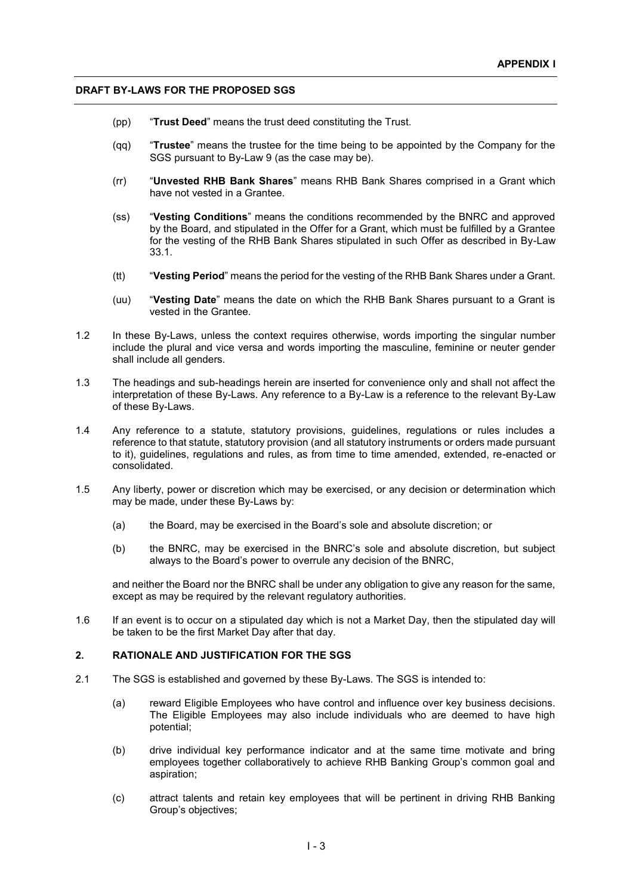- (pp) "**Trust Deed**" means the trust deed constituting the Trust.
- (qq) "**Trustee**" means the trustee for the time being to be appointed by the Company for the SGS pursuant to By-Law 9 (as the case may be).
- (rr) "**Unvested RHB Bank Shares**" means RHB Bank Shares comprised in a Grant which have not vested in a Grantee.
- (ss) "**Vesting Conditions**" means the conditions recommended by the BNRC and approved by the Board, and stipulated in the Offer for a Grant, which must be fulfilled by a Grantee for the vesting of the RHB Bank Shares stipulated in such Offer as described in By-Law 33.1.
- (tt) "**Vesting Period**" means the period for the vesting of the RHB Bank Shares under a Grant.
- (uu) "**Vesting Date**" means the date on which the RHB Bank Shares pursuant to a Grant is vested in the Grantee.
- 1.2 In these By-Laws, unless the context requires otherwise, words importing the singular number include the plural and vice versa and words importing the masculine, feminine or neuter gender shall include all genders.
- 1.3 The headings and sub-headings herein are inserted for convenience only and shall not affect the interpretation of these By-Laws. Any reference to a By-Law is a reference to the relevant By-Law of these By-Laws.
- 1.4 Any reference to a statute, statutory provisions, guidelines, regulations or rules includes a reference to that statute, statutory provision (and all statutory instruments or orders made pursuant to it), guidelines, regulations and rules, as from time to time amended, extended, re-enacted or consolidated.
- 1.5 Any liberty, power or discretion which may be exercised, or any decision or determination which may be made, under these By-Laws by:
	- (a) the Board, may be exercised in the Board's sole and absolute discretion; or
	- (b) the BNRC, may be exercised in the BNRC's sole and absolute discretion, but subject always to the Board's power to overrule any decision of the BNRC,

and neither the Board nor the BNRC shall be under any obligation to give any reason for the same, except as may be required by the relevant regulatory authorities.

1.6 If an event is to occur on a stipulated day which is not a Market Day, then the stipulated day will be taken to be the first Market Day after that day.

#### **2. RATIONALE AND JUSTIFICATION FOR THE SGS**

- 2.1 The SGS is established and governed by these By-Laws. The SGS is intended to:
	- (a) reward Eligible Employees who have control and influence over key business decisions. The Eligible Employees may also include individuals who are deemed to have high potential;
	- (b) drive individual key performance indicator and at the same time motivate and bring employees together collaboratively to achieve RHB Banking Group's common goal and aspiration;
	- (c) attract talents and retain key employees that will be pertinent in driving RHB Banking Group's objectives;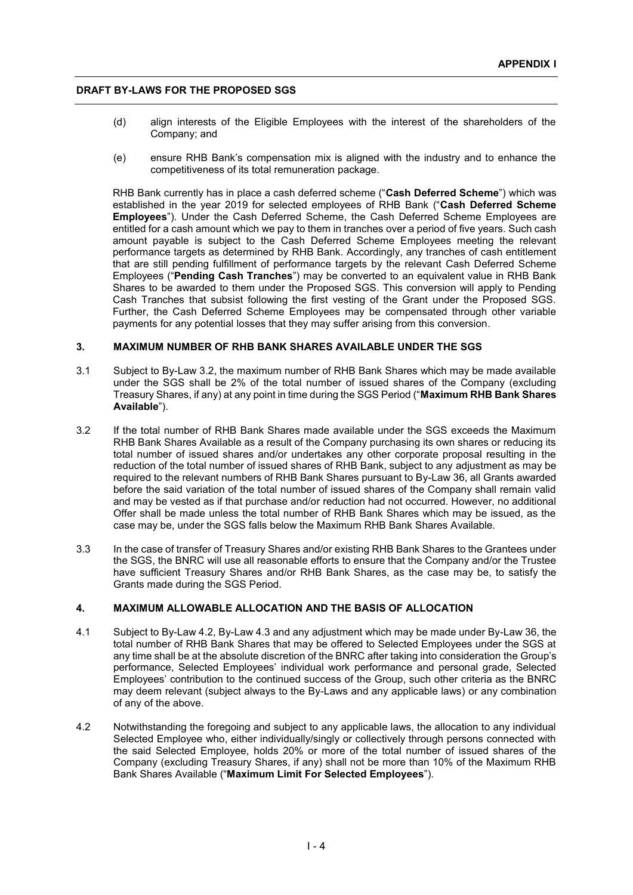- (d) align interests of the Eligible Employees with the interest of the shareholders of the Company; and
- (e) ensure RHB Bank's compensation mix is aligned with the industry and to enhance the competitiveness of its total remuneration package.

RHB Bank currently has in place a cash deferred scheme ("**Cash Deferred Scheme**") which was established in the year 2019 for selected employees of RHB Bank ("**Cash Deferred Scheme Employees**"). Under the Cash Deferred Scheme, the Cash Deferred Scheme Employees are entitled for a cash amount which we pay to them in tranches over a period of five years. Such cash amount payable is subject to the Cash Deferred Scheme Employees meeting the relevant performance targets as determined by RHB Bank. Accordingly, any tranches of cash entitlement that are still pending fulfillment of performance targets by the relevant Cash Deferred Scheme Employees ("**Pending Cash Tranches**") may be converted to an equivalent value in RHB Bank Shares to be awarded to them under the Proposed SGS. This conversion will apply to Pending Cash Tranches that subsist following the first vesting of the Grant under the Proposed SGS. Further, the Cash Deferred Scheme Employees may be compensated through other variable payments for any potential losses that they may suffer arising from this conversion.

# **3. MAXIMUM NUMBER OF RHB BANK SHARES AVAILABLE UNDER THE SGS**

- 3.1 Subject to By-Law 3.2, the maximum number of RHB Bank Shares which may be made available under the SGS shall be 2% of the total number of issued shares of the Company (excluding Treasury Shares, if any) at any point in time during the SGS Period ("**Maximum RHB Bank Shares Available**").
- 3.2 If the total number of RHB Bank Shares made available under the SGS exceeds the Maximum RHB Bank Shares Available as a result of the Company purchasing its own shares or reducing its total number of issued shares and/or undertakes any other corporate proposal resulting in the reduction of the total number of issued shares of RHB Bank, subject to any adjustment as may be required to the relevant numbers of RHB Bank Shares pursuant to By-Law 36, all Grants awarded before the said variation of the total number of issued shares of the Company shall remain valid and may be vested as if that purchase and/or reduction had not occurred. However, no additional Offer shall be made unless the total number of RHB Bank Shares which may be issued, as the case may be, under the SGS falls below the Maximum RHB Bank Shares Available.
- 3.3 In the case of transfer of Treasury Shares and/or existing RHB Bank Shares to the Grantees under the SGS, the BNRC will use all reasonable efforts to ensure that the Company and/or the Trustee have sufficient Treasury Shares and/or RHB Bank Shares, as the case may be, to satisfy the Grants made during the SGS Period.

#### **4. MAXIMUM ALLOWABLE ALLOCATION AND THE BASIS OF ALLOCATION**

- 4.1 Subject to By-Law 4.2, By-Law 4.3 and any adjustment which may be made under By-Law 36, the total number of RHB Bank Shares that may be offered to Selected Employees under the SGS at any time shall be at the absolute discretion of the BNRC after taking into consideration the Group's performance, Selected Employees' individual work performance and personal grade, Selected Employees' contribution to the continued success of the Group, such other criteria as the BNRC may deem relevant (subject always to the By-Laws and any applicable laws) or any combination of any of the above.
- 4.2 Notwithstanding the foregoing and subject to any applicable laws, the allocation to any individual Selected Employee who, either individually/singly or collectively through persons connected with the said Selected Employee, holds 20% or more of the total number of issued shares of the Company (excluding Treasury Shares, if any) shall not be more than 10% of the Maximum RHB Bank Shares Available ("**Maximum Limit For Selected Employees**").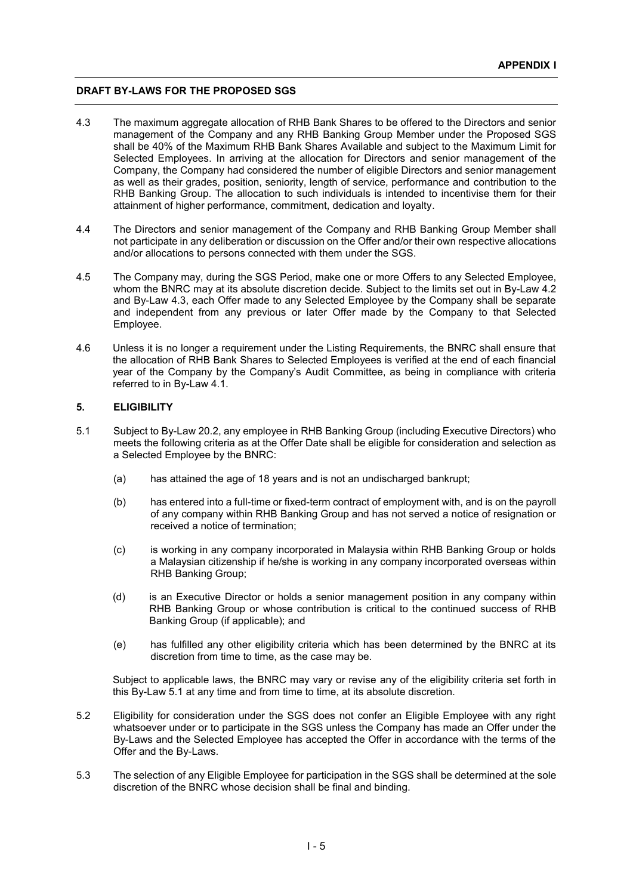- 4.3 The maximum aggregate allocation of RHB Bank Shares to be offered to the Directors and senior management of the Company and any RHB Banking Group Member under the Proposed SGS shall be 40% of the Maximum RHB Bank Shares Available and subject to the Maximum Limit for Selected Employees. In arriving at the allocation for Directors and senior management of the Company, the Company had considered the number of eligible Directors and senior management as well as their grades, position, seniority, length of service, performance and contribution to the RHB Banking Group. The allocation to such individuals is intended to incentivise them for their attainment of higher performance, commitment, dedication and loyalty.
- 4.4 The Directors and senior management of the Company and RHB Banking Group Member shall not participate in any deliberation or discussion on the Offer and/or their own respective allocations and/or allocations to persons connected with them under the SGS.
- 4.5 The Company may, during the SGS Period, make one or more Offers to any Selected Employee, whom the BNRC may at its absolute discretion decide. Subject to the limits set out in By-Law 4.2 and By-Law 4.3, each Offer made to any Selected Employee by the Company shall be separate and independent from any previous or later Offer made by the Company to that Selected Employee.
- 4.6 Unless it is no longer a requirement under the Listing Requirements, the BNRC shall ensure that the allocation of RHB Bank Shares to Selected Employees is verified at the end of each financial year of the Company by the Company's Audit Committee, as being in compliance with criteria referred to in By-Law 4.1.

# **5. ELIGIBILITY**

- 5.1 Subject to By-Law 20.2, any employee in RHB Banking Group (including Executive Directors) who meets the following criteria as at the Offer Date shall be eligible for consideration and selection as a Selected Employee by the BNRC:
	- (a) has attained the age of 18 years and is not an undischarged bankrupt;
	- (b) has entered into a full-time or fixed-term contract of employment with, and is on the payroll of any company within RHB Banking Group and has not served a notice of resignation or received a notice of termination;
	- (c) is working in any company incorporated in Malaysia within RHB Banking Group or holds a Malaysian citizenship if he/she is working in any company incorporated overseas within RHB Banking Group;
	- (d) is an Executive Director or holds a senior management position in any company within RHB Banking Group or whose contribution is critical to the continued success of RHB Banking Group (if applicable); and
	- (e) has fulfilled any other eligibility criteria which has been determined by the BNRC at its discretion from time to time, as the case may be.

Subject to applicable laws, the BNRC may vary or revise any of the eligibility criteria set forth in this By-Law 5.1 at any time and from time to time, at its absolute discretion.

- 5.2 Eligibility for consideration under the SGS does not confer an Eligible Employee with any right whatsoever under or to participate in the SGS unless the Company has made an Offer under the By-Laws and the Selected Employee has accepted the Offer in accordance with the terms of the Offer and the By-Laws.
- 5.3 The selection of any Eligible Employee for participation in the SGS shall be determined at the sole discretion of the BNRC whose decision shall be final and binding.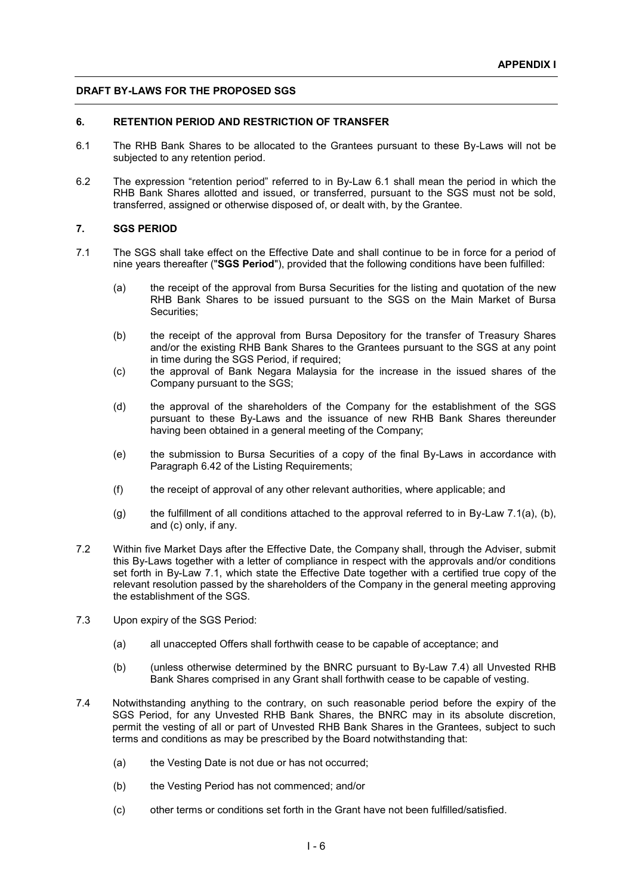### **6. RETENTION PERIOD AND RESTRICTION OF TRANSFER**

- 6.1 The RHB Bank Shares to be allocated to the Grantees pursuant to these By-Laws will not be subjected to any retention period.
- 6.2 The expression "retention period" referred to in By-Law 6.1 shall mean the period in which the RHB Bank Shares allotted and issued, or transferred, pursuant to the SGS must not be sold, transferred, assigned or otherwise disposed of, or dealt with, by the Grantee.

# **7. SGS PERIOD**

- 7.1 The SGS shall take effect on the Effective Date and shall continue to be in force for a period of nine years thereafter ("**SGS Period**"), provided that the following conditions have been fulfilled:
	- (a) the receipt of the approval from Bursa Securities for the listing and quotation of the new RHB Bank Shares to be issued pursuant to the SGS on the Main Market of Bursa Securities;
	- (b) the receipt of the approval from Bursa Depository for the transfer of Treasury Shares and/or the existing RHB Bank Shares to the Grantees pursuant to the SGS at any point in time during the SGS Period, if required;
	- (c) the approval of Bank Negara Malaysia for the increase in the issued shares of the Company pursuant to the SGS;
	- (d) the approval of the shareholders of the Company for the establishment of the SGS pursuant to these By-Laws and the issuance of new RHB Bank Shares thereunder having been obtained in a general meeting of the Company;
	- (e) the submission to Bursa Securities of a copy of the final By-Laws in accordance with Paragraph 6.42 of the Listing Requirements;
	- (f) the receipt of approval of any other relevant authorities, where applicable; and
	- (g) the fulfillment of all conditions attached to the approval referred to in By-Law 7.1(a), (b), and (c) only, if any.
- 7.2 Within five Market Days after the Effective Date, the Company shall, through the Adviser, submit this By-Laws together with a letter of compliance in respect with the approvals and/or conditions set forth in By-Law 7.1, which state the Effective Date together with a certified true copy of the relevant resolution passed by the shareholders of the Company in the general meeting approving the establishment of the SGS.
- 7.3 Upon expiry of the SGS Period:
	- (a) all unaccepted Offers shall forthwith cease to be capable of acceptance; and
	- (b) (unless otherwise determined by the BNRC pursuant to By-Law 7.4) all Unvested RHB Bank Shares comprised in any Grant shall forthwith cease to be capable of vesting.
- 7.4 Notwithstanding anything to the contrary, on such reasonable period before the expiry of the SGS Period, for any Unvested RHB Bank Shares, the BNRC may in its absolute discretion, permit the vesting of all or part of Unvested RHB Bank Shares in the Grantees, subject to such terms and conditions as may be prescribed by the Board notwithstanding that:
	- (a) the Vesting Date is not due or has not occurred;
	- (b) the Vesting Period has not commenced; and/or
	- (c) other terms or conditions set forth in the Grant have not been fulfilled/satisfied.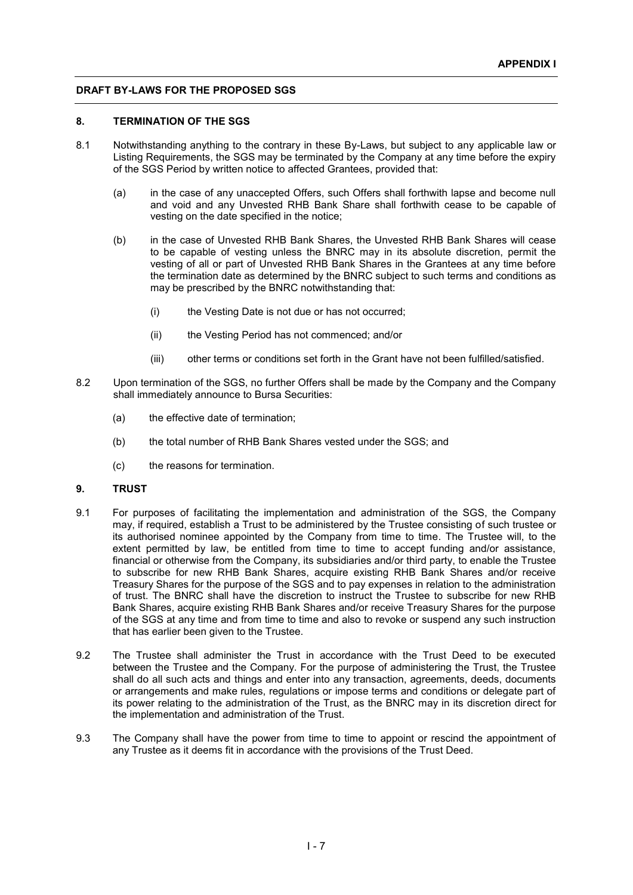#### **8. TERMINATION OF THE SGS**

- 8.1 Notwithstanding anything to the contrary in these By-Laws, but subject to any applicable law or Listing Requirements, the SGS may be terminated by the Company at any time before the expiry of the SGS Period by written notice to affected Grantees, provided that:
	- (a) in the case of any unaccepted Offers, such Offers shall forthwith lapse and become null and void and any Unvested RHB Bank Share shall forthwith cease to be capable of vesting on the date specified in the notice;
	- (b) in the case of Unvested RHB Bank Shares, the Unvested RHB Bank Shares will cease to be capable of vesting unless the BNRC may in its absolute discretion, permit the vesting of all or part of Unvested RHB Bank Shares in the Grantees at any time before the termination date as determined by the BNRC subject to such terms and conditions as may be prescribed by the BNRC notwithstanding that:
		- (i) the Vesting Date is not due or has not occurred;
		- (ii) the Vesting Period has not commenced; and/or
		- (iii) other terms or conditions set forth in the Grant have not been fulfilled/satisfied.
- 8.2 Upon termination of the SGS, no further Offers shall be made by the Company and the Company shall immediately announce to Bursa Securities:
	- (a) the effective date of termination;
	- (b) the total number of RHB Bank Shares vested under the SGS; and
	- (c) the reasons for termination.

#### **9. TRUST**

- 9.1 For purposes of facilitating the implementation and administration of the SGS, the Company may, if required, establish a Trust to be administered by the Trustee consisting of such trustee or its authorised nominee appointed by the Company from time to time. The Trustee will, to the extent permitted by law, be entitled from time to time to accept funding and/or assistance, financial or otherwise from the Company, its subsidiaries and/or third party, to enable the Trustee to subscribe for new RHB Bank Shares, acquire existing RHB Bank Shares and/or receive Treasury Shares for the purpose of the SGS and to pay expenses in relation to the administration of trust. The BNRC shall have the discretion to instruct the Trustee to subscribe for new RHB Bank Shares, acquire existing RHB Bank Shares and/or receive Treasury Shares for the purpose of the SGS at any time and from time to time and also to revoke or suspend any such instruction that has earlier been given to the Trustee.
- 9.2 The Trustee shall administer the Trust in accordance with the Trust Deed to be executed between the Trustee and the Company. For the purpose of administering the Trust, the Trustee shall do all such acts and things and enter into any transaction, agreements, deeds, documents or arrangements and make rules, regulations or impose terms and conditions or delegate part of its power relating to the administration of the Trust, as the BNRC may in its discretion direct for the implementation and administration of the Trust.
- 9.3 The Company shall have the power from time to time to appoint or rescind the appointment of any Trustee as it deems fit in accordance with the provisions of the Trust Deed.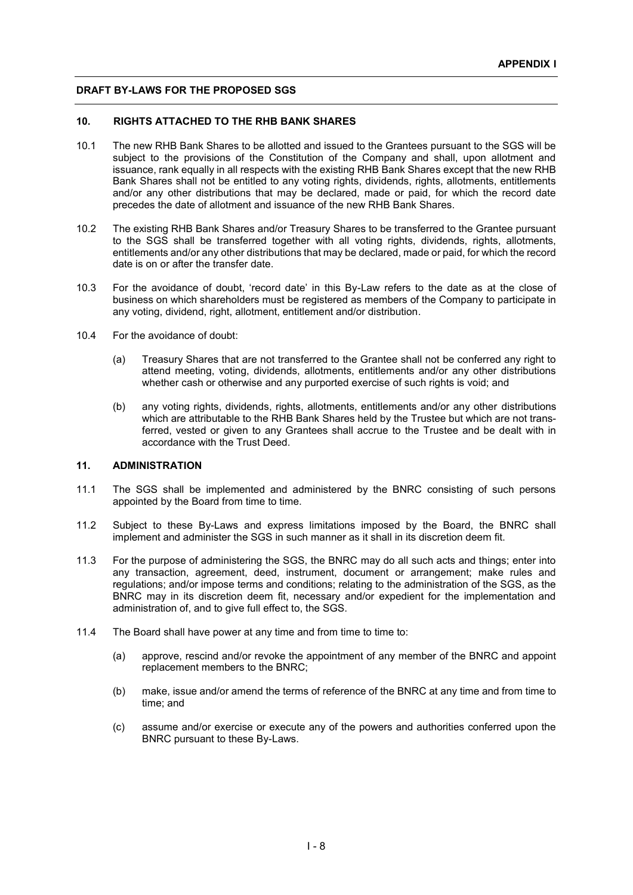### **10. RIGHTS ATTACHED TO THE RHB BANK SHARES**

- 10.1 The new RHB Bank Shares to be allotted and issued to the Grantees pursuant to the SGS will be subject to the provisions of the Constitution of the Company and shall, upon allotment and issuance, rank equally in all respects with the existing RHB Bank Shares except that the new RHB Bank Shares shall not be entitled to any voting rights, dividends, rights, allotments, entitlements and/or any other distributions that may be declared, made or paid, for which the record date precedes the date of allotment and issuance of the new RHB Bank Shares.
- 10.2 The existing RHB Bank Shares and/or Treasury Shares to be transferred to the Grantee pursuant to the SGS shall be transferred together with all voting rights, dividends, rights, allotments, entitlements and/or any other distributions that may be declared, made or paid, for which the record date is on or after the transfer date.
- 10.3 For the avoidance of doubt, 'record date' in this By-Law refers to the date as at the close of business on which shareholders must be registered as members of the Company to participate in any voting, dividend, right, allotment, entitlement and/or distribution.
- 10.4 For the avoidance of doubt:
	- (a) Treasury Shares that are not transferred to the Grantee shall not be conferred any right to attend meeting, voting, dividends, allotments, entitlements and/or any other distributions whether cash or otherwise and any purported exercise of such rights is void; and
	- (b) any voting rights, dividends, rights, allotments, entitlements and/or any other distributions which are attributable to the RHB Bank Shares held by the Trustee but which are not transferred, vested or given to any Grantees shall accrue to the Trustee and be dealt with in accordance with the Trust Deed.

#### **11. ADMINISTRATION**

- 11.1 The SGS shall be implemented and administered by the BNRC consisting of such persons appointed by the Board from time to time.
- 11.2 Subject to these By-Laws and express limitations imposed by the Board, the BNRC shall implement and administer the SGS in such manner as it shall in its discretion deem fit.
- 11.3 For the purpose of administering the SGS, the BNRC may do all such acts and things; enter into any transaction, agreement, deed, instrument, document or arrangement; make rules and regulations; and/or impose terms and conditions; relating to the administration of the SGS, as the BNRC may in its discretion deem fit, necessary and/or expedient for the implementation and administration of, and to give full effect to, the SGS.
- 11.4 The Board shall have power at any time and from time to time to:
	- (a) approve, rescind and/or revoke the appointment of any member of the BNRC and appoint replacement members to the BNRC;
	- (b) make, issue and/or amend the terms of reference of the BNRC at any time and from time to time; and
	- (c) assume and/or exercise or execute any of the powers and authorities conferred upon the BNRC pursuant to these By-Laws.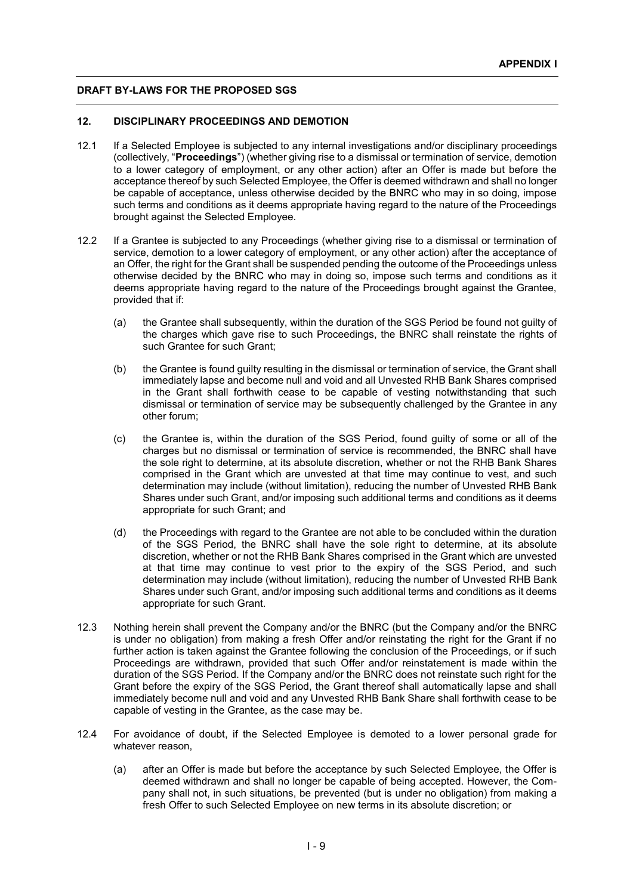### **12. DISCIPLINARY PROCEEDINGS AND DEMOTION**

- 12.1 If a Selected Employee is subjected to any internal investigations and/or disciplinary proceedings (collectively, "**Proceedings**") (whether giving rise to a dismissal or termination of service, demotion to a lower category of employment, or any other action) after an Offer is made but before the acceptance thereof by such Selected Employee, the Offer is deemed withdrawn and shall no longer be capable of acceptance, unless otherwise decided by the BNRC who may in so doing, impose such terms and conditions as it deems appropriate having regard to the nature of the Proceedings brought against the Selected Employee.
- 12.2 If a Grantee is subjected to any Proceedings (whether giving rise to a dismissal or termination of service, demotion to a lower category of employment, or any other action) after the acceptance of an Offer, the right for the Grant shall be suspended pending the outcome of the Proceedings unless otherwise decided by the BNRC who may in doing so, impose such terms and conditions as it deems appropriate having regard to the nature of the Proceedings brought against the Grantee, provided that if:
	- (a) the Grantee shall subsequently, within the duration of the SGS Period be found not quilty of the charges which gave rise to such Proceedings, the BNRC shall reinstate the rights of such Grantee for such Grant;
	- (b) the Grantee is found guilty resulting in the dismissal or termination of service, the Grant shall immediately lapse and become null and void and all Unvested RHB Bank Shares comprised in the Grant shall forthwith cease to be capable of vesting notwithstanding that such dismissal or termination of service may be subsequently challenged by the Grantee in any other forum;
	- (c) the Grantee is, within the duration of the SGS Period, found guilty of some or all of the charges but no dismissal or termination of service is recommended, the BNRC shall have the sole right to determine, at its absolute discretion, whether or not the RHB Bank Shares comprised in the Grant which are unvested at that time may continue to vest, and such determination may include (without limitation), reducing the number of Unvested RHB Bank Shares under such Grant, and/or imposing such additional terms and conditions as it deems appropriate for such Grant; and
	- (d) the Proceedings with regard to the Grantee are not able to be concluded within the duration of the SGS Period, the BNRC shall have the sole right to determine, at its absolute discretion, whether or not the RHB Bank Shares comprised in the Grant which are unvested at that time may continue to vest prior to the expiry of the SGS Period, and such determination may include (without limitation), reducing the number of Unvested RHB Bank Shares under such Grant, and/or imposing such additional terms and conditions as it deems appropriate for such Grant.
- 12.3 Nothing herein shall prevent the Company and/or the BNRC (but the Company and/or the BNRC is under no obligation) from making a fresh Offer and/or reinstating the right for the Grant if no further action is taken against the Grantee following the conclusion of the Proceedings, or if such Proceedings are withdrawn, provided that such Offer and/or reinstatement is made within the duration of the SGS Period. If the Company and/or the BNRC does not reinstate such right for the Grant before the expiry of the SGS Period, the Grant thereof shall automatically lapse and shall immediately become null and void and any Unvested RHB Bank Share shall forthwith cease to be capable of vesting in the Grantee, as the case may be.
- 12.4 For avoidance of doubt, if the Selected Employee is demoted to a lower personal grade for whatever reason,
	- (a) after an Offer is made but before the acceptance by such Selected Employee, the Offer is deemed withdrawn and shall no longer be capable of being accepted. However, the Company shall not, in such situations, be prevented (but is under no obligation) from making a fresh Offer to such Selected Employee on new terms in its absolute discretion; or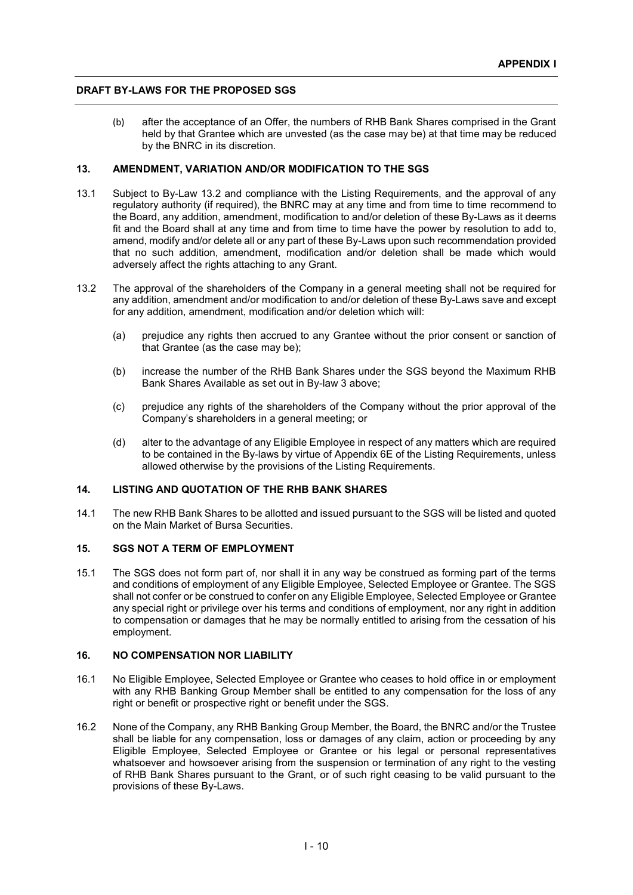(b) after the acceptance of an Offer, the numbers of RHB Bank Shares comprised in the Grant held by that Grantee which are unvested (as the case may be) at that time may be reduced by the BNRC in its discretion.

# **13. AMENDMENT, VARIATION AND/OR MODIFICATION TO THE SGS**

- 13.1 Subject to By-Law 13.2 and compliance with the Listing Requirements, and the approval of any regulatory authority (if required), the BNRC may at any time and from time to time recommend to the Board, any addition, amendment, modification to and/or deletion of these By-Laws as it deems fit and the Board shall at any time and from time to time have the power by resolution to add to, amend, modify and/or delete all or any part of these By-Laws upon such recommendation provided that no such addition, amendment, modification and/or deletion shall be made which would adversely affect the rights attaching to any Grant.
- 13.2 The approval of the shareholders of the Company in a general meeting shall not be required for any addition, amendment and/or modification to and/or deletion of these By-Laws save and except for any addition, amendment, modification and/or deletion which will:
	- (a) prejudice any rights then accrued to any Grantee without the prior consent or sanction of that Grantee (as the case may be);
	- (b) increase the number of the RHB Bank Shares under the SGS beyond the Maximum RHB Bank Shares Available as set out in By-law 3 above;
	- (c) prejudice any rights of the shareholders of the Company without the prior approval of the Company's shareholders in a general meeting; or
	- (d) alter to the advantage of any Eligible Employee in respect of any matters which are required to be contained in the By-laws by virtue of Appendix 6E of the Listing Requirements, unless allowed otherwise by the provisions of the Listing Requirements.

#### **14. LISTING AND QUOTATION OF THE RHB BANK SHARES**

14.1 The new RHB Bank Shares to be allotted and issued pursuant to the SGS will be listed and quoted on the Main Market of Bursa Securities.

# **15. SGS NOT A TERM OF EMPLOYMENT**

15.1 The SGS does not form part of, nor shall it in any way be construed as forming part of the terms and conditions of employment of any Eligible Employee, Selected Employee or Grantee. The SGS shall not confer or be construed to confer on any Eligible Employee, Selected Employee or Grantee any special right or privilege over his terms and conditions of employment, nor any right in addition to compensation or damages that he may be normally entitled to arising from the cessation of his employment.

# **16. NO COMPENSATION NOR LIABILITY**

- 16.1 No Eligible Employee, Selected Employee or Grantee who ceases to hold office in or employment with any RHB Banking Group Member shall be entitled to any compensation for the loss of any right or benefit or prospective right or benefit under the SGS.
- 16.2 None of the Company, any RHB Banking Group Member, the Board, the BNRC and/or the Trustee shall be liable for any compensation, loss or damages of any claim, action or proceeding by any Eligible Employee, Selected Employee or Grantee or his legal or personal representatives whatsoever and howsoever arising from the suspension or termination of any right to the vesting of RHB Bank Shares pursuant to the Grant, or of such right ceasing to be valid pursuant to the provisions of these By-Laws.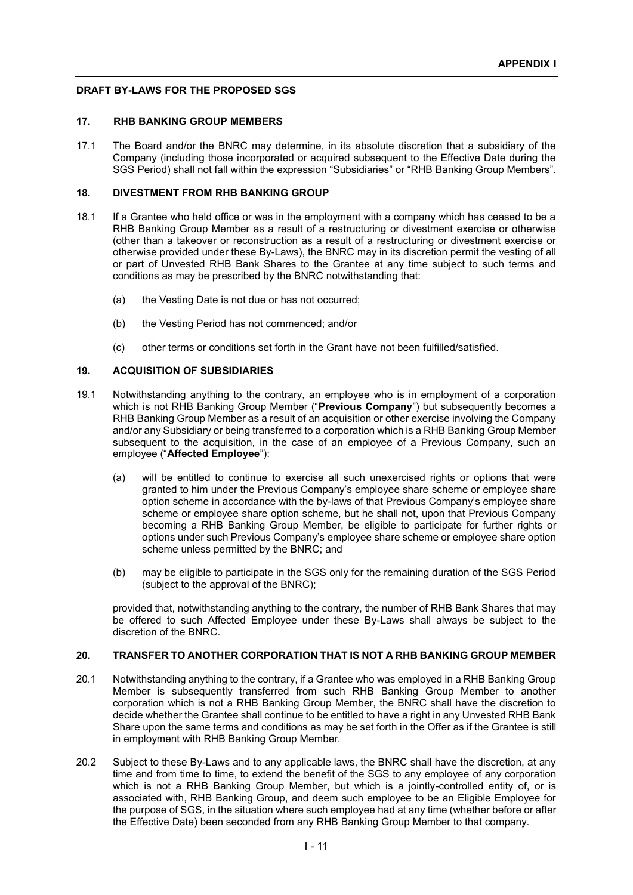#### **17. RHB BANKING GROUP MEMBERS**

17.1 The Board and/or the BNRC may determine, in its absolute discretion that a subsidiary of the Company (including those incorporated or acquired subsequent to the Effective Date during the SGS Period) shall not fall within the expression "Subsidiaries" or "RHB Banking Group Members".

# **18. DIVESTMENT FROM RHB BANKING GROUP**

- 18.1 If a Grantee who held office or was in the employment with a company which has ceased to be a RHB Banking Group Member as a result of a restructuring or divestment exercise or otherwise (other than a takeover or reconstruction as a result of a restructuring or divestment exercise or otherwise provided under these By-Laws), the BNRC may in its discretion permit the vesting of all or part of Unvested RHB Bank Shares to the Grantee at any time subject to such terms and conditions as may be prescribed by the BNRC notwithstanding that:
	- (a) the Vesting Date is not due or has not occurred;
	- (b) the Vesting Period has not commenced; and/or
	- (c) other terms or conditions set forth in the Grant have not been fulfilled/satisfied.

# **19. ACQUISITION OF SUBSIDIARIES**

- 19.1 Notwithstanding anything to the contrary, an employee who is in employment of a corporation which is not RHB Banking Group Member ("**Previous Company**") but subsequently becomes a RHB Banking Group Member as a result of an acquisition or other exercise involving the Company and/or any Subsidiary or being transferred to a corporation which is a RHB Banking Group Member subsequent to the acquisition, in the case of an employee of a Previous Company, such an employee ("**Affected Employee**"):
	- (a) will be entitled to continue to exercise all such unexercised rights or options that were granted to him under the Previous Company's employee share scheme or employee share option scheme in accordance with the by-laws of that Previous Company's employee share scheme or employee share option scheme, but he shall not, upon that Previous Company becoming a RHB Banking Group Member, be eligible to participate for further rights or options under such Previous Company's employee share scheme or employee share option scheme unless permitted by the BNRC; and
	- (b) may be eligible to participate in the SGS only for the remaining duration of the SGS Period (subject to the approval of the BNRC);

provided that, notwithstanding anything to the contrary, the number of RHB Bank Shares that may be offered to such Affected Employee under these By-Laws shall always be subject to the discretion of the BNRC.

# **20. TRANSFER TO ANOTHER CORPORATION THAT IS NOT A RHB BANKING GROUP MEMBER**

- 20.1 Notwithstanding anything to the contrary, if a Grantee who was employed in a RHB Banking Group Member is subsequently transferred from such RHB Banking Group Member to another corporation which is not a RHB Banking Group Member, the BNRC shall have the discretion to decide whether the Grantee shall continue to be entitled to have a right in any Unvested RHB Bank Share upon the same terms and conditions as may be set forth in the Offer as if the Grantee is still in employment with RHB Banking Group Member.
- 20.2 Subject to these By-Laws and to any applicable laws, the BNRC shall have the discretion, at any time and from time to time, to extend the benefit of the SGS to any employee of any corporation which is not a RHB Banking Group Member, but which is a jointly-controlled entity of, or is associated with, RHB Banking Group, and deem such employee to be an Eligible Employee for the purpose of SGS, in the situation where such employee had at any time (whether before or after the Effective Date) been seconded from any RHB Banking Group Member to that company.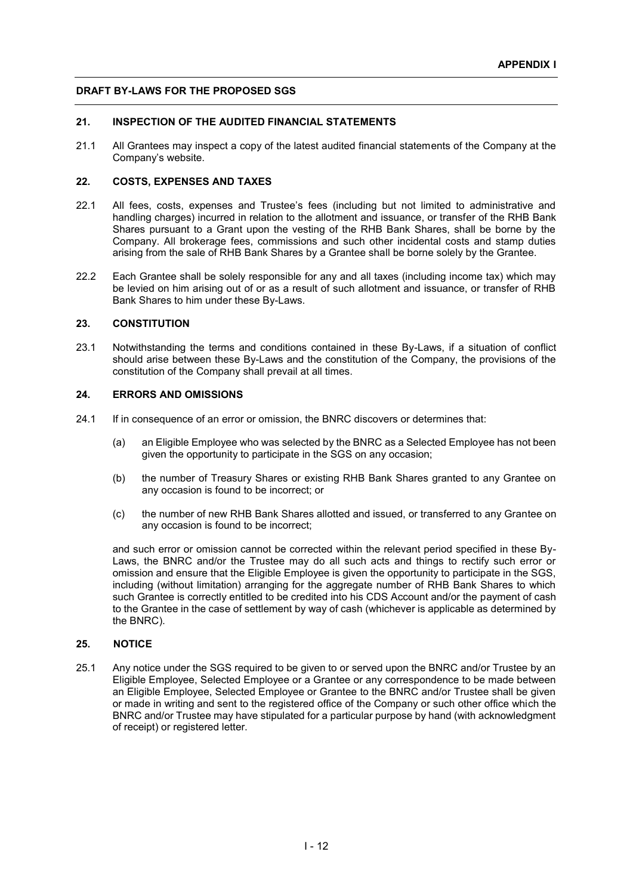# **21. INSPECTION OF THE AUDITED FINANCIAL STATEMENTS**

21.1 All Grantees may inspect a copy of the latest audited financial statements of the Company at the Company's website.

# **22. COSTS, EXPENSES AND TAXES**

- 22.1 All fees, costs, expenses and Trustee's fees (including but not limited to administrative and handling charges) incurred in relation to the allotment and issuance, or transfer of the RHB Bank Shares pursuant to a Grant upon the vesting of the RHB Bank Shares, shall be borne by the Company. All brokerage fees, commissions and such other incidental costs and stamp duties arising from the sale of RHB Bank Shares by a Grantee shall be borne solely by the Grantee.
- 22.2 Each Grantee shall be solely responsible for any and all taxes (including income tax) which may be levied on him arising out of or as a result of such allotment and issuance, or transfer of RHB Bank Shares to him under these By-Laws.

# **23. CONSTITUTION**

23.1 Notwithstanding the terms and conditions contained in these By-Laws, if a situation of conflict should arise between these By-Laws and the constitution of the Company, the provisions of the constitution of the Company shall prevail at all times.

### **24. ERRORS AND OMISSIONS**

- 24.1 If in consequence of an error or omission, the BNRC discovers or determines that:
	- (a) an Eligible Employee who was selected by the BNRC as a Selected Employee has not been given the opportunity to participate in the SGS on any occasion;
	- (b) the number of Treasury Shares or existing RHB Bank Shares granted to any Grantee on any occasion is found to be incorrect; or
	- (c) the number of new RHB Bank Shares allotted and issued, or transferred to any Grantee on any occasion is found to be incorrect;

and such error or omission cannot be corrected within the relevant period specified in these By-Laws, the BNRC and/or the Trustee may do all such acts and things to rectify such error or omission and ensure that the Eligible Employee is given the opportunity to participate in the SGS, including (without limitation) arranging for the aggregate number of RHB Bank Shares to which such Grantee is correctly entitled to be credited into his CDS Account and/or the payment of cash to the Grantee in the case of settlement by way of cash (whichever is applicable as determined by the BNRC).

#### **25. NOTICE**

25.1 Any notice under the SGS required to be given to or served upon the BNRC and/or Trustee by an Eligible Employee, Selected Employee or a Grantee or any correspondence to be made between an Eligible Employee, Selected Employee or Grantee to the BNRC and/or Trustee shall be given or made in writing and sent to the registered office of the Company or such other office which the BNRC and/or Trustee may have stipulated for a particular purpose by hand (with acknowledgment of receipt) or registered letter.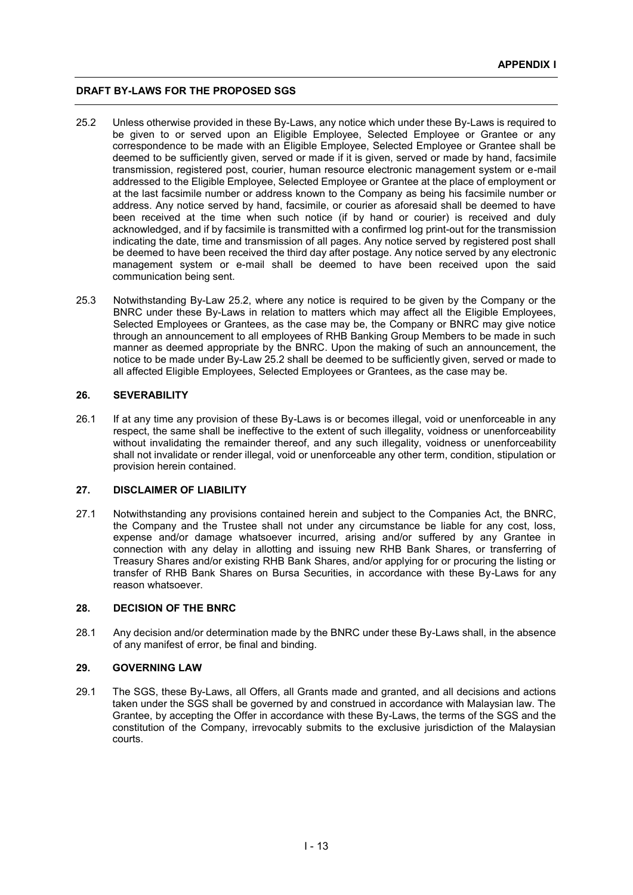- 25.2 Unless otherwise provided in these By-Laws, any notice which under these By-Laws is required to be given to or served upon an Eligible Employee, Selected Employee or Grantee or any correspondence to be made with an Eligible Employee, Selected Employee or Grantee shall be deemed to be sufficiently given, served or made if it is given, served or made by hand, facsimile transmission, registered post, courier, human resource electronic management system or e-mail addressed to the Eligible Employee, Selected Employee or Grantee at the place of employment or at the last facsimile number or address known to the Company as being his facsimile number or address. Any notice served by hand, facsimile, or courier as aforesaid shall be deemed to have been received at the time when such notice (if by hand or courier) is received and duly acknowledged, and if by facsimile is transmitted with a confirmed log print-out for the transmission indicating the date, time and transmission of all pages. Any notice served by registered post shall be deemed to have been received the third day after postage. Any notice served by any electronic management system or e-mail shall be deemed to have been received upon the said communication being sent.
- 25.3 Notwithstanding By-Law 25.2, where any notice is required to be given by the Company or the BNRC under these By-Laws in relation to matters which may affect all the Eligible Employees, Selected Employees or Grantees, as the case may be, the Company or BNRC may give notice through an announcement to all employees of RHB Banking Group Members to be made in such manner as deemed appropriate by the BNRC. Upon the making of such an announcement, the notice to be made under By-Law 25.2 shall be deemed to be sufficiently given, served or made to all affected Eligible Employees, Selected Employees or Grantees, as the case may be.

# **26. SEVERABILITY**

26.1 If at any time any provision of these By-Laws is or becomes illegal, void or unenforceable in any respect, the same shall be ineffective to the extent of such illegality, voidness or unenforceability without invalidating the remainder thereof, and any such illegality, voidness or unenforceability shall not invalidate or render illegal, void or unenforceable any other term, condition, stipulation or provision herein contained.

#### **27. DISCLAIMER OF LIABILITY**

27.1 Notwithstanding any provisions contained herein and subject to the Companies Act, the BNRC, the Company and the Trustee shall not under any circumstance be liable for any cost, loss, expense and/or damage whatsoever incurred, arising and/or suffered by any Grantee in connection with any delay in allotting and issuing new RHB Bank Shares, or transferring of Treasury Shares and/or existing RHB Bank Shares, and/or applying for or procuring the listing or transfer of RHB Bank Shares on Bursa Securities, in accordance with these By-Laws for any reason whatsoever.

#### **28. DECISION OF THE BNRC**

28.1 Any decision and/or determination made by the BNRC under these By-Laws shall, in the absence of any manifest of error, be final and binding.

#### **29. GOVERNING LAW**

29.1 The SGS, these By-Laws, all Offers, all Grants made and granted, and all decisions and actions taken under the SGS shall be governed by and construed in accordance with Malaysian law. The Grantee, by accepting the Offer in accordance with these By-Laws, the terms of the SGS and the constitution of the Company, irrevocably submits to the exclusive jurisdiction of the Malaysian courts.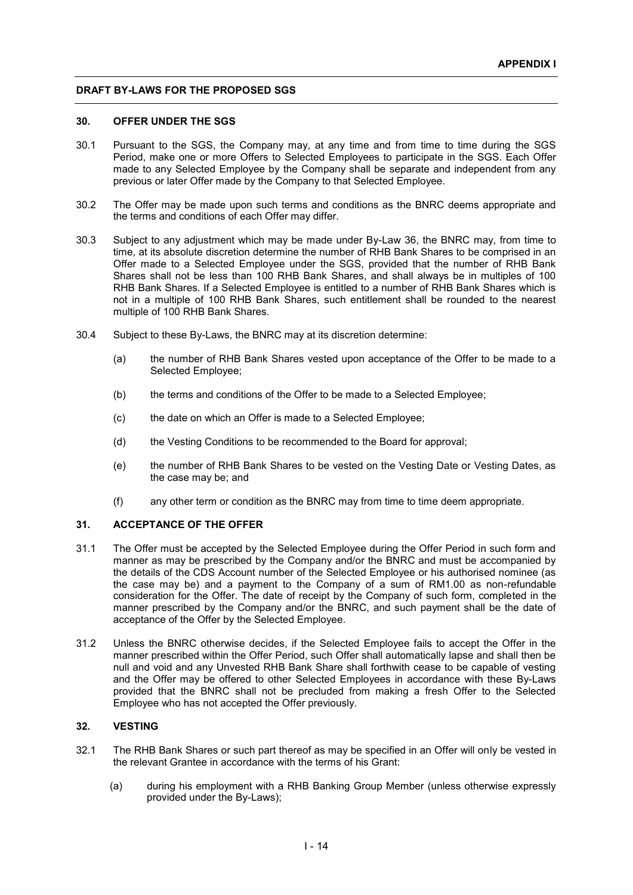#### **30. OFFER UNDER THE SGS**

- 30.1 Pursuant to the SGS, the Company may, at any time and from time to time during the SGS Period, make one or more Offers to Selected Employees to participate in the SGS. Each Offer made to any Selected Employee by the Company shall be separate and independent from any previous or later Offer made by the Company to that Selected Employee.
- 30.2 The Offer may be made upon such terms and conditions as the BNRC deems appropriate and the terms and conditions of each Offer may differ.
- 30.3 Subject to any adjustment which may be made under By-Law 36, the BNRC may, from time to time, at its absolute discretion determine the number of RHB Bank Shares to be comprised in an Offer made to a Selected Employee under the SGS, provided that the number of RHB Bank Shares shall not be less than 100 RHB Bank Shares, and shall always be in multiples of 100 RHB Bank Shares. If a Selected Employee is entitled to a number of RHB Bank Shares which is not in a multiple of 100 RHB Bank Shares, such entitlement shall be rounded to the nearest multiple of 100 RHB Bank Shares.
- 30.4 Subject to these By-Laws, the BNRC may at its discretion determine:
	- (a) the number of RHB Bank Shares vested upon acceptance of the Offer to be made to a Selected Employee;
	- (b) the terms and conditions of the Offer to be made to a Selected Employee;
	- (c) the date on which an Offer is made to a Selected Employee;
	- (d) the Vesting Conditions to be recommended to the Board for approval;
	- (e) the number of RHB Bank Shares to be vested on the Vesting Date or Vesting Dates, as the case may be; and
	- (f) any other term or condition as the BNRC may from time to time deem appropriate.

#### **31. ACCEPTANCE OF THE OFFER**

- 31.1 The Offer must be accepted by the Selected Employee during the Offer Period in such form and manner as may be prescribed by the Company and/or the BNRC and must be accompanied by the details of the CDS Account number of the Selected Employee or his authorised nominee (as the case may be) and a payment to the Company of a sum of RM1.00 as non-refundable consideration for the Offer. The date of receipt by the Company of such form, completed in the manner prescribed by the Company and/or the BNRC, and such payment shall be the date of acceptance of the Offer by the Selected Employee.
- 31.2 Unless the BNRC otherwise decides, if the Selected Employee fails to accept the Offer in the manner prescribed within the Offer Period, such Offer shall automatically lapse and shall then be null and void and any Unvested RHB Bank Share shall forthwith cease to be capable of vesting and the Offer may be offered to other Selected Employees in accordance with these By-Laws provided that the BNRC shall not be precluded from making a fresh Offer to the Selected Employee who has not accepted the Offer previously.

# **32. VESTING**

- 32.1 The RHB Bank Shares or such part thereof as may be specified in an Offer will only be vested in the relevant Grantee in accordance with the terms of his Grant:
	- (a) during his employment with a RHB Banking Group Member (unless otherwise expressly provided under the By-Laws);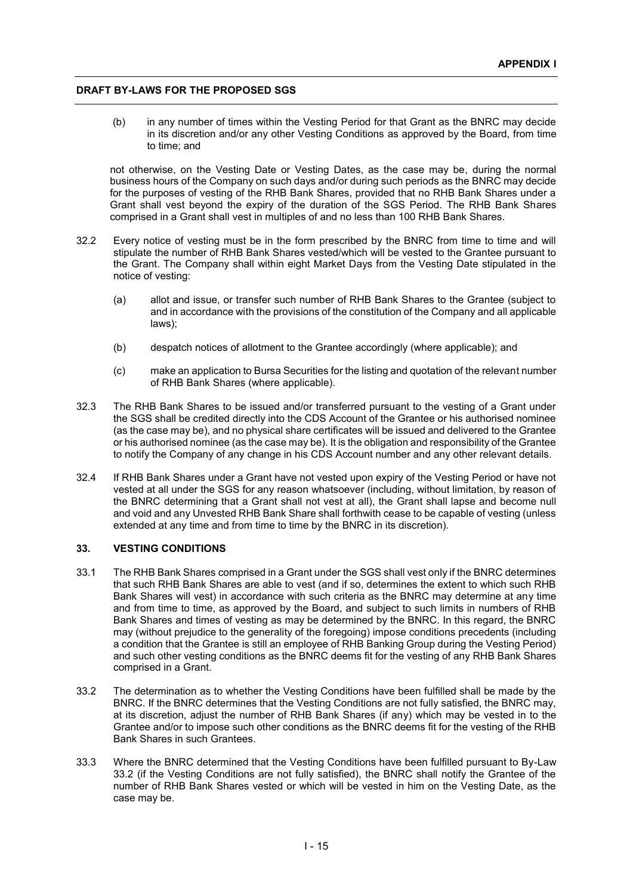(b) in any number of times within the Vesting Period for that Grant as the BNRC may decide in its discretion and/or any other Vesting Conditions as approved by the Board, from time to time; and

not otherwise, on the Vesting Date or Vesting Dates, as the case may be, during the normal business hours of the Company on such days and/or during such periods as the BNRC may decide for the purposes of vesting of the RHB Bank Shares, provided that no RHB Bank Shares under a Grant shall vest beyond the expiry of the duration of the SGS Period. The RHB Bank Shares comprised in a Grant shall vest in multiples of and no less than 100 RHB Bank Shares.

- 32.2 Every notice of vesting must be in the form prescribed by the BNRC from time to time and will stipulate the number of RHB Bank Shares vested/which will be vested to the Grantee pursuant to the Grant. The Company shall within eight Market Days from the Vesting Date stipulated in the notice of vesting:
	- (a) allot and issue, or transfer such number of RHB Bank Shares to the Grantee (subject to and in accordance with the provisions of the constitution of the Company and all applicable laws);
	- (b) despatch notices of allotment to the Grantee accordingly (where applicable); and
	- (c) make an application to Bursa Securities for the listing and quotation of the relevant number of RHB Bank Shares (where applicable).
- 32.3 The RHB Bank Shares to be issued and/or transferred pursuant to the vesting of a Grant under the SGS shall be credited directly into the CDS Account of the Grantee or his authorised nominee (as the case may be), and no physical share certificates will be issued and delivered to the Grantee or his authorised nominee (as the case may be). It is the obligation and responsibility of the Grantee to notify the Company of any change in his CDS Account number and any other relevant details.
- 32.4 If RHB Bank Shares under a Grant have not vested upon expiry of the Vesting Period or have not vested at all under the SGS for any reason whatsoever (including, without limitation, by reason of the BNRC determining that a Grant shall not vest at all), the Grant shall lapse and become null and void and any Unvested RHB Bank Share shall forthwith cease to be capable of vesting (unless extended at any time and from time to time by the BNRC in its discretion).

#### **33. VESTING CONDITIONS**

- 33.1 The RHB Bank Shares comprised in a Grant under the SGS shall vest only if the BNRC determines that such RHB Bank Shares are able to vest (and if so, determines the extent to which such RHB Bank Shares will vest) in accordance with such criteria as the BNRC may determine at any time and from time to time, as approved by the Board, and subject to such limits in numbers of RHB Bank Shares and times of vesting as may be determined by the BNRC. In this regard, the BNRC may (without prejudice to the generality of the foregoing) impose conditions precedents (including a condition that the Grantee is still an employee of RHB Banking Group during the Vesting Period) and such other vesting conditions as the BNRC deems fit for the vesting of any RHB Bank Shares comprised in a Grant.
- 33.2 The determination as to whether the Vesting Conditions have been fulfilled shall be made by the BNRC. If the BNRC determines that the Vesting Conditions are not fully satisfied, the BNRC may, at its discretion, adjust the number of RHB Bank Shares (if any) which may be vested in to the Grantee and/or to impose such other conditions as the BNRC deems fit for the vesting of the RHB Bank Shares in such Grantees.
- 33.3 Where the BNRC determined that the Vesting Conditions have been fulfilled pursuant to By-Law 33.2 (if the Vesting Conditions are not fully satisfied), the BNRC shall notify the Grantee of the number of RHB Bank Shares vested or which will be vested in him on the Vesting Date, as the case may be.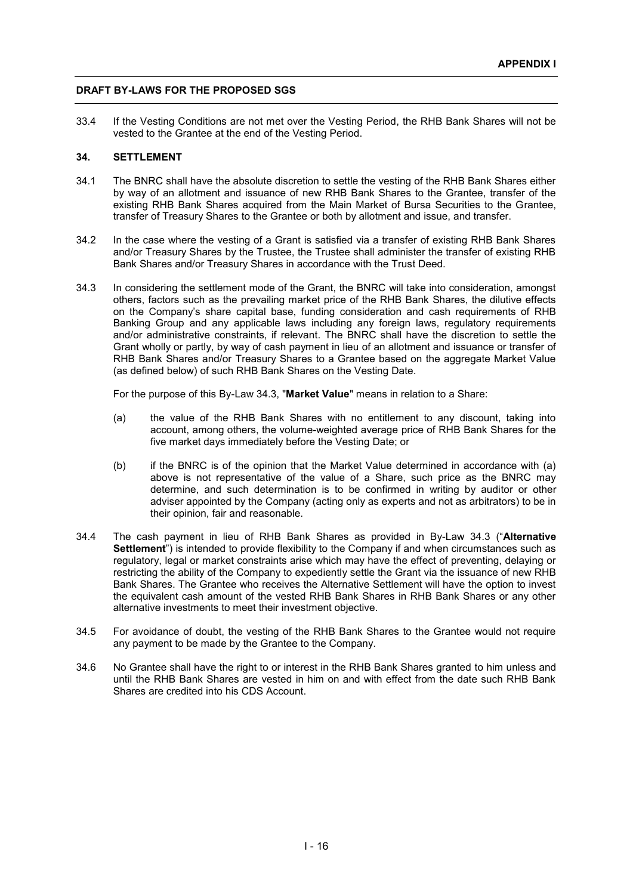33.4 If the Vesting Conditions are not met over the Vesting Period, the RHB Bank Shares will not be vested to the Grantee at the end of the Vesting Period.

# **34. SETTLEMENT**

- 34.1 The BNRC shall have the absolute discretion to settle the vesting of the RHB Bank Shares either by way of an allotment and issuance of new RHB Bank Shares to the Grantee, transfer of the existing RHB Bank Shares acquired from the Main Market of Bursa Securities to the Grantee, transfer of Treasury Shares to the Grantee or both by allotment and issue, and transfer.
- 34.2 In the case where the vesting of a Grant is satisfied via a transfer of existing RHB Bank Shares and/or Treasury Shares by the Trustee, the Trustee shall administer the transfer of existing RHB Bank Shares and/or Treasury Shares in accordance with the Trust Deed.
- 34.3 In considering the settlement mode of the Grant, the BNRC will take into consideration, amongst others, factors such as the prevailing market price of the RHB Bank Shares, the dilutive effects on the Company's share capital base, funding consideration and cash requirements of RHB Banking Group and any applicable laws including any foreign laws, regulatory requirements and/or administrative constraints, if relevant. The BNRC shall have the discretion to settle the Grant wholly or partly, by way of cash payment in lieu of an allotment and issuance or transfer of RHB Bank Shares and/or Treasury Shares to a Grantee based on the aggregate Market Value (as defined below) of such RHB Bank Shares on the Vesting Date.

For the purpose of this By-Law 34.3, "**Market Value**" means in relation to a Share:

- (a) the value of the RHB Bank Shares with no entitlement to any discount, taking into account, among others, the volume-weighted average price of RHB Bank Shares for the five market days immediately before the Vesting Date; or
- (b) if the BNRC is of the opinion that the Market Value determined in accordance with (a) above is not representative of the value of a Share, such price as the BNRC may determine, and such determination is to be confirmed in writing by auditor or other adviser appointed by the Company (acting only as experts and not as arbitrators) to be in their opinion, fair and reasonable.
- 34.4 The cash payment in lieu of RHB Bank Shares as provided in By-Law 34.3 ("**Alternative Settlement**") is intended to provide flexibility to the Company if and when circumstances such as regulatory, legal or market constraints arise which may have the effect of preventing, delaying or restricting the ability of the Company to expediently settle the Grant via the issuance of new RHB Bank Shares. The Grantee who receives the Alternative Settlement will have the option to invest the equivalent cash amount of the vested RHB Bank Shares in RHB Bank Shares or any other alternative investments to meet their investment objective.
- 34.5 For avoidance of doubt, the vesting of the RHB Bank Shares to the Grantee would not require any payment to be made by the Grantee to the Company.
- 34.6 No Grantee shall have the right to or interest in the RHB Bank Shares granted to him unless and until the RHB Bank Shares are vested in him on and with effect from the date such RHB Bank Shares are credited into his CDS Account.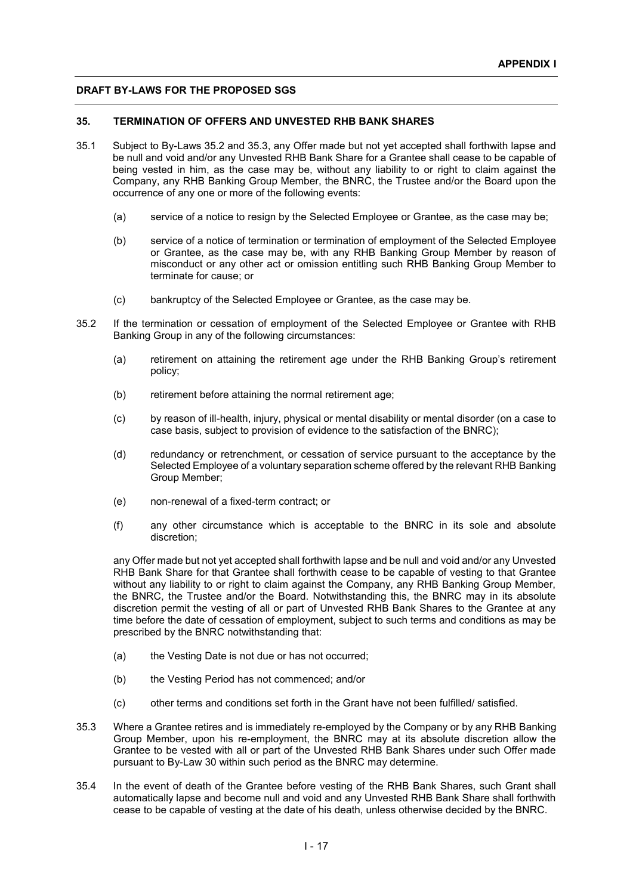# **35. TERMINATION OF OFFERS AND UNVESTED RHB BANK SHARES**

- 35.1 Subject to By-Laws 35.2 and 35.3, any Offer made but not yet accepted shall forthwith lapse and be null and void and/or any Unvested RHB Bank Share for a Grantee shall cease to be capable of being vested in him, as the case may be, without any liability to or right to claim against the Company, any RHB Banking Group Member, the BNRC, the Trustee and/or the Board upon the occurrence of any one or more of the following events:
	- (a) service of a notice to resign by the Selected Employee or Grantee, as the case may be;
	- (b) service of a notice of termination or termination of employment of the Selected Employee or Grantee, as the case may be, with any RHB Banking Group Member by reason of misconduct or any other act or omission entitling such RHB Banking Group Member to terminate for cause; or
	- (c) bankruptcy of the Selected Employee or Grantee, as the case may be.
- 35.2 If the termination or cessation of employment of the Selected Employee or Grantee with RHB Banking Group in any of the following circumstances:
	- (a) retirement on attaining the retirement age under the RHB Banking Group's retirement policy;
	- (b) retirement before attaining the normal retirement age;
	- (c) by reason of ill-health, injury, physical or mental disability or mental disorder (on a case to case basis, subject to provision of evidence to the satisfaction of the BNRC);
	- (d) redundancy or retrenchment, or cessation of service pursuant to the acceptance by the Selected Employee of a voluntary separation scheme offered by the relevant RHB Banking Group Member;
	- (e) non-renewal of a fixed-term contract; or
	- (f) any other circumstance which is acceptable to the BNRC in its sole and absolute discretion;

any Offer made but not yet accepted shall forthwith lapse and be null and void and/or any Unvested RHB Bank Share for that Grantee shall forthwith cease to be capable of vesting to that Grantee without any liability to or right to claim against the Company, any RHB Banking Group Member, the BNRC, the Trustee and/or the Board. Notwithstanding this, the BNRC may in its absolute discretion permit the vesting of all or part of Unvested RHB Bank Shares to the Grantee at any time before the date of cessation of employment, subject to such terms and conditions as may be prescribed by the BNRC notwithstanding that:

- (a) the Vesting Date is not due or has not occurred;
- (b) the Vesting Period has not commenced; and/or
- (c) other terms and conditions set forth in the Grant have not been fulfilled/ satisfied.
- 35.3 Where a Grantee retires and is immediately re-employed by the Company or by any RHB Banking Group Member, upon his re-employment, the BNRC may at its absolute discretion allow the Grantee to be vested with all or part of the Unvested RHB Bank Shares under such Offer made pursuant to By-Law 30 within such period as the BNRC may determine.
- 35.4 In the event of death of the Grantee before vesting of the RHB Bank Shares, such Grant shall automatically lapse and become null and void and any Unvested RHB Bank Share shall forthwith cease to be capable of vesting at the date of his death, unless otherwise decided by the BNRC.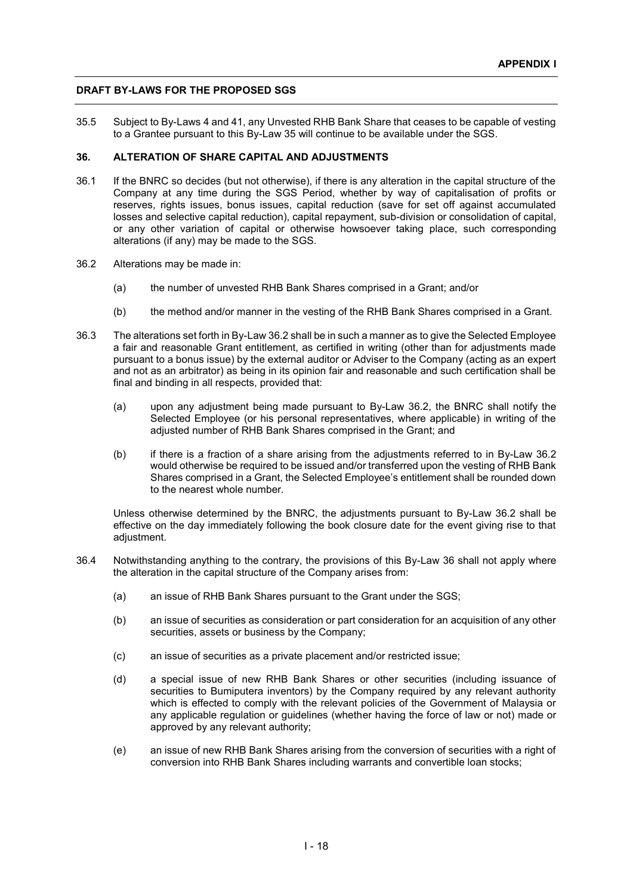35.5 Subject to By-Laws 4 and 41, any Unvested RHB Bank Share that ceases to be capable of vesting to a Grantee pursuant to this By-Law 35 will continue to be available under the SGS.

#### **36. ALTERATION OF SHARE CAPITAL AND ADJUSTMENTS**

- 36.1 If the BNRC so decides (but not otherwise), if there is any alteration in the capital structure of the Company at any time during the SGS Period, whether by way of capitalisation of profits or reserves, rights issues, bonus issues, capital reduction (save for set off against accumulated losses and selective capital reduction), capital repayment, sub-division or consolidation of capital, or any other variation of capital or otherwise howsoever taking place, such corresponding alterations (if any) may be made to the SGS.
- 36.2 Alterations may be made in:
	- (a) the number of unvested RHB Bank Shares comprised in a Grant; and/or
	- (b) the method and/or manner in the vesting of the RHB Bank Shares comprised in a Grant.
- 36.3 The alterations set forth in By-Law 36.2 shall be in such a manner as to give the Selected Employee a fair and reasonable Grant entitlement, as certified in writing (other than for adjustments made pursuant to a bonus issue) by the external auditor or Adviser to the Company (acting as an expert and not as an arbitrator) as being in its opinion fair and reasonable and such certification shall be final and binding in all respects, provided that:
	- (a) upon any adjustment being made pursuant to By-Law 36.2, the BNRC shall notify the Selected Employee (or his personal representatives, where applicable) in writing of the adjusted number of RHB Bank Shares comprised in the Grant; and
	- (b) if there is a fraction of a share arising from the adjustments referred to in By-Law 36.2 would otherwise be required to be issued and/or transferred upon the vesting of RHB Bank Shares comprised in a Grant, the Selected Employee's entitlement shall be rounded down to the nearest whole number.

Unless otherwise determined by the BNRC, the adjustments pursuant to By-Law 36.2 shall be effective on the day immediately following the book closure date for the event giving rise to that adiustment.

- 36.4 Notwithstanding anything to the contrary, the provisions of this By-Law 36 shall not apply where the alteration in the capital structure of the Company arises from:
	- (a) an issue of RHB Bank Shares pursuant to the Grant under the SGS;
	- (b) an issue of securities as consideration or part consideration for an acquisition of any other securities, assets or business by the Company;
	- (c) an issue of securities as a private placement and/or restricted issue;
	- (d) a special issue of new RHB Bank Shares or other securities (including issuance of securities to Bumiputera inventors) by the Company required by any relevant authority which is effected to comply with the relevant policies of the Government of Malaysia or any applicable regulation or guidelines (whether having the force of law or not) made or approved by any relevant authority;
	- (e) an issue of new RHB Bank Shares arising from the conversion of securities with a right of conversion into RHB Bank Shares including warrants and convertible loan stocks;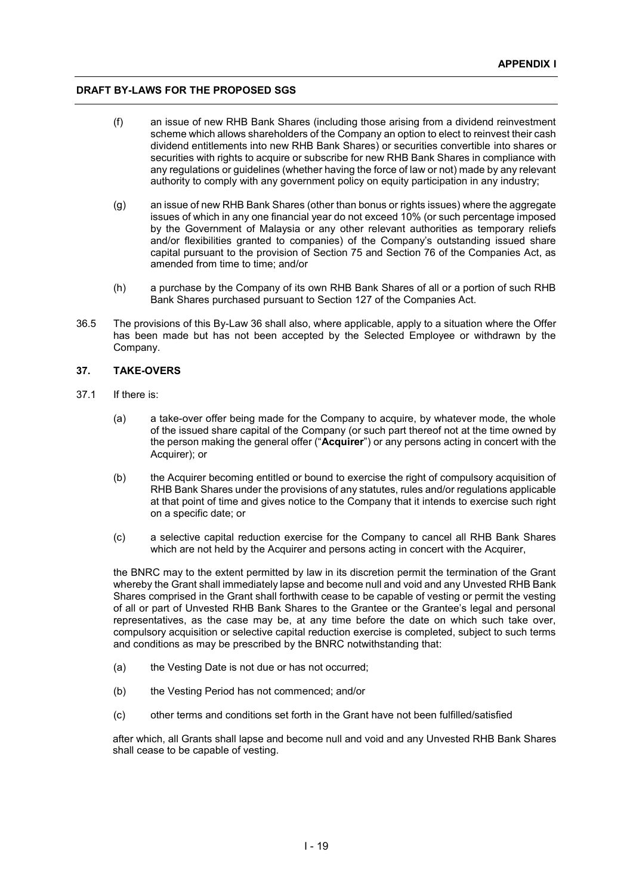- (f) an issue of new RHB Bank Shares (including those arising from a dividend reinvestment scheme which allows shareholders of the Company an option to elect to reinvest their cash dividend entitlements into new RHB Bank Shares) or securities convertible into shares or securities with rights to acquire or subscribe for new RHB Bank Shares in compliance with any regulations or guidelines (whether having the force of law or not) made by any relevant authority to comply with any government policy on equity participation in any industry;
- (g) an issue of new RHB Bank Shares (other than bonus or rights issues) where the aggregate issues of which in any one financial year do not exceed 10% (or such percentage imposed by the Government of Malaysia or any other relevant authorities as temporary reliefs and/or flexibilities granted to companies) of the Company's outstanding issued share capital pursuant to the provision of Section 75 and Section 76 of the Companies Act, as amended from time to time; and/or
- (h) a purchase by the Company of its own RHB Bank Shares of all or a portion of such RHB Bank Shares purchased pursuant to Section 127 of the Companies Act.
- 36.5 The provisions of this By-Law 36 shall also, where applicable, apply to a situation where the Offer has been made but has not been accepted by the Selected Employee or withdrawn by the Company.

# **37. TAKE-OVERS**

- 37.1 If there is:
	- (a) a take-over offer being made for the Company to acquire, by whatever mode, the whole of the issued share capital of the Company (or such part thereof not at the time owned by the person making the general offer ("**Acquirer**") or any persons acting in concert with the Acquirer); or
	- (b) the Acquirer becoming entitled or bound to exercise the right of compulsory acquisition of RHB Bank Shares under the provisions of any statutes, rules and/or regulations applicable at that point of time and gives notice to the Company that it intends to exercise such right on a specific date; or
	- (c) a selective capital reduction exercise for the Company to cancel all RHB Bank Shares which are not held by the Acquirer and persons acting in concert with the Acquirer.

the BNRC may to the extent permitted by law in its discretion permit the termination of the Grant whereby the Grant shall immediately lapse and become null and void and any Unvested RHB Bank Shares comprised in the Grant shall forthwith cease to be capable of vesting or permit the vesting of all or part of Unvested RHB Bank Shares to the Grantee or the Grantee's legal and personal representatives, as the case may be, at any time before the date on which such take over, compulsory acquisition or selective capital reduction exercise is completed, subject to such terms and conditions as may be prescribed by the BNRC notwithstanding that:

- (a) the Vesting Date is not due or has not occurred;
- (b) the Vesting Period has not commenced; and/or
- (c) other terms and conditions set forth in the Grant have not been fulfilled/satisfied

after which, all Grants shall lapse and become null and void and any Unvested RHB Bank Shares shall cease to be capable of vesting.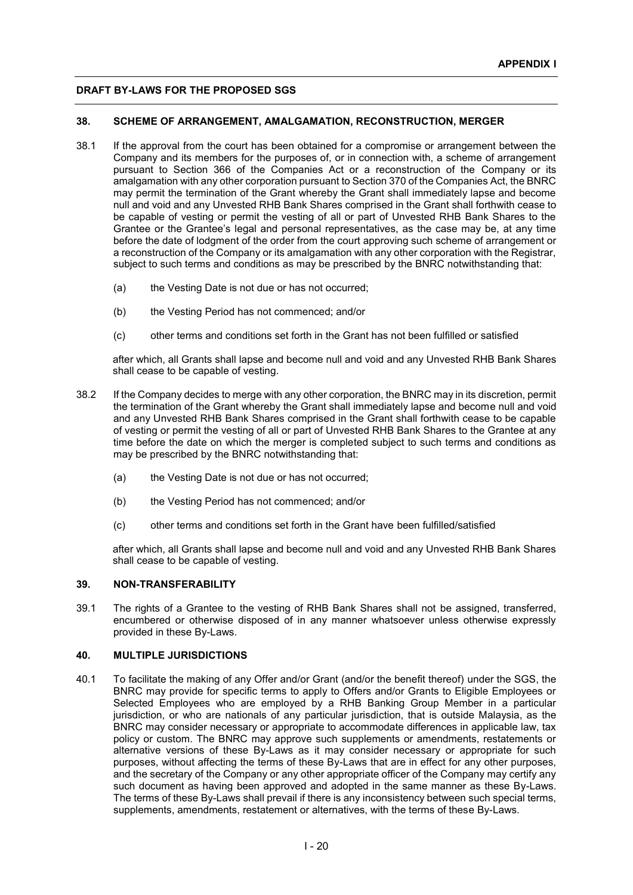# **38. SCHEME OF ARRANGEMENT, AMALGAMATION, RECONSTRUCTION, MERGER**

- 38.1 If the approval from the court has been obtained for a compromise or arrangement between the Company and its members for the purposes of, or in connection with, a scheme of arrangement pursuant to Section 366 of the Companies Act or a reconstruction of the Company or its amalgamation with any other corporation pursuant to Section 370 of the Companies Act, the BNRC may permit the termination of the Grant whereby the Grant shall immediately lapse and become null and void and any Unvested RHB Bank Shares comprised in the Grant shall forthwith cease to be capable of vesting or permit the vesting of all or part of Unvested RHB Bank Shares to the Grantee or the Grantee's legal and personal representatives, as the case may be, at any time before the date of lodgment of the order from the court approving such scheme of arrangement or a reconstruction of the Company or its amalgamation with any other corporation with the Registrar, subject to such terms and conditions as may be prescribed by the BNRC notwithstanding that:
	- (a) the Vesting Date is not due or has not occurred;
	- (b) the Vesting Period has not commenced; and/or
	- (c) other terms and conditions set forth in the Grant has not been fulfilled or satisfied

after which, all Grants shall lapse and become null and void and any Unvested RHB Bank Shares shall cease to be capable of vesting.

- 38.2 If the Company decides to merge with any other corporation, the BNRC may in its discretion, permit the termination of the Grant whereby the Grant shall immediately lapse and become null and void and any Unvested RHB Bank Shares comprised in the Grant shall forthwith cease to be capable of vesting or permit the vesting of all or part of Unvested RHB Bank Shares to the Grantee at any time before the date on which the merger is completed subject to such terms and conditions as may be prescribed by the BNRC notwithstanding that:
	- (a) the Vesting Date is not due or has not occurred;
	- (b) the Vesting Period has not commenced; and/or
	- (c) other terms and conditions set forth in the Grant have been fulfilled/satisfied

after which, all Grants shall lapse and become null and void and any Unvested RHB Bank Shares shall cease to be capable of vesting.

#### **39. NON-TRANSFERABILITY**

39.1 The rights of a Grantee to the vesting of RHB Bank Shares shall not be assigned, transferred, encumbered or otherwise disposed of in any manner whatsoever unless otherwise expressly provided in these By-Laws.

#### **40. MULTIPLE JURISDICTIONS**

40.1 To facilitate the making of any Offer and/or Grant (and/or the benefit thereof) under the SGS, the BNRC may provide for specific terms to apply to Offers and/or Grants to Eligible Employees or Selected Employees who are employed by a RHB Banking Group Member in a particular jurisdiction, or who are nationals of any particular jurisdiction, that is outside Malaysia, as the BNRC may consider necessary or appropriate to accommodate differences in applicable law, tax policy or custom. The BNRC may approve such supplements or amendments, restatements or alternative versions of these By-Laws as it may consider necessary or appropriate for such purposes, without affecting the terms of these By-Laws that are in effect for any other purposes, and the secretary of the Company or any other appropriate officer of the Company may certify any such document as having been approved and adopted in the same manner as these By-Laws. The terms of these By-Laws shall prevail if there is any inconsistency between such special terms, supplements, amendments, restatement or alternatives, with the terms of these By-Laws.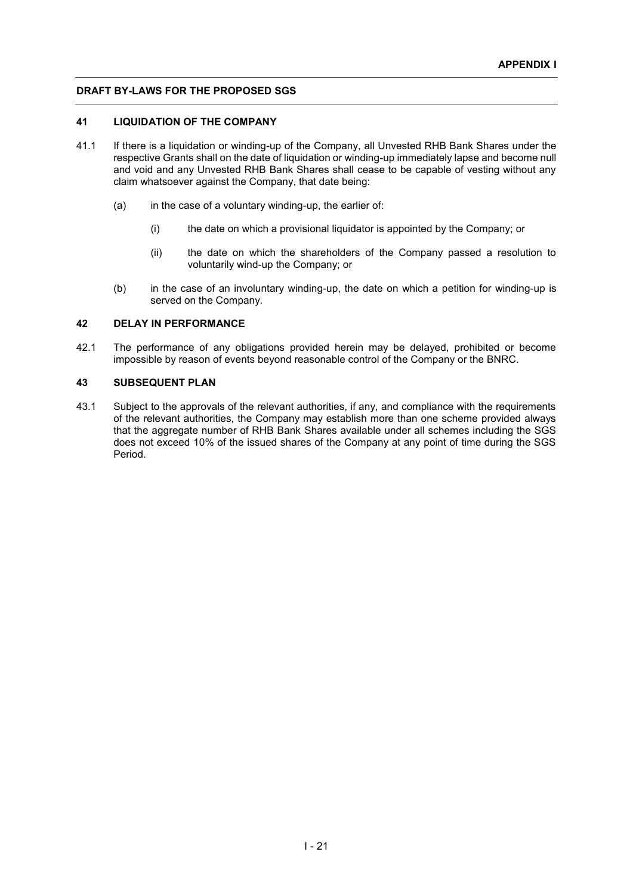#### **41 LIQUIDATION OF THE COMPANY**

- 41.1 If there is a liquidation or winding-up of the Company, all Unvested RHB Bank Shares under the respective Grants shall on the date of liquidation or winding-up immediately lapse and become null and void and any Unvested RHB Bank Shares shall cease to be capable of vesting without any claim whatsoever against the Company, that date being:
	- $(a)$  in the case of a voluntary winding-up, the earlier of:
		- (i) the date on which a provisional liquidator is appointed by the Company; or
		- (ii) the date on which the shareholders of the Company passed a resolution to voluntarily wind-up the Company; or
	- (b) in the case of an involuntary winding-up, the date on which a petition for winding-up is served on the Company.

#### **42 DELAY IN PERFORMANCE**

42.1 The performance of any obligations provided herein may be delayed, prohibited or become impossible by reason of events beyond reasonable control of the Company or the BNRC.

# **43 SUBSEQUENT PLAN**

43.1 Subject to the approvals of the relevant authorities, if any, and compliance with the requirements of the relevant authorities, the Company may establish more than one scheme provided always that the aggregate number of RHB Bank Shares available under all schemes including the SGS does not exceed 10% of the issued shares of the Company at any point of time during the SGS Period.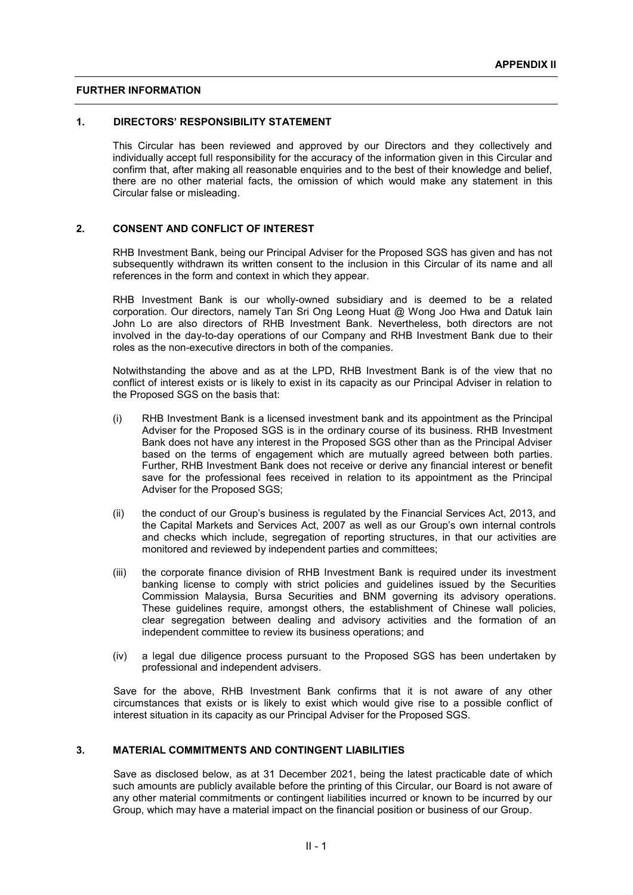#### **FURTHER INFORMATION**

# **1. DIRECTORS' RESPONSIBILITY STATEMENT**

This Circular has been reviewed and approved by our Directors and they collectively and individually accept full responsibility for the accuracy of the information given in this Circular and confirm that, after making all reasonable enquiries and to the best of their knowledge and belief, there are no other material facts, the omission of which would make any statement in this Circular false or misleading.

#### **2. CONSENT AND CONFLICT OF INTEREST**

RHB Investment Bank, being our Principal Adviser for the Proposed SGS has given and has not subsequently withdrawn its written consent to the inclusion in this Circular of its name and all references in the form and context in which they appear.

RHB Investment Bank is our wholly-owned subsidiary and is deemed to be a related corporation. Our directors, namely Tan Sri Ong Leong Huat @ Wong Joo Hwa and Datuk Iain John Lo are also directors of RHB Investment Bank. Nevertheless, both directors are not involved in the day-to-day operations of our Company and RHB Investment Bank due to their roles as the non-executive directors in both of the companies.

Notwithstanding the above and as at the LPD, RHB Investment Bank is of the view that no conflict of interest exists or is likely to exist in its capacity as our Principal Adviser in relation to the Proposed SGS on the basis that:

- (i) RHB Investment Bank is a licensed investment bank and its appointment as the Principal Adviser for the Proposed SGS is in the ordinary course of its business. RHB Investment Bank does not have any interest in the Proposed SGS other than as the Principal Adviser based on the terms of engagement which are mutually agreed between both parties. Further, RHB Investment Bank does not receive or derive any financial interest or benefit save for the professional fees received in relation to its appointment as the Principal Adviser for the Proposed SGS;
- (ii) the conduct of our Group's business is regulated by the Financial Services Act, 2013, and the Capital Markets and Services Act, 2007 as well as our Group's own internal controls and checks which include, segregation of reporting structures, in that our activities are monitored and reviewed by independent parties and committees;
- (iii) the corporate finance division of RHB Investment Bank is required under its investment banking license to comply with strict policies and guidelines issued by the Securities Commission Malaysia, Bursa Securities and BNM governing its advisory operations. These guidelines require, amongst others, the establishment of Chinese wall policies, clear segregation between dealing and advisory activities and the formation of an independent committee to review its business operations; and
- (iv) a legal due diligence process pursuant to the Proposed SGS has been undertaken by professional and independent advisers.

Save for the above, RHB Investment Bank confirms that it is not aware of any other circumstances that exists or is likely to exist which would give rise to a possible conflict of interest situation in its capacity as our Principal Adviser for the Proposed SGS.

# **3. MATERIAL COMMITMENTS AND CONTINGENT LIABILITIES**

Save as disclosed below, as at 31 December 2021, being the latest practicable date of which such amounts are publicly available before the printing of this Circular, our Board is not aware of any other material commitments or contingent liabilities incurred or known to be incurred by our Group, which may have a material impact on the financial position or business of our Group.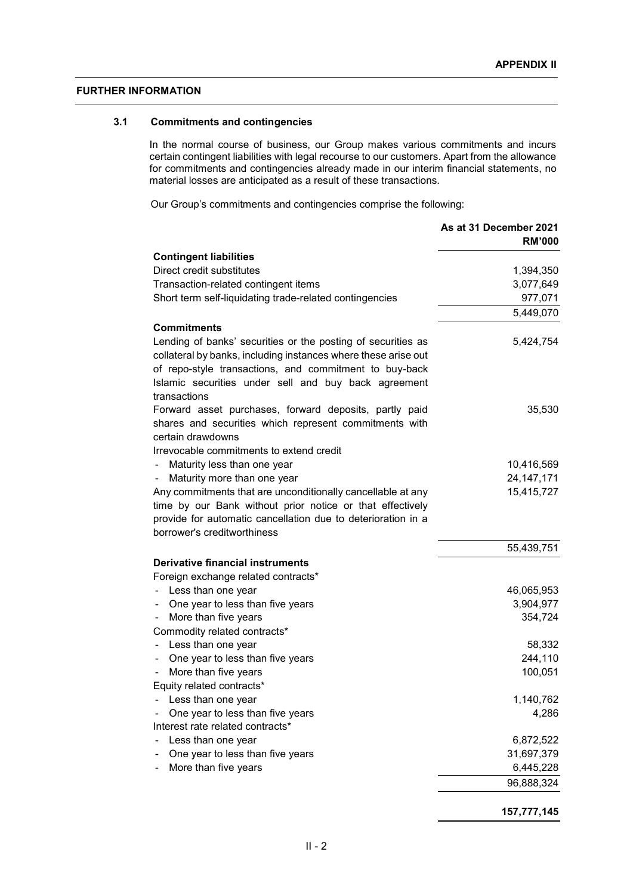# **FURTHER INFORMATION**

# **3.1 Commitments and contingencies**

In the normal course of business, our Group makes various commitments and incurs certain contingent liabilities with legal recourse to our customers. Apart from the allowance for commitments and contingencies already made in our interim financial statements, no material losses are anticipated as a result of these transactions.

Our Group's commitments and contingencies comprise the following:

|                                                                             | As at 31 December 2021<br><b>RM'000</b> |
|-----------------------------------------------------------------------------|-----------------------------------------|
| <b>Contingent liabilities</b>                                               |                                         |
| Direct credit substitutes                                                   | 1,394,350                               |
| Transaction-related contingent items                                        | 3,077,649                               |
| Short term self-liquidating trade-related contingencies                     | 977,071                                 |
|                                                                             | 5,449,070                               |
| <b>Commitments</b>                                                          |                                         |
| Lending of banks' securities or the posting of securities as                | 5,424,754                               |
| collateral by banks, including instances where these arise out              |                                         |
| of repo-style transactions, and commitment to buy-back                      |                                         |
| Islamic securities under sell and buy back agreement                        |                                         |
| transactions                                                                |                                         |
| Forward asset purchases, forward deposits, partly paid                      | 35,530                                  |
| shares and securities which represent commitments with<br>certain drawdowns |                                         |
| Irrevocable commitments to extend credit                                    |                                         |
| Maturity less than one year                                                 | 10,416,569                              |
| Maturity more than one year                                                 | 24, 147, 171                            |
| Any commitments that are unconditionally cancellable at any                 | 15,415,727                              |
| time by our Bank without prior notice or that effectively                   |                                         |
| provide for automatic cancellation due to deterioration in a                |                                         |
| borrower's creditworthiness                                                 |                                         |
|                                                                             | 55,439,751                              |
| <b>Derivative financial instruments</b>                                     |                                         |
| Foreign exchange related contracts*                                         |                                         |
| Less than one year                                                          | 46,065,953                              |
| One year to less than five years                                            | 3,904,977                               |
| More than five years                                                        | 354,724                                 |
| Commodity related contracts*                                                |                                         |
| Less than one year                                                          | 58,332                                  |
| One year to less than five years<br>-                                       | 244,110                                 |
| More than five years                                                        | 100,051                                 |
| Equity related contracts*<br>Less than one year                             | 1,140,762                               |
| One year to less than five years                                            | 4,286                                   |
| Interest rate related contracts*                                            |                                         |
| Less than one year                                                          | 6,872,522                               |
| One year to less than five years                                            | 31,697,379                              |
| More than five years                                                        | 6,445,228                               |
|                                                                             | 96,888,324                              |
|                                                                             |                                         |
|                                                                             |                                         |

**157,777,145**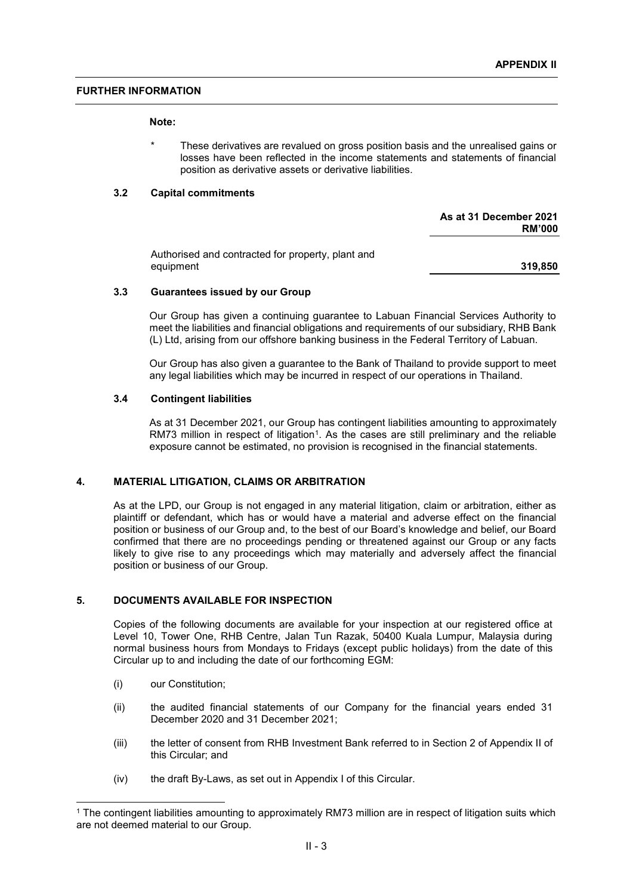#### **FURTHER INFORMATION**

#### **Note:**

These derivatives are revalued on gross position basis and the unrealised gains or losses have been reflected in the income statements and statements of financial position as derivative assets or derivative liabilities.

#### **3.2 Capital commitments**

**As at 31 December 2021 RM'000**

Authorised and contracted for property, plant and equipment **319,850**

#### **3.3 Guarantees issued by our Group**

Our Group has given a continuing guarantee to Labuan Financial Services Authority to meet the liabilities and financial obligations and requirements of our subsidiary, RHB Bank (L) Ltd, arising from our offshore banking business in the Federal Territory of Labuan.

Our Group has also given a guarantee to the Bank of Thailand to provide support to meet any legal liabilities which may be incurred in respect of our operations in Thailand.

#### **3.4 Contingent liabilities**

As at 31 December 2021, our Group has contingent liabilities amounting to approximately RM73 million in respect of litigation<sup>1</sup>. As the cases are still preliminary and the reliable exposure cannot be estimated, no provision is recognised in the financial statements.

# **4. MATERIAL LITIGATION, CLAIMS OR ARBITRATION**

As at the LPD, our Group is not engaged in any material litigation, claim or arbitration, either as plaintiff or defendant, which has or would have a material and adverse effect on the financial position or business of our Group and, to the best of our Board's knowledge and belief, our Board confirmed that there are no proceedings pending or threatened against our Group or any facts likely to give rise to any proceedings which may materially and adversely affect the financial position or business of our Group.

# **5. DOCUMENTS AVAILABLE FOR INSPECTION**

Copies of the following documents are available for your inspection at our registered office at Level 10, Tower One, RHB Centre, Jalan Tun Razak, 50400 Kuala Lumpur, Malaysia during normal business hours from Mondays to Fridays (except public holidays) from the date of this Circular up to and including the date of our forthcoming EGM:

- (i) our Constitution;
- (ii) the audited financial statements of our Company for the financial years ended 31 December 2020 and 31 December 2021;
- (iii) the letter of consent from RHB Investment Bank referred to in Section 2 of Appendix II of this Circular; and
- (iv) the draft By-Laws, as set out in Appendix I of this Circular.

<sup>1</sup> The contingent liabilities amounting to approximately RM73 million are in respect of litigation suits which are not deemed material to our Group.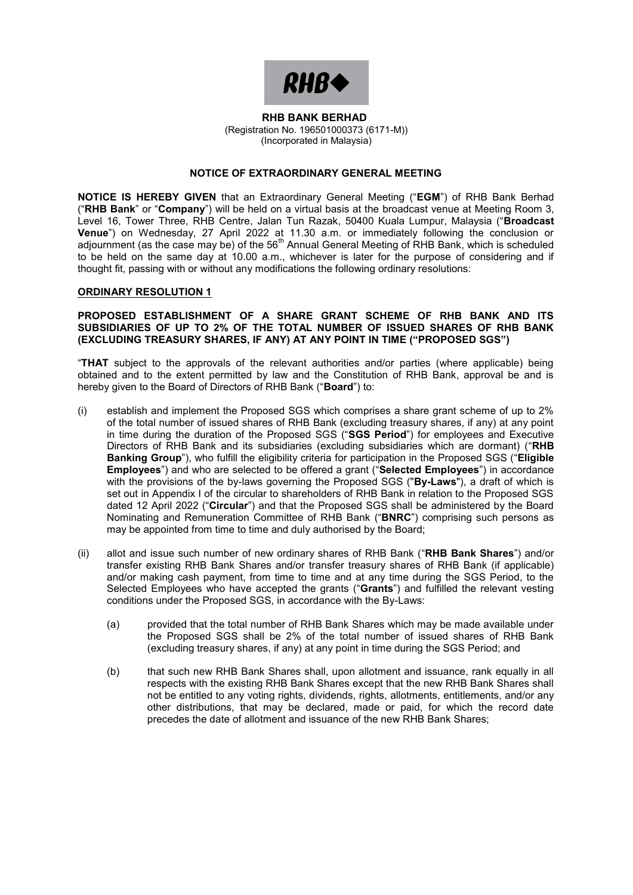

#### **RHB BANK BERHAD RHB BANK BERHAD** (Registration No. 196501000373 (6171-M)) (Registration No. 196501000373 (6171-M)) (Incorporated in Malaysia) (Incorporated in Malaysia)

# **NOTICE OF EXTRAORDINARY GENERAL MEETING NOTICE OF EXTRAORDINARY GENERAL MEETING**

**NOTICE IS HEREBY GIVEN** that an Extraordinary General Meeting ("**EGM**") of RHB Bank Berhad **NOTICE IS HEREBY GIVEN** that an Extraordinary General Meeting ("**EGM**") of RHB Bank Berhad ("RHB Bank" or "Company") will be held on a virtual basis at the broadcast venue at Meeting Room 3,<br>Lavel 46, Taugu Three, BUD Cantre, Jalan Tun Bazak, 50400 Kuala Lumaur, Malaysia ("Broadcast, Level 16, Tower Three, RHB Centre, Jalan Tun Razak, 50400 Kuala Lumpur, Malaysia ("**Broadcast Venue** ") on Wednesday, 27 April 2022 at 11.00 a.m. or immediately following the conclusion of the conclusion of the EC<sup>th</sup> Apple Depth which is school lock adjournment (as the case may be) of the 56th Annual General Meeting of RHB Bank, which is scheduled<br>The held an the came day at 10.00 a.m., whichover is later for the nurnage of considering and if to be held on the same day at 10.00 a.m., whichever is later for the purpose of considering and if to be held on the same day at 10.00 a.m., whichever is later for the purpose of considering and if thought fit, passing with or without any modifications the following ordinary resolutions: thought fit, passing with or without any modifications the following ordinary resolutions: Level 16, Tower Three, RHB Centre, Jalan Tun Razak, 50400 Kuala Lumpur, Malaysia ("**Broadcast Venue**") on Wednesday, 27 April 2022 at 11.30 a.m. or immediately following the conclusion or adjournment (as the case may be) of the 56<sup>th</sup> Annual General Meeting of RHB Bank, which is scheduled

# **ORDINARY RESOLUTION 1 ORDINARY RESOLUTION 1**

hereby given to the Board of Directors of RHB Bank ("**Board**") to:

#### SUBSIDIARIES OF UP TO 2% OF THE TOTAL NUMBER OF ISSUED SHARES OF RHB BANK **(EXCLUDING TREASURY SHARES, IF ANY) AT ANY POINT IN TIME ("PROPOSED SGS") (EXCLUDING TREASURY SHARES, IF ANY) AT ANY POINT IN TIME ("PROPOSED SGS") PROPOSED ESTABLISHMENT OF A SHARE GRANT SCHEME OF RHB BANK AND ITS**

obtained and to the extent permitted by law and the Constitution of RHB Bank, approval be and is hereby given to the Board of Directors of RHB Bank ("**Board**") to: "**THAT** subject to the approvals of the relevant authorities and/or parties (where applicable) being

- of the total number of issued shares of RHB Bank (excluding treasury shares, if any) at any point in time during the duration of the Proposed SGS ("SGS Period") for employees and Executive Directors of RHB Bank and its subsidiaries (excluding subsidiaries which are dormant) ("RHB **Banking Group**"), who fulfill the eligibility criteria for participation in the Proposed SGS ("**Eligible Employees**") and who are selected to be offered a grant ("Selected Employees") in accordance with the provisions of the by-laws governing the Proposed SGS ("**By-Laws**"), a draft of which is set out in Appendix I of the circular to shareholders of RHB Bank in relation to the Proposed SGS dated 12 April 2022 ("Circular") and that the Proposed SGS shall be administered by the Board Nominating and Remuneration Committee of RHB Bank ("**BNRC**") comprising such persons as may be appointed from time to time and duly authorised by the Board; (i) establish and implement the Proposed SGS which comprises a share grant scheme of up to 2%
- may be appointed from time to time and duly authorised by the Board; transfer existing RHB Bank Shares and/or transfer treasury shares of RHB Bank (if applicable) and/or making cash payment, from time to time and at any time during the SGS Period, to the Selected Employees who have accepted the grants ("**Grants**") and fulfilled the relevant vesting conditions under the Proposed SGS, in accordance with the By-Laws: (ii) allot and issue such number of new ordinary shares of RHB Bank ("**RHB Bank Shares**") and/or
	- (a) provided that the total number of RHB Bank Shares which may be made available under (a) provided  $\frac{1}{2}$  provided that the total number of RHB Bank Shares which may be made available under the shares which may be made available under the SCS Decided and (excluding treasury shares, if any) at any point in time during the SGS Period; and the Proposed SGS shall be 2% of the total number of issued shares of RHB Bank
	- (b) that such new RHB Bank Shares shall, upon allotment and issuance, rank equally in all not be entitled to any voting rights, dividends, rights, allotments, entitlements, and/or any not be entitled to any roang rights, arritonics, rights, allowing shallonical, shallonical, and or any other distributions, that may be declared, made or paid, for which the record date precedes the date of allotment and issuance of the new RHB Bank Shares; other distributions, that may be declared, may be declared, may be declared, made or paid, for which the record date respects with the existing RHB Bank Shares except that the new RHB Bank Shares shall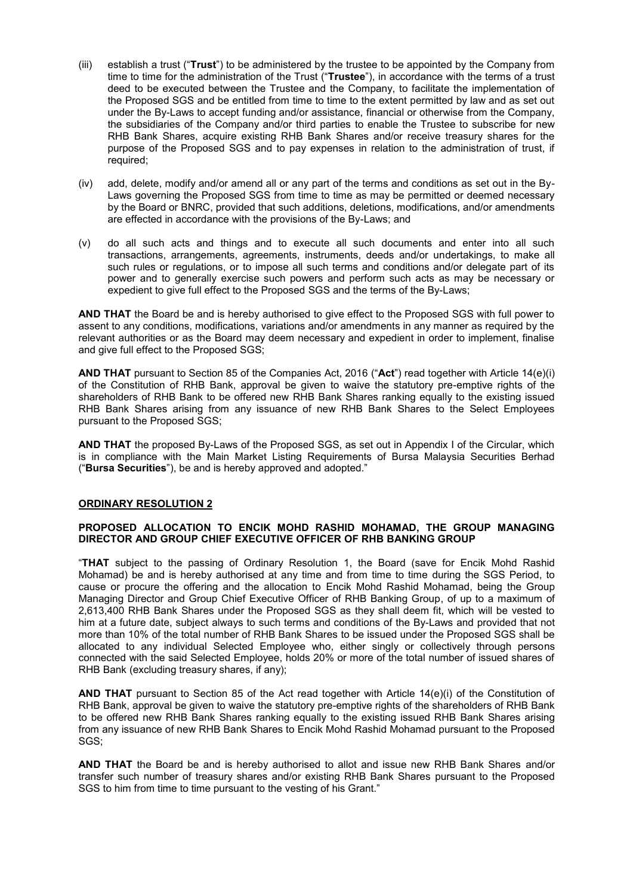- (iii) establish a trust ("**Trust**") to be administered by the trustee to be appointed by the Company from time to time for the administration of the Trust ("**Trustee**"), in accordance with the terms of a trust deed to be executed between the Trustee and the Company, to facilitate the implementation of the Proposed SGS and be entitled from time to time to the extent permitted by law and as set out under the By-Laws to accept funding and/or assistance, financial or otherwise from the Company, the subsidiaries of the Company and/or third parties to enable the Trustee to subscribe for new RHB Bank Shares, acquire existing RHB Bank Shares and/or receive treasury shares for the purpose of the Proposed SGS and to pay expenses in relation to the administration of trust, if required;
- (iv) add, delete, modify and/or amend all or any part of the terms and conditions as set out in the By-Laws governing the Proposed SGS from time to time as may be permitted or deemed necessary by the Board or BNRC, provided that such additions, deletions, modifications, and/or amendments are effected in accordance with the provisions of the By-Laws; and
- (v) do all such acts and things and to execute all such documents and enter into all such transactions, arrangements, agreements, instruments, deeds and/or undertakings, to make all such rules or regulations, or to impose all such terms and conditions and/or delegate part of its power and to generally exercise such powers and perform such acts as may be necessary or expedient to give full effect to the Proposed SGS and the terms of the By-Laws;

**AND THAT** the Board be and is hereby authorised to give effect to the Proposed SGS with full power to assent to any conditions, modifications, variations and/or amendments in any manner as required by the relevant authorities or as the Board may deem necessary and expedient in order to implement, finalise and give full effect to the Proposed SGS;

**AND THAT** pursuant to Section 85 of the Companies Act, 2016 ("**Act**") read together with Article 14(e)(i) of the Constitution of RHB Bank, approval be given to waive the statutory pre-emptive rights of the shareholders of RHB Bank to be offered new RHB Bank Shares ranking equally to the existing issued RHB Bank Shares arising from any issuance of new RHB Bank Shares to the Select Employees pursuant to the Proposed SGS;

**AND THAT** the proposed By-Laws of the Proposed SGS, as set out in Appendix I of the Circular, which is in compliance with the Main Market Listing Requirements of Bursa Malaysia Securities Berhad ("**Bursa Securities**"), be and is hereby approved and adopted."

#### **ORDINARY RESOLUTION 2**

#### **PROPOSED ALLOCATION TO ENCIK MOHD RASHID MOHAMAD, THE GROUP MANAGING DIRECTOR AND GROUP CHIEF EXECUTIVE OFFICER OF RHB BANKING GROUP**

"**THAT** subject to the passing of Ordinary Resolution 1, the Board (save for Encik Mohd Rashid Mohamad) be and is hereby authorised at any time and from time to time during the SGS Period, to cause or procure the offering and the allocation to Encik Mohd Rashid Mohamad, being the Group Managing Director and Group Chief Executive Officer of RHB Banking Group, of up to a maximum of 2,613,400 RHB Bank Shares under the Proposed SGS as they shall deem fit, which will be vested to him at a future date, subject always to such terms and conditions of the By-Laws and provided that not more than 10% of the total number of RHB Bank Shares to be issued under the Proposed SGS shall be allocated to any individual Selected Employee who, either singly or collectively through persons connected with the said Selected Employee, holds 20% or more of the total number of issued shares of RHB Bank (excluding treasury shares, if any);

**AND THAT** pursuant to Section 85 of the Act read together with Article 14(e)(i) of the Constitution of RHB Bank, approval be given to waive the statutory pre-emptive rights of the shareholders of RHB Bank to be offered new RHB Bank Shares ranking equally to the existing issued RHB Bank Shares arising from any issuance of new RHB Bank Shares to Encik Mohd Rashid Mohamad pursuant to the Proposed SGS;

**AND THAT** the Board be and is hereby authorised to allot and issue new RHB Bank Shares and/or transfer such number of treasury shares and/or existing RHB Bank Shares pursuant to the Proposed SGS to him from time to time pursuant to the vesting of his Grant."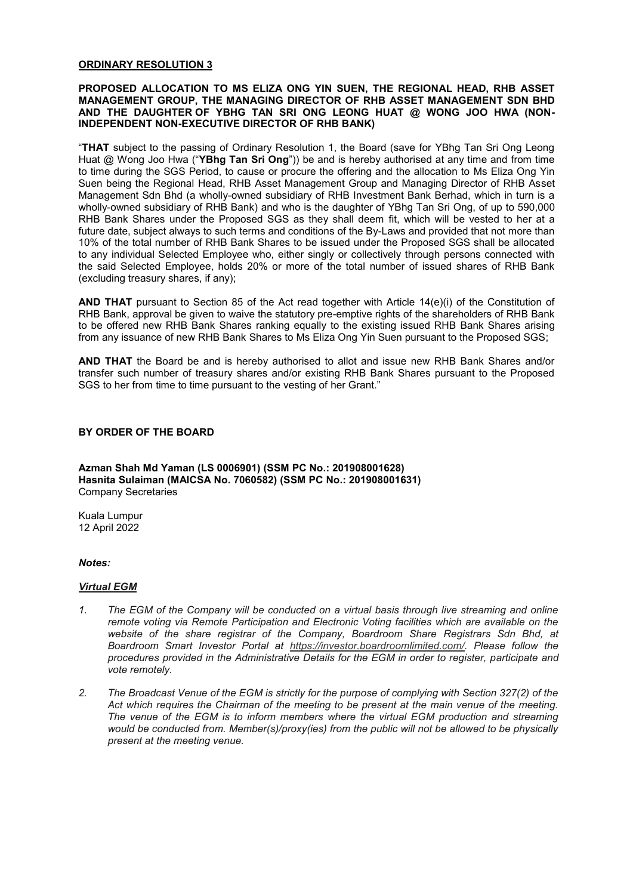#### **ORDINARY RESOLUTION 3**

#### **PROPOSED ALLOCATION TO MS ELIZA ONG YIN SUEN, THE REGIONAL HEAD, RHB ASSET MANAGEMENT GROUP, THE MANAGING DIRECTOR OF RHB ASSET MANAGEMENT SDN BHD AND THE DAUGHTER OF YBHG TAN SRI ONG LEONG HUAT @ WONG JOO HWA (NON-INDEPENDENT NON-EXECUTIVE DIRECTOR OF RHB BANK)**

"**THAT** subject to the passing of Ordinary Resolution 1, the Board (save for YBhg Tan Sri Ong Leong Huat @ Wong Joo Hwa ("**YBhg Tan Sri Ong**")) be and is hereby authorised at any time and from time to time during the SGS Period, to cause or procure the offering and the allocation to Ms Eliza Ong Yin Suen being the Regional Head, RHB Asset Management Group and Managing Director of RHB Asset Management Sdn Bhd (a wholly-owned subsidiary of RHB Investment Bank Berhad, which in turn is a wholly-owned subsidiary of RHB Bank) and who is the daughter of YBhg Tan Sri Ong, of up to 590,000 RHB Bank Shares under the Proposed SGS as they shall deem fit, which will be vested to her at a future date, subject always to such terms and conditions of the By-Laws and provided that not more than 10% of the total number of RHB Bank Shares to be issued under the Proposed SGS shall be allocated to any individual Selected Employee who, either singly or collectively through persons connected with the said Selected Employee, holds 20% or more of the total number of issued shares of RHB Bank (excluding treasury shares, if any);

**AND THAT** pursuant to Section 85 of the Act read together with Article 14(e)(i) of the Constitution of RHB Bank, approval be given to waive the statutory pre-emptive rights of the shareholders of RHB Bank to be offered new RHB Bank Shares ranking equally to the existing issued RHB Bank Shares arising from any issuance of new RHB Bank Shares to Ms Eliza Ong Yin Suen pursuant to the Proposed SGS;

**AND THAT** the Board be and is hereby authorised to allot and issue new RHB Bank Shares and/or transfer such number of treasury shares and/or existing RHB Bank Shares pursuant to the Proposed SGS to her from time to time pursuant to the vesting of her Grant."

#### **BY ORDER OF THE BOARD**

**Azman Shah Md Yaman (LS 0006901) (SSM PC No.: 201908001628) Hasnita Sulaiman (MAICSA No. 7060582) (SSM PC No.: 201908001631)** Company Secretaries

Kuala Lumpur 12 April 2022

#### *Notes:*

#### *Virtual EGM*

- *1. The EGM of the Company will be conducted on a virtual basis through live streaming and online remote voting via Remote Participation and Electronic Voting facilities which are available on the website of the share registrar of the Company, Boardroom Share Registrars Sdn Bhd, at Boardroom Smart Investor Portal at https://investor.boardroomlimited.com/. Please follow the procedures provided in the Administrative Details for the EGM in order to register, participate and vote remotely.*
- *2. The Broadcast Venue of the EGM is strictly for the purpose of complying with Section 327(2) of the Act which requires the Chairman of the meeting to be present at the main venue of the meeting. The venue of the EGM is to inform members where the virtual EGM production and streaming would be conducted from. Member(s)/proxy(ies) from the public will not be allowed to be physically present at the meeting venue.*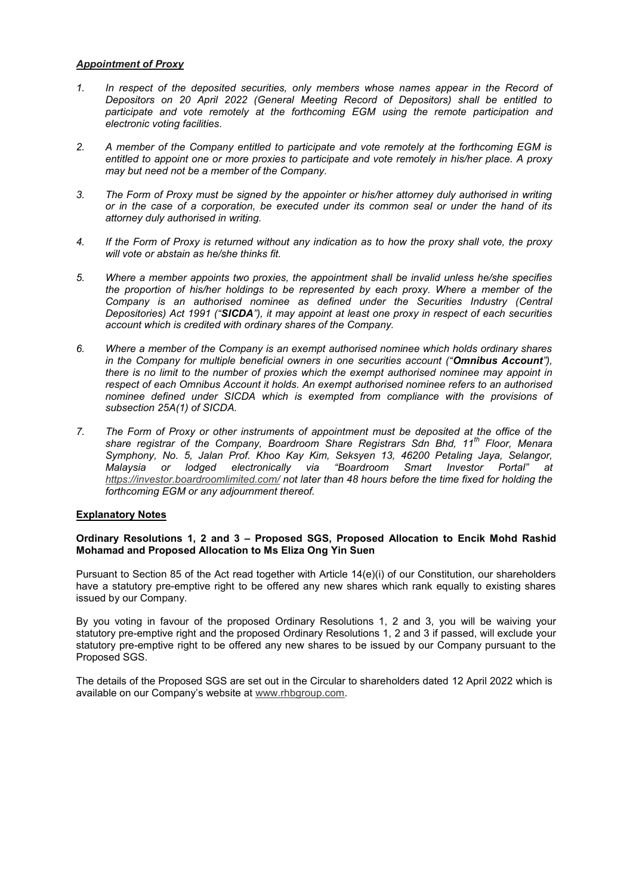# *Appointment of Proxy*

- *1. In respect of the deposited securities, only members whose names appear in the Record of Depositors on 20 April 2022 (General Meeting Record of Depositors) shall be entitled to*  participate and vote remotely at the forthcoming EGM using the remote participation and *electronic voting facilities.*
- *2. A member of the Company entitled to participate and vote remotely at the forthcoming EGM is entitled to appoint one or more proxies to participate and vote remotely in his/her place. A proxy may but need not be a member of the Company.*
- *3. The Form of Proxy must be signed by the appointer or his/her attorney duly authorised in writing or in the case of a corporation, be executed under its common seal or under the hand of its attorney duly authorised in writing.*
- *4. If the Form of Proxy is returned without any indication as to how the proxy shall vote, the proxy will vote or abstain as he/she thinks fit.*
- *5. Where a member appoints two proxies, the appointment shall be invalid unless he/she specifies the proportion of his/her holdings to be represented by each proxy. Where a member of the Company is an authorised nominee as defined under the Securities Industry (Central Depositories) Act 1991 ("SICDA"), it may appoint at least one proxy in respect of each securities account which is credited with ordinary shares of the Company.*
- *6. Where a member of the Company is an exempt authorised nominee which holds ordinary shares in the Company for multiple beneficial owners in one securities account ("Omnibus Account"), there is no limit to the number of proxies which the exempt authorised nominee may appoint in respect of each Omnibus Account it holds. An exempt authorised nominee refers to an authorised nominee defined under SICDA which is exempted from compliance with the provisions of subsection 25A(1) of SICDA.*
- *7. The Form of Proxy or other instruments of appointment must be deposited at the office of the share registrar of the Company, Boardroom Share Registrars Sdn Bhd, 11th Floor, Menara Symphony, No. 5, Jalan Prof. Khoo Kay Kim, Seksyen 13, 46200 Petaling Jaya, Selangor, Malaysia or lodged electronically via "Boardroom Smart Investor Portal" at https://investor.boardroomlimited.com/ not later than 48 hours before the time fixed for holding the forthcoming EGM or any adjournment thereof.*

#### **Explanatory Notes**

#### **Ordinary Resolutions 1, 2 and 3 – Proposed SGS, Proposed Allocation to Encik Mohd Rashid Mohamad and Proposed Allocation to Ms Eliza Ong Yin Suen**

Pursuant to Section 85 of the Act read together with Article 14(e)(i) of our Constitution, our shareholders have a statutory pre-emptive right to be offered any new shares which rank equally to existing shares issued by our Company.

By you voting in favour of the proposed Ordinary Resolutions 1, 2 and 3, you will be waiving your statutory pre-emptive right and the proposed Ordinary Resolutions 1, 2 and 3 if passed, will exclude your statutory pre-emptive right to be offered any new shares to be issued by our Company pursuant to the Proposed SGS.

The details of the Proposed SGS are set out in the Circular to shareholders dated 12 April 2022 which is available on our Company's website at www.rhbgroup.com.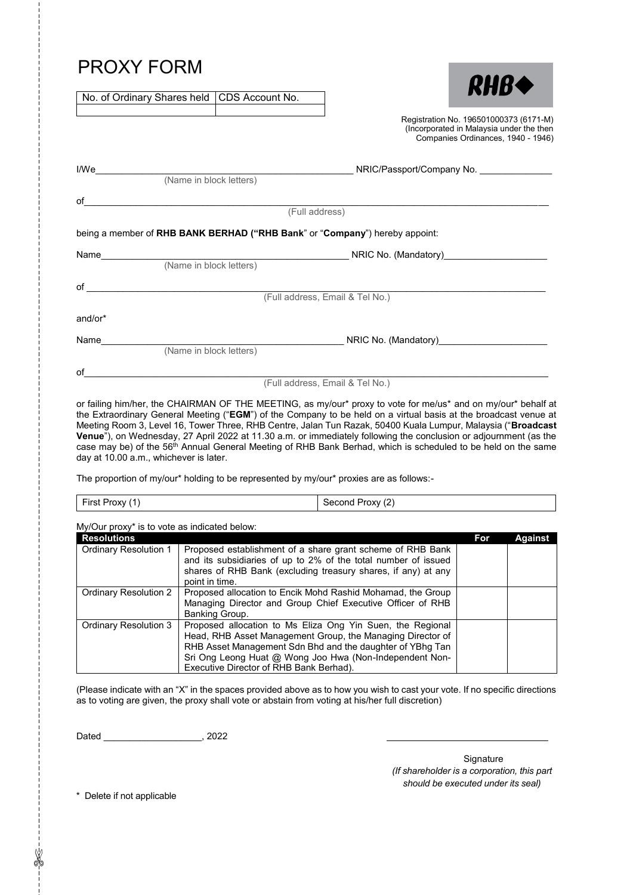# PROXY FORM

No. of Ordinary Shares held CDS Account No.

| <b>RHB+</b>                          |
|--------------------------------------|
| Registration No. 196501000373 (6171- |

Registration No. 196501000373 (6171-M) (Incorporated in Malaysia under the then Companies Ordinances, 1940 - 1946)

| I/We                                                                                                                                                                                                                           |                         | NRIC/Passport/Company No.                                                   |
|--------------------------------------------------------------------------------------------------------------------------------------------------------------------------------------------------------------------------------|-------------------------|-----------------------------------------------------------------------------|
|                                                                                                                                                                                                                                | (Name in block letters) |                                                                             |
| of                                                                                                                                                                                                                             |                         |                                                                             |
|                                                                                                                                                                                                                                |                         | (Full address)                                                              |
|                                                                                                                                                                                                                                |                         | being a member of RHB BANK BERHAD ("RHB Bank" or "Company") hereby appoint: |
| Name                                                                                                                                                                                                                           |                         | NRIC No. (Mandatory)                                                        |
|                                                                                                                                                                                                                                | (Name in block letters) |                                                                             |
| of the contract of the contract of the contract of the contract of the contract of the contract of the contract of the contract of the contract of the contract of the contract of the contract of the contract of the contrac |                         |                                                                             |
|                                                                                                                                                                                                                                |                         | (Full address, Email & Tel No.)                                             |
| and/or*                                                                                                                                                                                                                        |                         |                                                                             |
| Name                                                                                                                                                                                                                           |                         | NRIC No. (Mandatory)                                                        |
|                                                                                                                                                                                                                                | (Name in block letters) |                                                                             |
| οf                                                                                                                                                                                                                             |                         |                                                                             |
|                                                                                                                                                                                                                                |                         | (Full address, Email & Tel No.)                                             |

or failing him/her, the CHAIRMAN OF THE MEETING, as my/our\* proxy to vote for me/us\* and on my/our\* behalf at the Extraordinary General Meeting ("**EGM**") of the Company to be held on a virtual basis at the broadcast venue at Meeting Room 3, Level 16, Tower Three, RHB Centre, Jalan Tun Razak, 50400 Kuala Lumpur, Malaysia ("**Broadcast**  RHB Tun **Venue**"), on Wednesday, 27 April 2022 at 11.30 a.m. or immediately following the conclusion or adjournment (as the case may be) of the 56<sup>th</sup> Annual General Meeting of RHB Bank Berhad, which is scheduled to be held on the same day at 10.00 a.m., whichever is later. 27 April 2022 at 11.30 a.m. or immediately following the conclusion or adjournment (as the<br>Annual General Meeting of RHB Bank Berhad, which is scheduled to be held on the same<br>ver is later.

The proportion of my/our\* holding to be represented by my/our\* proxies are as follows:-

| First Proxy (1) |  |
|-----------------|--|
|-----------------|--|

Second Proxy (2)

My/Our proxy\* is to vote as indicated below:

| <b>Resolutions</b>           |                                                                                                                                                                                                                                                                                             | For | <b>Against</b> |
|------------------------------|---------------------------------------------------------------------------------------------------------------------------------------------------------------------------------------------------------------------------------------------------------------------------------------------|-----|----------------|
| <b>Ordinary Resolution 1</b> | Proposed establishment of a share grant scheme of RHB Bank<br>and its subsidiaries of up to 2% of the total number of issued<br>shares of RHB Bank (excluding treasury shares, if any) at any                                                                                               |     |                |
|                              | point in time.                                                                                                                                                                                                                                                                              |     |                |
| Ordinary Resolution 2        | Proposed allocation to Encik Mohd Rashid Mohamad, the Group<br>Managing Director and Group Chief Executive Officer of RHB<br>Banking Group.                                                                                                                                                 |     |                |
| Ordinary Resolution 3        | Proposed allocation to Ms Eliza Ong Yin Suen, the Regional<br>Head, RHB Asset Management Group, the Managing Director of<br>RHB Asset Management Sdn Bhd and the daughter of YBhg Tan<br>Sri Ong Leong Huat @ Wong Joo Hwa (Non-Independent Non-<br>Executive Director of RHB Bank Berhad). |     |                |

(Please indicate with an "X" in the spaces provided above as to how you wish to cast your vote. If no specific directions as to voting are given, the proxy shall vote or abstain from voting at his/her full discretion)

Dated \_\_\_\_\_\_\_\_\_\_\_\_\_\_\_\_\_\_\_, 2022

**Signature** *(If shareholder is a corporation, this part should be executed under its seal)*

\* Delete if not applicable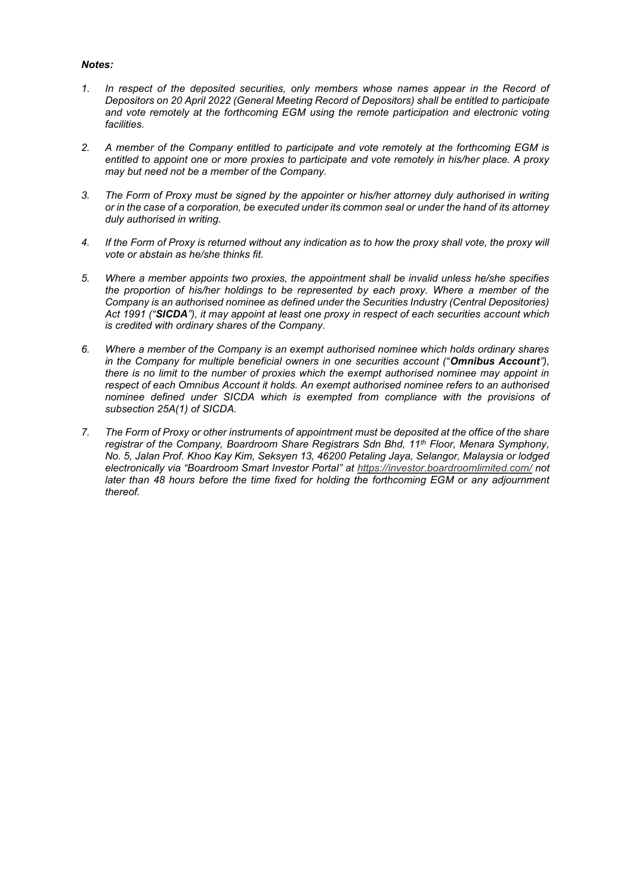# *Notes:*

- *1. In respect of the deposited securities, only members whose names appear in the Record of Depositors on 20 April 2022 (General Meeting Record of Depositors) shall be entitled to participate and vote remotely at the forthcoming EGM using the remote participation and electronic voting facilities.*
- *2. A member of the Company entitled to participate and vote remotely at the forthcoming EGM is entitled to appoint one or more proxies to participate and vote remotely in his/her place. A proxy may but need not be a member of the Company.*
- *3. The Form of Proxy must be signed by the appointer or his/her attorney duly authorised in writing or in the case of a corporation, be executed under its common seal or under the hand of its attorney duly authorised in writing.*
- *4. If the Form of Proxy is returned without any indication as to how the proxy shall vote, the proxy will vote or abstain as he/she thinks fit.*
- *5. Where a member appoints two proxies, the appointment shall be invalid unless he/she specifies the proportion of his/her holdings to be represented by each proxy. Where a member of the Company is an authorised nominee as defined under the Securities Industry (Central Depositories) Act 1991 ("SICDA"), it may appoint at least one proxy in respect of each securities account which is credited with ordinary shares of the Company.*
- *6. Where a member of the Company is an exempt authorised nominee which holds ordinary shares in the Company for multiple beneficial owners in one securities account ("Omnibus Account"), there is no limit to the number of proxies which the exempt authorised nominee may appoint in respect of each Omnibus Account it holds. An exempt authorised nominee refers to an authorised nominee defined under SICDA which is exempted from compliance with the provisions of subsection 25A(1) of SICDA.*
- *7. The Form of Proxy or other instruments of appointment must be deposited at the office of the share registrar of the Company, Boardroom Share Registrars Sdn Bhd, 11th Floor, Menara Symphony, No. 5, Jalan Prof. Khoo Kay Kim, Seksyen 13, 46200 Petaling Jaya, Selangor, Malaysia or lodged electronically via "Boardroom Smart Investor Portal" at https://investor.boardroomlimited.com/ not later than 48 hours before the time fixed for holding the forthcoming EGM or any adjournment thereof.*